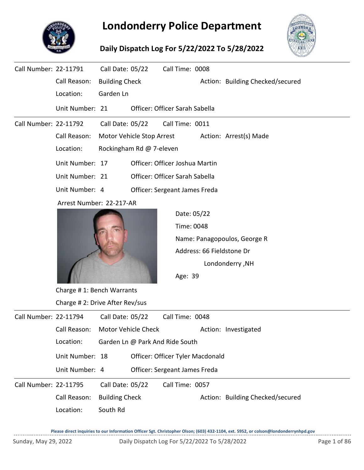

## **Londonderry Police Department**

**Daily Dispatch Log For 5/22/2022 To 5/28/2022**



| Call Number: 22-11791 |                                 | Call Date: 05/22               |                            | Call Time: 0008                |                           |                                  |  |  |  |  |  |
|-----------------------|---------------------------------|--------------------------------|----------------------------|--------------------------------|---------------------------|----------------------------------|--|--|--|--|--|
|                       | Call Reason:                    | <b>Building Check</b>          |                            |                                |                           | Action: Building Checked/secured |  |  |  |  |  |
|                       | Location:                       | Garden Ln                      |                            |                                |                           |                                  |  |  |  |  |  |
|                       | Unit Number: 21                 |                                |                            | Officer: Officer Sarah Sabella |                           |                                  |  |  |  |  |  |
| Call Number: 22-11792 |                                 | Call Date: 05/22               |                            | Call Time: 0011                |                           |                                  |  |  |  |  |  |
|                       | Call Reason:                    |                                | Motor Vehicle Stop Arrest  |                                | Action: Arrest(s) Made    |                                  |  |  |  |  |  |
|                       | Location:                       |                                | Rockingham Rd @ 7-eleven   |                                |                           |                                  |  |  |  |  |  |
|                       | Unit Number: 17                 |                                |                            | Officer: Officer Joshua Martin |                           |                                  |  |  |  |  |  |
|                       | Unit Number: 21                 | Officer: Officer Sarah Sabella |                            |                                |                           |                                  |  |  |  |  |  |
|                       | Unit Number: 4                  | Officer: Sergeant James Freda  |                            |                                |                           |                                  |  |  |  |  |  |
|                       |                                 | Arrest Number: 22-217-AR       |                            |                                |                           |                                  |  |  |  |  |  |
|                       |                                 |                                |                            | Date: 05/22                    |                           |                                  |  |  |  |  |  |
|                       |                                 |                                |                            | Time: 0048                     |                           |                                  |  |  |  |  |  |
|                       |                                 |                                |                            | Name: Panagopoulos, George R   |                           |                                  |  |  |  |  |  |
|                       |                                 |                                |                            |                                | Address: 66 Fieldstone Dr |                                  |  |  |  |  |  |
|                       |                                 |                                |                            |                                |                           | Londonderry, NH                  |  |  |  |  |  |
|                       |                                 |                                |                            | Age: 39                        |                           |                                  |  |  |  |  |  |
|                       | Charge #1: Bench Warrants       |                                |                            |                                |                           |                                  |  |  |  |  |  |
|                       | Charge # 2: Drive After Rev/sus |                                |                            |                                |                           |                                  |  |  |  |  |  |
| Call Number: 22-11794 |                                 | Call Date: 05/22               |                            | Call Time: 0048                |                           |                                  |  |  |  |  |  |
|                       | Call Reason:                    |                                | <b>Motor Vehicle Check</b> |                                |                           | Action: Investigated             |  |  |  |  |  |

Location: Garden Ln @ Park And Ride South Unit Number: 18 Officer: Officer Tyler Macdonald

Unit Number: 4 Officer: Sergeant James Freda

Call Number: 22-11795 Call Date: 05/22 Call Time: 0057 Call Reason: Building Check Action: Building Checked/secured Location: South Rd Call Date: 05/22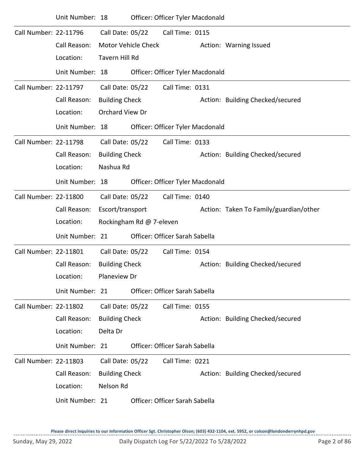|                       | Unit Number: 18 |                       |                          | Officer: Officer Tyler Macdonald |  |                                        |  |  |  |  |
|-----------------------|-----------------|-----------------------|--------------------------|----------------------------------|--|----------------------------------------|--|--|--|--|
| Call Number: 22-11796 |                 | Call Date: 05/22      |                          | Call Time: 0115                  |  |                                        |  |  |  |  |
|                       | Call Reason:    |                       | Motor Vehicle Check      |                                  |  | Action: Warning Issued                 |  |  |  |  |
|                       | Location:       | Tavern Hill Rd        |                          |                                  |  |                                        |  |  |  |  |
|                       | Unit Number: 18 |                       |                          | Officer: Officer Tyler Macdonald |  |                                        |  |  |  |  |
| Call Number: 22-11797 |                 | Call Date: 05/22      |                          | Call Time: 0131                  |  |                                        |  |  |  |  |
|                       | Call Reason:    | <b>Building Check</b> |                          |                                  |  | Action: Building Checked/secured       |  |  |  |  |
|                       | Location:       | Orchard View Dr       |                          |                                  |  |                                        |  |  |  |  |
|                       | Unit Number: 18 |                       |                          | Officer: Officer Tyler Macdonald |  |                                        |  |  |  |  |
| Call Number: 22-11798 |                 | Call Date: 05/22      |                          | Call Time: 0133                  |  |                                        |  |  |  |  |
|                       | Call Reason:    | <b>Building Check</b> |                          |                                  |  | Action: Building Checked/secured       |  |  |  |  |
|                       | Location:       | Nashua Rd             |                          |                                  |  |                                        |  |  |  |  |
|                       | Unit Number: 18 |                       |                          | Officer: Officer Tyler Macdonald |  |                                        |  |  |  |  |
| Call Number: 22-11800 |                 | Call Date: 05/22      |                          | Call Time: 0140                  |  |                                        |  |  |  |  |
|                       | Call Reason:    | Escort/transport      |                          |                                  |  | Action: Taken To Family/guardian/other |  |  |  |  |
|                       | Location:       |                       | Rockingham Rd @ 7-eleven |                                  |  |                                        |  |  |  |  |
|                       | Unit Number: 21 |                       |                          | Officer: Officer Sarah Sabella   |  |                                        |  |  |  |  |
| Call Number: 22-11801 |                 | Call Date: 05/22      |                          | Call Time: 0154                  |  |                                        |  |  |  |  |
|                       | Call Reason:    | <b>Building Check</b> |                          |                                  |  | Action: Building Checked/secured       |  |  |  |  |
|                       | Location:       | Planeview Dr          |                          |                                  |  |                                        |  |  |  |  |
|                       | Unit Number: 21 |                       |                          | Officer: Officer Sarah Sabella   |  |                                        |  |  |  |  |
| Call Number: 22-11802 |                 | Call Date: 05/22      |                          | Call Time: 0155                  |  |                                        |  |  |  |  |
|                       | Call Reason:    | <b>Building Check</b> |                          |                                  |  | Action: Building Checked/secured       |  |  |  |  |
|                       | Location:       | Delta Dr              |                          |                                  |  |                                        |  |  |  |  |
|                       | Unit Number: 21 |                       |                          | Officer: Officer Sarah Sabella   |  |                                        |  |  |  |  |
| Call Number: 22-11803 |                 | Call Date: 05/22      |                          | Call Time: 0221                  |  |                                        |  |  |  |  |
|                       | Call Reason:    | <b>Building Check</b> |                          |                                  |  | Action: Building Checked/secured       |  |  |  |  |
|                       | Location:       | Nelson Rd             |                          |                                  |  |                                        |  |  |  |  |
|                       | Unit Number: 21 |                       |                          | Officer: Officer Sarah Sabella   |  |                                        |  |  |  |  |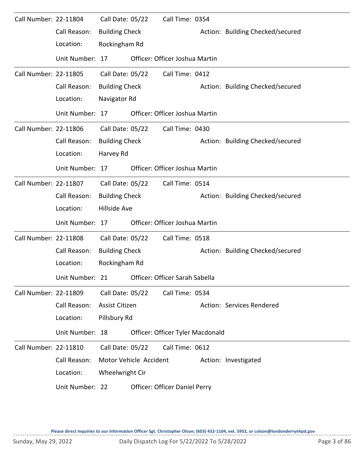| Call Number: 22-11804 |                 | Call Date: 05/22      |                        | Call Time: 0354                  |                                  |
|-----------------------|-----------------|-----------------------|------------------------|----------------------------------|----------------------------------|
|                       | Call Reason:    | <b>Building Check</b> |                        |                                  | Action: Building Checked/secured |
|                       | Location:       | Rockingham Rd         |                        |                                  |                                  |
|                       | Unit Number: 17 |                       |                        | Officer: Officer Joshua Martin   |                                  |
| Call Number: 22-11805 |                 | Call Date: 05/22      |                        | Call Time: 0412                  |                                  |
|                       | Call Reason:    | <b>Building Check</b> |                        |                                  | Action: Building Checked/secured |
|                       | Location:       | Navigator Rd          |                        |                                  |                                  |
|                       | Unit Number: 17 |                       |                        | Officer: Officer Joshua Martin   |                                  |
| Call Number: 22-11806 |                 | Call Date: 05/22      |                        | Call Time: 0430                  |                                  |
|                       | Call Reason:    | <b>Building Check</b> |                        |                                  | Action: Building Checked/secured |
|                       | Location:       | Harvey Rd             |                        |                                  |                                  |
|                       | Unit Number: 17 |                       |                        | Officer: Officer Joshua Martin   |                                  |
| Call Number: 22-11807 |                 | Call Date: 05/22      |                        | Call Time: 0514                  |                                  |
|                       | Call Reason:    | <b>Building Check</b> |                        |                                  | Action: Building Checked/secured |
|                       | Location:       | Hillside Ave          |                        |                                  |                                  |
|                       | Unit Number: 17 |                       |                        | Officer: Officer Joshua Martin   |                                  |
| Call Number: 22-11808 |                 | Call Date: 05/22      |                        | Call Time: 0518                  |                                  |
|                       | Call Reason:    | <b>Building Check</b> |                        |                                  | Action: Building Checked/secured |
|                       | Location:       | Rockingham Rd         |                        |                                  |                                  |
|                       | Unit Number: 21 |                       |                        | Officer: Officer Sarah Sabella   |                                  |
| Call Number: 22-11809 |                 | Call Date: 05/22      |                        | Call Time: 0534                  |                                  |
|                       | Call Reason:    | Assist Citizen        |                        |                                  | Action: Services Rendered        |
|                       | Location:       | Pillsbury Rd          |                        |                                  |                                  |
|                       | Unit Number: 18 |                       |                        | Officer: Officer Tyler Macdonald |                                  |
| Call Number: 22-11810 |                 | Call Date: 05/22      |                        | Call Time: 0612                  |                                  |
|                       | Call Reason:    |                       | Motor Vehicle Accident |                                  | Action: Investigated             |
|                       | Location:       | Wheelwright Cir       |                        |                                  |                                  |
|                       | Unit Number: 22 |                       |                        | Officer: Officer Daniel Perry    |                                  |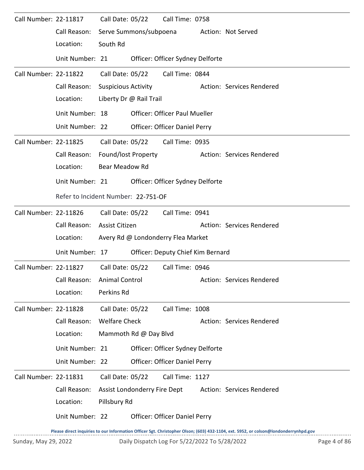| Call Number: 22-11817        |                             |                                     | Call Date: 05/22                     | Call Time: 0758                      |  |                                                                                                                                     |  |  |  |  |
|------------------------------|-----------------------------|-------------------------------------|--------------------------------------|--------------------------------------|--|-------------------------------------------------------------------------------------------------------------------------------------|--|--|--|--|
|                              | Call Reason:                | Serve Summons/subpoena              |                                      |                                      |  | Action: Not Served                                                                                                                  |  |  |  |  |
|                              | Location:                   | South Rd                            |                                      |                                      |  |                                                                                                                                     |  |  |  |  |
|                              | Unit Number: 21             |                                     |                                      | Officer: Officer Sydney Delforte     |  |                                                                                                                                     |  |  |  |  |
| Call Number: 22-11822        |                             | Call Date: 05/22                    |                                      | Call Time: 0844                      |  |                                                                                                                                     |  |  |  |  |
|                              | Call Reason:                | <b>Suspicious Activity</b>          |                                      |                                      |  | Action: Services Rendered                                                                                                           |  |  |  |  |
|                              | Location:                   |                                     |                                      | Liberty Dr @ Rail Trail              |  |                                                                                                                                     |  |  |  |  |
|                              | Unit Number: 18             |                                     | <b>Officer: Officer Paul Mueller</b> |                                      |  |                                                                                                                                     |  |  |  |  |
|                              | Unit Number: 22             |                                     |                                      | Officer: Officer Daniel Perry        |  |                                                                                                                                     |  |  |  |  |
| Call Number: 22-11825        |                             | Call Date: 05/22                    |                                      | Call Time: 0935                      |  |                                                                                                                                     |  |  |  |  |
|                              | Call Reason:                | Found/lost Property                 |                                      |                                      |  | Action: Services Rendered                                                                                                           |  |  |  |  |
|                              | Location:                   |                                     | <b>Bear Meadow Rd</b>                |                                      |  |                                                                                                                                     |  |  |  |  |
|                              | Unit Number: 21             |                                     |                                      | Officer: Officer Sydney Delforte     |  |                                                                                                                                     |  |  |  |  |
|                              |                             | Refer to Incident Number: 22-751-OF |                                      |                                      |  |                                                                                                                                     |  |  |  |  |
| Call Number: 22-11826        |                             | Call Date: 05/22                    |                                      | Call Time: 0941                      |  |                                                                                                                                     |  |  |  |  |
|                              | Call Reason:                | Assist Citizen                      |                                      |                                      |  | Action: Services Rendered                                                                                                           |  |  |  |  |
|                              | Location:                   |                                     | Avery Rd @ Londonderry Flea Market   |                                      |  |                                                                                                                                     |  |  |  |  |
|                              | Unit Number: 17             |                                     |                                      | Officer: Deputy Chief Kim Bernard    |  |                                                                                                                                     |  |  |  |  |
| Call Number: 22-11827        |                             | Call Date: 05/22                    |                                      | Call Time: 0946                      |  |                                                                                                                                     |  |  |  |  |
|                              | Call Reason: Animal Control |                                     |                                      |                                      |  | Action: Services Rendered                                                                                                           |  |  |  |  |
|                              | Location:                   | Perkins Rd                          |                                      |                                      |  |                                                                                                                                     |  |  |  |  |
| <b>Call Number: 22-11828</b> |                             | Call Date: 05/22                    |                                      | Call Time: 1008                      |  |                                                                                                                                     |  |  |  |  |
|                              | Call Reason:                | <b>Welfare Check</b>                |                                      |                                      |  | Action: Services Rendered                                                                                                           |  |  |  |  |
|                              | Location:                   |                                     | Mammoth Rd @ Day Blvd                |                                      |  |                                                                                                                                     |  |  |  |  |
|                              | Unit Number: 21             |                                     |                                      | Officer: Officer Sydney Delforte     |  |                                                                                                                                     |  |  |  |  |
|                              | Unit Number: 22             |                                     |                                      | Officer: Officer Daniel Perry        |  |                                                                                                                                     |  |  |  |  |
| Call Number: 22-11831        |                             | Call Date: 05/22                    |                                      | Call Time: 1127                      |  |                                                                                                                                     |  |  |  |  |
|                              | Call Reason:                | Assist Londonderry Fire Dept        |                                      |                                      |  | Action: Services Rendered                                                                                                           |  |  |  |  |
|                              | Location:                   | Pillsbury Rd                        |                                      |                                      |  |                                                                                                                                     |  |  |  |  |
|                              | Unit Number: 22             |                                     |                                      | <b>Officer: Officer Daniel Perry</b> |  |                                                                                                                                     |  |  |  |  |
|                              |                             |                                     |                                      |                                      |  | Please direct inquiries to our Information Officer Sgt. Christopher Olson; (603) 432-1104, ext. 5952, or colson@londonderrynhpd.gov |  |  |  |  |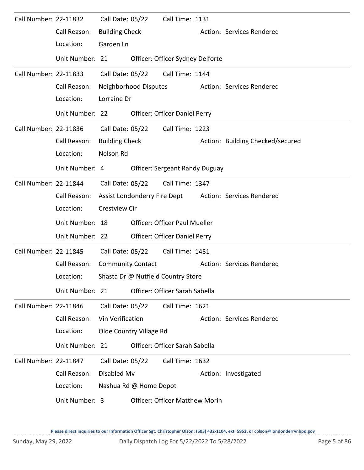| Call Number: 22-11832 |                 | Call Date: 05/22         |                         | Call Time: 1131                       |                                                        |
|-----------------------|-----------------|--------------------------|-------------------------|---------------------------------------|--------------------------------------------------------|
|                       | Call Reason:    | <b>Building Check</b>    |                         |                                       | Action: Services Rendered                              |
|                       | Location:       | Garden Ln                |                         |                                       |                                                        |
|                       | Unit Number: 21 |                          |                         | Officer: Officer Sydney Delforte      |                                                        |
| Call Number: 22-11833 |                 | Call Date: 05/22         |                         | Call Time: 1144                       |                                                        |
|                       | Call Reason:    |                          | Neighborhood Disputes   |                                       | Action: Services Rendered                              |
|                       | Location:       | Lorraine Dr              |                         |                                       |                                                        |
|                       | Unit Number: 22 |                          |                         | <b>Officer: Officer Daniel Perry</b>  |                                                        |
| Call Number: 22-11836 |                 | Call Date: 05/22         |                         | Call Time: 1223                       |                                                        |
|                       | Call Reason:    | <b>Building Check</b>    |                         |                                       | Action: Building Checked/secured                       |
|                       | Location:       | Nelson Rd                |                         |                                       |                                                        |
|                       | Unit Number: 4  |                          |                         | <b>Officer: Sergeant Randy Duguay</b> |                                                        |
| Call Number: 22-11844 |                 | Call Date: 05/22         |                         | Call Time: 1347                       |                                                        |
|                       | Call Reason:    |                          |                         |                                       | Assist Londonderry Fire Dept Action: Services Rendered |
|                       | Location:       | Crestview Cir            |                         |                                       |                                                        |
|                       | Unit Number: 18 |                          |                         | <b>Officer: Officer Paul Mueller</b>  |                                                        |
|                       | Unit Number: 22 |                          |                         | Officer: Officer Daniel Perry         |                                                        |
| Call Number: 22-11845 |                 | Call Date: 05/22         |                         | Call Time: 1451                       |                                                        |
|                       | Call Reason:    | <b>Community Contact</b> |                         |                                       | Action: Services Rendered                              |
|                       | Location:       |                          |                         | Shasta Dr @ Nutfield Country Store    |                                                        |
|                       | Unit Number: 21 |                          |                         | Officer: Officer Sarah Sabella        |                                                        |
| Call Number: 22-11846 |                 | Call Date: 05/22         |                         | Call Time: 1621                       |                                                        |
|                       | Call Reason:    | Vin Verification         |                         |                                       | Action: Services Rendered                              |
|                       | Location:       |                          | Olde Country Village Rd |                                       |                                                        |
|                       | Unit Number: 21 |                          |                         | Officer: Officer Sarah Sabella        |                                                        |
| Call Number: 22-11847 |                 | Call Date: 05/22         |                         | Call Time: 1632                       |                                                        |
|                       | Call Reason:    | Disabled Mv              |                         |                                       | Action: Investigated                                   |
|                       | Location:       |                          | Nashua Rd @ Home Depot  |                                       |                                                        |
|                       | Unit Number: 3  |                          |                         | <b>Officer: Officer Matthew Morin</b> |                                                        |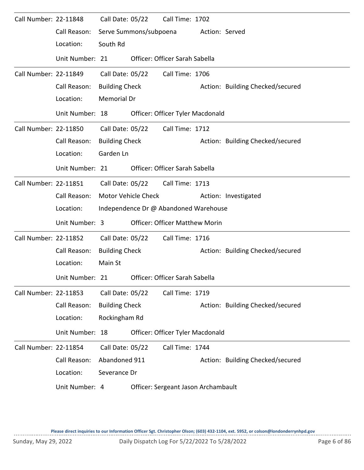| Call Number: 22-11848 |                 | Call Date: 05/22      |                            | Call Time: 1702                       |                |                                  |  |  |  |  |
|-----------------------|-----------------|-----------------------|----------------------------|---------------------------------------|----------------|----------------------------------|--|--|--|--|
|                       | Call Reason:    |                       | Serve Summons/subpoena     |                                       | Action: Served |                                  |  |  |  |  |
|                       | Location:       | South Rd              |                            |                                       |                |                                  |  |  |  |  |
|                       | Unit Number: 21 |                       |                            | Officer: Officer Sarah Sabella        |                |                                  |  |  |  |  |
| Call Number: 22-11849 |                 | Call Date: 05/22      |                            | Call Time: 1706                       |                |                                  |  |  |  |  |
|                       | Call Reason:    | <b>Building Check</b> |                            |                                       |                | Action: Building Checked/secured |  |  |  |  |
|                       | Location:       | <b>Memorial Dr</b>    |                            |                                       |                |                                  |  |  |  |  |
|                       | Unit Number: 18 |                       |                            | Officer: Officer Tyler Macdonald      |                |                                  |  |  |  |  |
| Call Number: 22-11850 |                 | Call Date: 05/22      |                            | Call Time: 1712                       |                |                                  |  |  |  |  |
|                       | Call Reason:    | <b>Building Check</b> |                            |                                       |                | Action: Building Checked/secured |  |  |  |  |
|                       | Location:       | Garden Ln             |                            |                                       |                |                                  |  |  |  |  |
|                       | Unit Number: 21 |                       |                            | Officer: Officer Sarah Sabella        |                |                                  |  |  |  |  |
| Call Number: 22-11851 |                 | Call Date: 05/22      |                            | Call Time: 1713                       |                |                                  |  |  |  |  |
|                       | Call Reason:    |                       | <b>Motor Vehicle Check</b> |                                       |                | Action: Investigated             |  |  |  |  |
|                       | Location:       |                       |                            | Independence Dr @ Abandoned Warehouse |                |                                  |  |  |  |  |
|                       | Unit Number: 3  |                       |                            | <b>Officer: Officer Matthew Morin</b> |                |                                  |  |  |  |  |
| Call Number: 22-11852 |                 | Call Date: 05/22      |                            | Call Time: 1716                       |                |                                  |  |  |  |  |
|                       | Call Reason:    | <b>Building Check</b> |                            |                                       |                | Action: Building Checked/secured |  |  |  |  |
|                       | Location:       | Main St               |                            |                                       |                |                                  |  |  |  |  |
|                       | Unit Number: 21 |                       |                            | Officer: Officer Sarah Sabella        |                |                                  |  |  |  |  |
| Call Number: 22-11853 |                 | Call Date: 05/22      |                            | Call Time: 1719                       |                |                                  |  |  |  |  |
|                       | Call Reason:    | <b>Building Check</b> |                            |                                       |                | Action: Building Checked/secured |  |  |  |  |
|                       | Location:       | Rockingham Rd         |                            |                                       |                |                                  |  |  |  |  |
|                       | Unit Number: 18 |                       |                            | Officer: Officer Tyler Macdonald      |                |                                  |  |  |  |  |
| Call Number: 22-11854 |                 | Call Date: 05/22      |                            | Call Time: 1744                       |                |                                  |  |  |  |  |
|                       | Call Reason:    | Abandoned 911         |                            |                                       |                | Action: Building Checked/secured |  |  |  |  |
|                       | Location:       | Severance Dr          |                            |                                       |                |                                  |  |  |  |  |
|                       |                 |                       |                            |                                       |                |                                  |  |  |  |  |

 $\sim$   $\sim$   $\sim$   $\sim$   $\sim$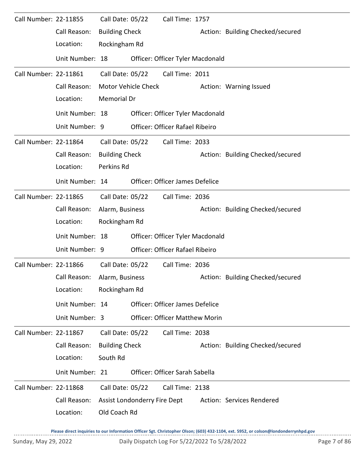| Call Number: 22-11855 |                 | Call Date: 05/22      |                                  | Call Time: 1757                        |  |                                  |  |  |  |  |
|-----------------------|-----------------|-----------------------|----------------------------------|----------------------------------------|--|----------------------------------|--|--|--|--|
|                       | Call Reason:    | <b>Building Check</b> |                                  |                                        |  | Action: Building Checked/secured |  |  |  |  |
|                       | Location:       | Rockingham Rd         |                                  |                                        |  |                                  |  |  |  |  |
|                       | Unit Number: 18 |                       |                                  | Officer: Officer Tyler Macdonald       |  |                                  |  |  |  |  |
| Call Number: 22-11861 |                 | Call Date: 05/22      |                                  | Call Time: 2011                        |  |                                  |  |  |  |  |
|                       | Call Reason:    |                       | Motor Vehicle Check              |                                        |  | Action: Warning Issued           |  |  |  |  |
|                       | Location:       | <b>Memorial Dr</b>    |                                  |                                        |  |                                  |  |  |  |  |
|                       | Unit Number: 18 |                       | Officer: Officer Tyler Macdonald |                                        |  |                                  |  |  |  |  |
|                       | Unit Number: 9  |                       |                                  | Officer: Officer Rafael Ribeiro        |  |                                  |  |  |  |  |
| Call Number: 22-11864 |                 | Call Date: 05/22      |                                  | Call Time: 2033                        |  |                                  |  |  |  |  |
|                       | Call Reason:    | <b>Building Check</b> |                                  |                                        |  | Action: Building Checked/secured |  |  |  |  |
|                       | Location:       | Perkins Rd            |                                  |                                        |  |                                  |  |  |  |  |
|                       | Unit Number: 14 |                       |                                  | Officer: Officer James Defelice        |  |                                  |  |  |  |  |
| Call Number: 22-11865 |                 | Call Date: 05/22      |                                  | Call Time: 2036                        |  |                                  |  |  |  |  |
|                       | Call Reason:    | Alarm, Business       |                                  |                                        |  | Action: Building Checked/secured |  |  |  |  |
|                       | Location:       | Rockingham Rd         |                                  |                                        |  |                                  |  |  |  |  |
|                       | Unit Number: 18 |                       |                                  | Officer: Officer Tyler Macdonald       |  |                                  |  |  |  |  |
|                       | Unit Number: 9  |                       |                                  | Officer: Officer Rafael Ribeiro        |  |                                  |  |  |  |  |
| Call Number: 22-11866 |                 | Call Date: 05/22      |                                  | Call Time: 2036                        |  |                                  |  |  |  |  |
|                       | Call Reason:    | Alarm, Business       |                                  |                                        |  | Action: Building Checked/secured |  |  |  |  |
|                       | Location:       | Rockingham Rd         |                                  |                                        |  |                                  |  |  |  |  |
|                       | Unit Number: 14 |                       |                                  | <b>Officer: Officer James Defelice</b> |  |                                  |  |  |  |  |
|                       | Unit Number: 3  |                       |                                  | <b>Officer: Officer Matthew Morin</b>  |  |                                  |  |  |  |  |
| Call Number: 22-11867 |                 | Call Date: 05/22      |                                  | Call Time: 2038                        |  |                                  |  |  |  |  |
|                       | Call Reason:    | <b>Building Check</b> |                                  |                                        |  | Action: Building Checked/secured |  |  |  |  |
|                       | Location:       | South Rd              |                                  |                                        |  |                                  |  |  |  |  |
|                       | Unit Number: 21 |                       |                                  | Officer: Officer Sarah Sabella         |  |                                  |  |  |  |  |
| Call Number: 22-11868 |                 | Call Date: 05/22      |                                  | Call Time: 2138                        |  |                                  |  |  |  |  |
|                       | Call Reason:    |                       |                                  | Assist Londonderry Fire Dept           |  | Action: Services Rendered        |  |  |  |  |
|                       |                 |                       |                                  |                                        |  |                                  |  |  |  |  |
|                       | Location:       | Old Coach Rd          |                                  |                                        |  |                                  |  |  |  |  |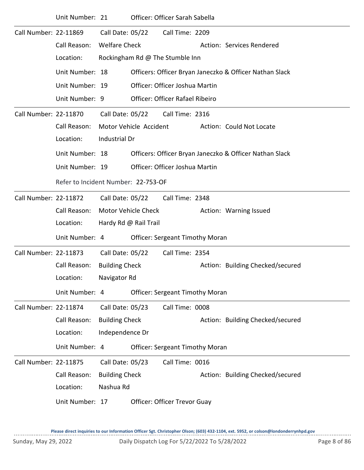|                       | Unit Number: 21                     |                       |                                 | Officer: Officer Sarah Sabella         |                                                         |
|-----------------------|-------------------------------------|-----------------------|---------------------------------|----------------------------------------|---------------------------------------------------------|
| Call Number: 22-11869 |                                     | Call Date: 05/22      |                                 | Call Time: 2209                        |                                                         |
|                       | Call Reason:                        | <b>Welfare Check</b>  |                                 |                                        | Action: Services Rendered                               |
|                       | Location:                           |                       | Rockingham Rd @ The Stumble Inn |                                        |                                                         |
|                       | Unit Number: 18                     |                       |                                 |                                        | Officers: Officer Bryan Janeczko & Officer Nathan Slack |
|                       | Unit Number: 19                     |                       |                                 | Officer: Officer Joshua Martin         |                                                         |
|                       | Unit Number: 9                      |                       |                                 | Officer: Officer Rafael Ribeiro        |                                                         |
| Call Number: 22-11870 |                                     | Call Date: 05/22      |                                 | Call Time: 2316                        |                                                         |
|                       | Call Reason:                        |                       | Motor Vehicle Accident          |                                        | Action: Could Not Locate                                |
|                       | Location:                           | Industrial Dr         |                                 |                                        |                                                         |
|                       | Unit Number: 18                     |                       |                                 |                                        | Officers: Officer Bryan Janeczko & Officer Nathan Slack |
|                       | Unit Number: 19                     |                       |                                 | Officer: Officer Joshua Martin         |                                                         |
|                       | Refer to Incident Number: 22-753-OF |                       |                                 |                                        |                                                         |
| Call Number: 22-11872 |                                     | Call Date: 05/22      |                                 | Call Time: 2348                        |                                                         |
|                       | Call Reason:                        |                       | Motor Vehicle Check             |                                        | Action: Warning Issued                                  |
|                       | Location:                           |                       | Hardy Rd @ Rail Trail           |                                        |                                                         |
|                       | Unit Number: 4                      |                       |                                 | <b>Officer: Sergeant Timothy Moran</b> |                                                         |
| Call Number: 22-11873 |                                     | Call Date: 05/22      |                                 | Call Time: 2354                        |                                                         |
|                       | Call Reason:                        | <b>Building Check</b> |                                 |                                        | Action: Building Checked/secured                        |
|                       | Location:                           | Navigator Rd          |                                 |                                        |                                                         |
|                       | Unit Number: 4                      |                       |                                 | <b>Officer: Sergeant Timothy Moran</b> |                                                         |
| Call Number: 22-11874 |                                     | Call Date: 05/23      |                                 | Call Time: 0008                        |                                                         |
|                       | Call Reason:                        | <b>Building Check</b> |                                 |                                        | Action: Building Checked/secured                        |
|                       | Location:                           | Independence Dr       |                                 |                                        |                                                         |
|                       | Unit Number: 4                      |                       |                                 | <b>Officer: Sergeant Timothy Moran</b> |                                                         |
| Call Number: 22-11875 |                                     | Call Date: 05/23      |                                 | Call Time: 0016                        |                                                         |
|                       | Call Reason:                        | <b>Building Check</b> |                                 |                                        | Action: Building Checked/secured                        |
|                       | Location:                           | Nashua Rd             |                                 |                                        |                                                         |
|                       | Unit Number: 17                     |                       |                                 | Officer: Officer Trevor Guay           |                                                         |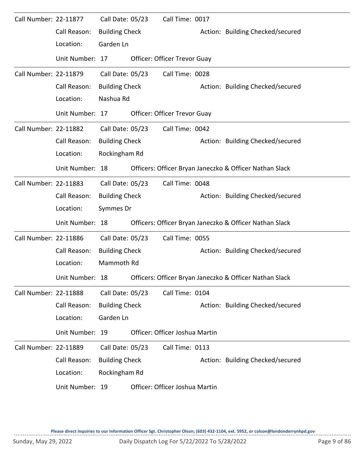| Call Number: 22-11877 |                 | Call Date: 05/23      | Call Time: 0017                |                                                         |
|-----------------------|-----------------|-----------------------|--------------------------------|---------------------------------------------------------|
|                       | Call Reason:    | <b>Building Check</b> |                                | Action: Building Checked/secured                        |
|                       | Location:       | Garden Ln             |                                |                                                         |
|                       | Unit Number: 17 |                       | Officer: Officer Trevor Guay   |                                                         |
| Call Number: 22-11879 |                 | Call Date: 05/23      | Call Time: 0028                |                                                         |
|                       | Call Reason:    | <b>Building Check</b> |                                | Action: Building Checked/secured                        |
|                       | Location:       | Nashua Rd             |                                |                                                         |
|                       | Unit Number: 17 |                       | Officer: Officer Trevor Guay   |                                                         |
| Call Number: 22-11882 |                 | Call Date: 05/23      | Call Time: 0042                |                                                         |
|                       | Call Reason:    | <b>Building Check</b> |                                | Action: Building Checked/secured                        |
|                       | Location:       | Rockingham Rd         |                                |                                                         |
|                       | Unit Number: 18 |                       |                                | Officers: Officer Bryan Janeczko & Officer Nathan Slack |
| Call Number: 22-11883 |                 | Call Date: 05/23      | Call Time: 0048                |                                                         |
|                       | Call Reason:    | <b>Building Check</b> |                                | Action: Building Checked/secured                        |
|                       | Location:       | Symmes Dr             |                                |                                                         |
|                       | Unit Number: 18 |                       |                                | Officers: Officer Bryan Janeczko & Officer Nathan Slack |
| Call Number: 22-11886 |                 | Call Date: 05/23      | Call Time: 0055                |                                                         |
|                       | Call Reason:    | <b>Building Check</b> |                                | Action: Building Checked/secured                        |
|                       | Location:       | Mammoth Rd            |                                |                                                         |
|                       | Unit Number: 18 |                       |                                | Officers: Officer Bryan Janeczko & Officer Nathan Slack |
| Call Number: 22-11888 |                 | Call Date: 05/23      | Call Time: 0104                |                                                         |
|                       | Call Reason:    | <b>Building Check</b> |                                | Action: Building Checked/secured                        |
|                       | Location:       | Garden Ln             |                                |                                                         |
|                       | Unit Number: 19 |                       | Officer: Officer Joshua Martin |                                                         |
| Call Number: 22-11889 |                 | Call Date: 05/23      | Call Time: 0113                |                                                         |
|                       | Call Reason:    | <b>Building Check</b> |                                | Action: Building Checked/secured                        |
|                       | Location:       | Rockingham Rd         |                                |                                                         |
|                       | Unit Number: 19 |                       | Officer: Officer Joshua Martin |                                                         |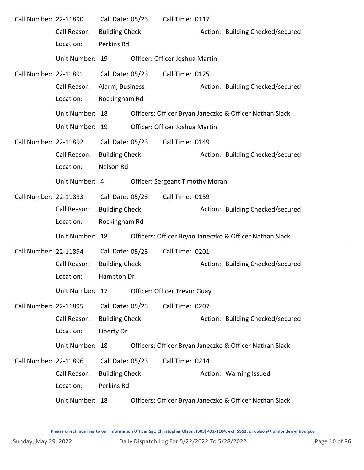| Call Number: 22-11890        |                 | Call Date: 05/23      | Call Time: 0117                        |                                                         |
|------------------------------|-----------------|-----------------------|----------------------------------------|---------------------------------------------------------|
|                              | Call Reason:    | <b>Building Check</b> |                                        | Action: Building Checked/secured                        |
|                              | Location:       | Perkins Rd            |                                        |                                                         |
|                              | Unit Number: 19 |                       | Officer: Officer Joshua Martin         |                                                         |
| Call Number: 22-11891        |                 | Call Date: 05/23      | Call Time: 0125                        |                                                         |
|                              | Call Reason:    | Alarm, Business       |                                        | Action: Building Checked/secured                        |
|                              | Location:       | Rockingham Rd         |                                        |                                                         |
|                              | Unit Number: 18 |                       |                                        | Officers: Officer Bryan Janeczko & Officer Nathan Slack |
|                              | Unit Number: 19 |                       | Officer: Officer Joshua Martin         |                                                         |
| <b>Call Number: 22-11892</b> |                 | Call Date: 05/23      | Call Time: 0149                        |                                                         |
|                              | Call Reason:    | <b>Building Check</b> |                                        | Action: Building Checked/secured                        |
|                              | Location:       | Nelson Rd             |                                        |                                                         |
|                              | Unit Number: 4  |                       | <b>Officer: Sergeant Timothy Moran</b> |                                                         |
| Call Number: 22-11893        |                 | Call Date: 05/23      | Call Time: 0159                        |                                                         |
|                              | Call Reason:    | <b>Building Check</b> |                                        | Action: Building Checked/secured                        |
|                              | Location:       | Rockingham Rd         |                                        |                                                         |
|                              | Unit Number: 18 |                       |                                        | Officers: Officer Bryan Janeczko & Officer Nathan Slack |
| Call Number: 22-11894        |                 | Call Date: 05/23      | Call Time: 0201                        |                                                         |
|                              | Call Reason:    | <b>Building Check</b> |                                        | Action: Building Checked/secured                        |
|                              | Location:       | Hampton Dr            |                                        |                                                         |
|                              | Unit Number: 17 |                       | <b>Officer: Officer Trevor Guay</b>    |                                                         |
| Call Number: 22-11895        |                 | Call Date: 05/23      | Call Time: 0207                        |                                                         |
|                              | Call Reason:    | <b>Building Check</b> |                                        | Action: Building Checked/secured                        |
|                              | Location:       | Liberty Dr            |                                        |                                                         |
|                              | Unit Number: 18 |                       |                                        | Officers: Officer Bryan Janeczko & Officer Nathan Slack |
| Call Number: 22-11896        |                 | Call Date: 05/23      | Call Time: 0214                        |                                                         |
|                              | Call Reason:    | <b>Building Check</b> |                                        | Action: Warning Issued                                  |
|                              | Location:       | Perkins Rd            |                                        |                                                         |
|                              | Unit Number: 18 |                       |                                        | Officers: Officer Bryan Janeczko & Officer Nathan Slack |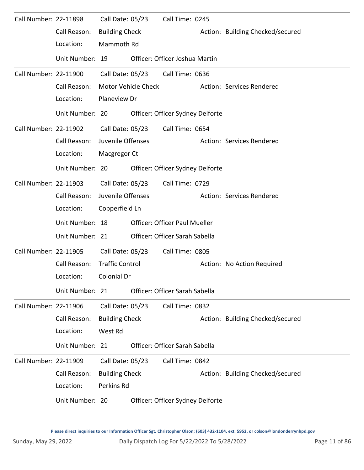| Call Number: 22-11898 |                 | Call Date: 05/23       |                     | Call Time: 0245                      |                                  |
|-----------------------|-----------------|------------------------|---------------------|--------------------------------------|----------------------------------|
|                       | Call Reason:    | <b>Building Check</b>  |                     |                                      | Action: Building Checked/secured |
|                       | Location:       | Mammoth Rd             |                     |                                      |                                  |
|                       | Unit Number: 19 |                        |                     | Officer: Officer Joshua Martin       |                                  |
| Call Number: 22-11900 |                 | Call Date: 05/23       |                     | Call Time: 0636                      |                                  |
|                       | Call Reason:    |                        | Motor Vehicle Check |                                      | Action: Services Rendered        |
|                       | Location:       | Planeview Dr           |                     |                                      |                                  |
|                       | Unit Number: 20 |                        |                     | Officer: Officer Sydney Delforte     |                                  |
| Call Number: 22-11902 |                 | Call Date: 05/23       |                     | Call Time: 0654                      |                                  |
|                       | Call Reason:    | Juvenile Offenses      |                     |                                      | Action: Services Rendered        |
|                       | Location:       | Macgregor Ct           |                     |                                      |                                  |
|                       | Unit Number: 20 |                        |                     | Officer: Officer Sydney Delforte     |                                  |
| Call Number: 22-11903 |                 | Call Date: 05/23       |                     | Call Time: 0729                      |                                  |
|                       | Call Reason:    | Juvenile Offenses      |                     |                                      | Action: Services Rendered        |
|                       | Location:       | Copperfield Ln         |                     |                                      |                                  |
|                       | Unit Number: 18 |                        |                     | <b>Officer: Officer Paul Mueller</b> |                                  |
|                       | Unit Number: 21 |                        |                     | Officer: Officer Sarah Sabella       |                                  |
| Call Number: 22-11905 |                 | Call Date: 05/23       |                     | Call Time: 0805                      |                                  |
|                       | Call Reason:    | <b>Traffic Control</b> |                     |                                      | Action: No Action Required       |
|                       | Location:       | Colonial Dr            |                     |                                      |                                  |
|                       | Unit Number: 21 |                        |                     | Officer: Officer Sarah Sabella       |                                  |
| Call Number: 22-11906 |                 | Call Date: 05/23       |                     | Call Time: 0832                      |                                  |
|                       | Call Reason:    | <b>Building Check</b>  |                     |                                      | Action: Building Checked/secured |
|                       | Location:       | West Rd                |                     |                                      |                                  |
|                       | Unit Number: 21 |                        |                     | Officer: Officer Sarah Sabella       |                                  |
| Call Number: 22-11909 |                 | Call Date: 05/23       |                     | Call Time: 0842                      |                                  |
|                       | Call Reason:    | <b>Building Check</b>  |                     |                                      | Action: Building Checked/secured |
|                       | Location:       | Perkins Rd             |                     |                                      |                                  |
|                       | Unit Number: 20 |                        |                     | Officer: Officer Sydney Delforte     |                                  |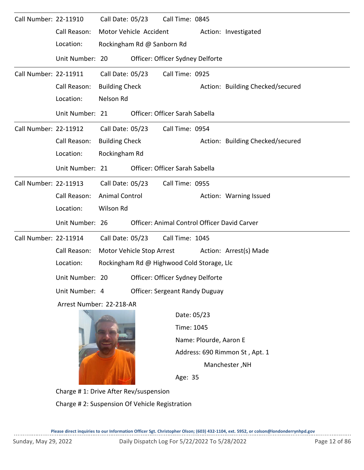| Call Number: 22-11910 |                                                  | Call Date: 05/23      |                                | Call Time: 0845 |                                            |                                              |  |  |
|-----------------------|--------------------------------------------------|-----------------------|--------------------------------|-----------------|--------------------------------------------|----------------------------------------------|--|--|
|                       | Call Reason:                                     |                       | Motor Vehicle Accident         |                 |                                            | Action: Investigated                         |  |  |
|                       | Location:                                        |                       | Rockingham Rd @ Sanborn Rd     |                 |                                            |                                              |  |  |
|                       | Unit Number: 20                                  |                       |                                |                 | Officer: Officer Sydney Delforte           |                                              |  |  |
| Call Number: 22-11911 |                                                  | Call Date: 05/23      |                                | Call Time: 0925 |                                            |                                              |  |  |
|                       | Call Reason:                                     | <b>Building Check</b> |                                |                 |                                            | Action: Building Checked/secured             |  |  |
|                       | Location:                                        | Nelson Rd             |                                |                 |                                            |                                              |  |  |
|                       | Unit Number: 21                                  |                       | Officer: Officer Sarah Sabella |                 |                                            |                                              |  |  |
| Call Number: 22-11912 |                                                  |                       | Call Date: 05/23               | Call Time: 0954 |                                            |                                              |  |  |
|                       | Call Reason:                                     | <b>Building Check</b> |                                |                 |                                            | Action: Building Checked/secured             |  |  |
|                       | Location:                                        | Rockingham Rd         |                                |                 |                                            |                                              |  |  |
|                       | Unit Number: 21                                  |                       | Officer: Officer Sarah Sabella |                 |                                            |                                              |  |  |
| Call Number: 22-11913 |                                                  | Call Date: 05/23      |                                | Call Time: 0955 |                                            |                                              |  |  |
|                       | Call Reason:                                     | <b>Animal Control</b> |                                |                 |                                            | Action: Warning Issued                       |  |  |
|                       | Location:                                        | Wilson Rd             |                                |                 |                                            |                                              |  |  |
|                       | Unit Number: 26                                  |                       |                                |                 |                                            | Officer: Animal Control Officer David Carver |  |  |
| Call Number: 22-11914 |                                                  | Call Date: 05/23      |                                | Call Time: 1045 |                                            |                                              |  |  |
|                       | Call Reason:                                     |                       | Motor Vehicle Stop Arrest      |                 |                                            | Action: Arrest(s) Made                       |  |  |
|                       | Location:                                        |                       |                                |                 | Rockingham Rd @ Highwood Cold Storage, Llc |                                              |  |  |
|                       | Unit Number: 20 Officer: Officer Sydney Delforte |                       |                                |                 |                                            |                                              |  |  |
|                       | Unit Number: 4                                   |                       |                                |                 | <b>Officer: Sergeant Randy Duguay</b>      |                                              |  |  |
|                       | Arrest Number: 22-218-AR                         |                       |                                |                 |                                            |                                              |  |  |
|                       |                                                  |                       |                                |                 | Date: 05/23                                |                                              |  |  |
|                       |                                                  |                       |                                |                 | Time: 1045                                 |                                              |  |  |
|                       |                                                  |                       |                                |                 | Name: Plourde, Aaron E                     |                                              |  |  |
|                       |                                                  |                       |                                |                 |                                            | Address: 690 Rimmon St, Apt. 1               |  |  |
|                       |                                                  |                       |                                |                 | Manchester, NH                             |                                              |  |  |
|                       |                                                  |                       |                                |                 | Age: 35                                    |                                              |  |  |
|                       | Charge #1: Drive After Rev/suspension            |                       |                                |                 |                                            |                                              |  |  |

Charge # 2: Suspension Of Vehicle Registration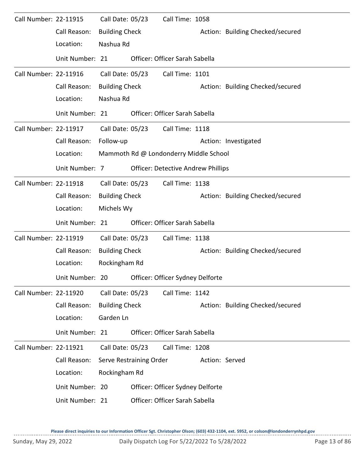| Call Number: 22-11915 |                 | Call Date: 05/23      |                         | Call Time: 1058                           |                |                                  |
|-----------------------|-----------------|-----------------------|-------------------------|-------------------------------------------|----------------|----------------------------------|
|                       | Call Reason:    | <b>Building Check</b> |                         |                                           |                | Action: Building Checked/secured |
|                       | Location:       | Nashua Rd             |                         |                                           |                |                                  |
|                       | Unit Number: 21 |                       |                         | Officer: Officer Sarah Sabella            |                |                                  |
| Call Number: 22-11916 |                 | Call Date: 05/23      |                         | Call Time: 1101                           |                |                                  |
|                       | Call Reason:    | <b>Building Check</b> |                         |                                           |                | Action: Building Checked/secured |
|                       | Location:       | Nashua Rd             |                         |                                           |                |                                  |
|                       | Unit Number: 21 |                       |                         | Officer: Officer Sarah Sabella            |                |                                  |
| Call Number: 22-11917 |                 | Call Date: 05/23      |                         | Call Time: 1118                           |                |                                  |
|                       | Call Reason:    | Follow-up             |                         |                                           |                | Action: Investigated             |
|                       | Location:       |                       |                         | Mammoth Rd @ Londonderry Middle School    |                |                                  |
|                       | Unit Number: 7  |                       |                         | <b>Officer: Detective Andrew Phillips</b> |                |                                  |
| Call Number: 22-11918 |                 | Call Date: 05/23      |                         | Call Time: 1138                           |                |                                  |
|                       | Call Reason:    | <b>Building Check</b> |                         |                                           |                | Action: Building Checked/secured |
|                       | Location:       | Michels Wy            |                         |                                           |                |                                  |
|                       | Unit Number: 21 |                       |                         | Officer: Officer Sarah Sabella            |                |                                  |
| Call Number: 22-11919 |                 | Call Date: 05/23      |                         | Call Time: 1138                           |                |                                  |
|                       | Call Reason:    | <b>Building Check</b> |                         |                                           |                | Action: Building Checked/secured |
|                       | Location:       | Rockingham Rd         |                         |                                           |                |                                  |
|                       | Unit Number: 20 |                       |                         | Officer: Officer Sydney Delforte          |                |                                  |
| Call Number: 22-11920 |                 | Call Date: 05/23      |                         | Call Time: 1142                           |                |                                  |
|                       | Call Reason:    | <b>Building Check</b> |                         |                                           |                | Action: Building Checked/secured |
|                       | Location:       | Garden Ln             |                         |                                           |                |                                  |
|                       | Unit Number: 21 |                       |                         | Officer: Officer Sarah Sabella            |                |                                  |
| Call Number: 22-11921 |                 | Call Date: 05/23      |                         | Call Time: 1208                           |                |                                  |
|                       | Call Reason:    |                       | Serve Restraining Order |                                           | Action: Served |                                  |
|                       | Location:       | Rockingham Rd         |                         |                                           |                |                                  |
|                       | Unit Number: 20 |                       |                         | Officer: Officer Sydney Delforte          |                |                                  |
|                       | Unit Number: 21 |                       |                         | Officer: Officer Sarah Sabella            |                |                                  |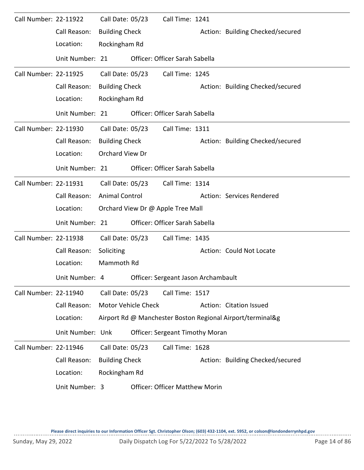| Call Number: 22-11922        |                  | Call Date: 05/23       | Call Time: 1241                        |                                                            |
|------------------------------|------------------|------------------------|----------------------------------------|------------------------------------------------------------|
|                              | Call Reason:     | <b>Building Check</b>  |                                        | Action: Building Checked/secured                           |
|                              | Location:        | Rockingham Rd          |                                        |                                                            |
|                              | Unit Number: 21  |                        | Officer: Officer Sarah Sabella         |                                                            |
| <b>Call Number: 22-11925</b> |                  | Call Date: 05/23       | Call Time: 1245                        |                                                            |
|                              | Call Reason:     | <b>Building Check</b>  |                                        | Action: Building Checked/secured                           |
|                              | Location:        | Rockingham Rd          |                                        |                                                            |
|                              | Unit Number: 21  |                        | Officer: Officer Sarah Sabella         |                                                            |
| Call Number: 22-11930        |                  | Call Date: 05/23       | Call Time: 1311                        |                                                            |
|                              | Call Reason:     | <b>Building Check</b>  |                                        | Action: Building Checked/secured                           |
|                              | Location:        | <b>Orchard View Dr</b> |                                        |                                                            |
|                              | Unit Number: 21  |                        | Officer: Officer Sarah Sabella         |                                                            |
| Call Number: 22-11931        |                  | Call Date: 05/23       | Call Time: 1314                        |                                                            |
|                              | Call Reason:     | <b>Animal Control</b>  |                                        | Action: Services Rendered                                  |
|                              | Location:        |                        | Orchard View Dr @ Apple Tree Mall      |                                                            |
|                              | Unit Number: 21  |                        | Officer: Officer Sarah Sabella         |                                                            |
| Call Number: 22-11938        |                  | Call Date: 05/23       | Call Time: 1435                        |                                                            |
|                              | Call Reason:     | Soliciting             |                                        | Action: Could Not Locate                                   |
|                              | Location:        | Mammoth Rd             |                                        |                                                            |
|                              | Unit Number: 4   |                        | Officer: Sergeant Jason Archambault    |                                                            |
| Call Number: 22-11940        |                  | Call Date: 05/23       | Call Time: 1517                        |                                                            |
|                              | Call Reason:     | Motor Vehicle Check    |                                        | Action: Citation Issued                                    |
|                              | Location:        |                        |                                        | Airport Rd @ Manchester Boston Regional Airport/terminal&g |
|                              | Unit Number: Unk |                        | <b>Officer: Sergeant Timothy Moran</b> |                                                            |
| Call Number: 22-11946        |                  | Call Date: 05/23       | Call Time: 1628                        |                                                            |
|                              | Call Reason:     | <b>Building Check</b>  |                                        | Action: Building Checked/secured                           |
|                              | Location:        | Rockingham Rd          |                                        |                                                            |
|                              |                  |                        |                                        |                                                            |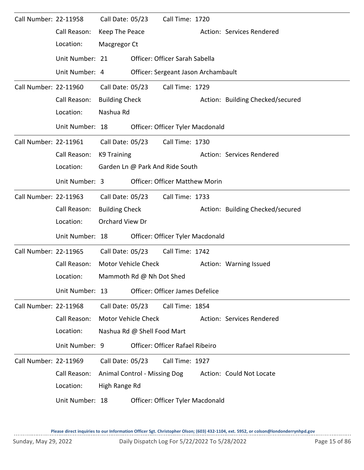| Call Number: 22-11958 |                 | Call Date: 05/23           |                             | Call Time: 1720                        |                                  |
|-----------------------|-----------------|----------------------------|-----------------------------|----------------------------------------|----------------------------------|
|                       | Call Reason:    | Keep The Peace             |                             |                                        | Action: Services Rendered        |
|                       | Location:       | Macgregor Ct               |                             |                                        |                                  |
|                       | Unit Number: 21 |                            |                             | Officer: Officer Sarah Sabella         |                                  |
|                       | Unit Number: 4  |                            |                             | Officer: Sergeant Jason Archambault    |                                  |
| Call Number: 22-11960 |                 | Call Date: 05/23           |                             | Call Time: 1729                        |                                  |
|                       | Call Reason:    | <b>Building Check</b>      |                             |                                        | Action: Building Checked/secured |
|                       | Location:       | Nashua Rd                  |                             |                                        |                                  |
|                       | Unit Number: 18 |                            |                             | Officer: Officer Tyler Macdonald       |                                  |
| Call Number: 22-11961 |                 | Call Date: 05/23           |                             | Call Time: 1730                        |                                  |
|                       | Call Reason:    | K9 Training                |                             |                                        | Action: Services Rendered        |
|                       | Location:       |                            |                             | Garden Ln @ Park And Ride South        |                                  |
|                       | Unit Number: 3  |                            |                             | <b>Officer: Officer Matthew Morin</b>  |                                  |
| Call Number: 22-11963 |                 | Call Date: 05/23           |                             | Call Time: 1733                        |                                  |
|                       | Call Reason:    | <b>Building Check</b>      |                             |                                        | Action: Building Checked/secured |
|                       | Location:       | Orchard View Dr            |                             |                                        |                                  |
|                       | Unit Number: 18 |                            |                             | Officer: Officer Tyler Macdonald       |                                  |
| Call Number: 22-11965 |                 | Call Date: 05/23           |                             | Call Time: 1742                        |                                  |
|                       | Call Reason:    |                            | Motor Vehicle Check         |                                        | Action: Warning Issued           |
|                       | Location:       |                            | Mammoth Rd @ Nh Dot Shed    |                                        |                                  |
|                       | Unit Number: 13 |                            |                             | <b>Officer: Officer James Defelice</b> |                                  |
| Call Number: 22-11968 |                 | Call Date: 05/23           |                             | Call Time: 1854                        |                                  |
|                       | Call Reason:    | <b>Motor Vehicle Check</b> |                             |                                        | Action: Services Rendered        |
|                       | Location:       |                            | Nashua Rd @ Shell Food Mart |                                        |                                  |
|                       | Unit Number: 9  |                            |                             | <b>Officer: Officer Rafael Ribeiro</b> |                                  |
| Call Number: 22-11969 |                 |                            | Call Date: 05/23            | Call Time: 1927                        |                                  |
|                       | Call Reason:    |                            |                             | Animal Control - Missing Dog           | Action: Could Not Locate         |
|                       | Location:       | High Range Rd              |                             |                                        |                                  |
|                       | Unit Number: 18 |                            |                             | Officer: Officer Tyler Macdonald       |                                  |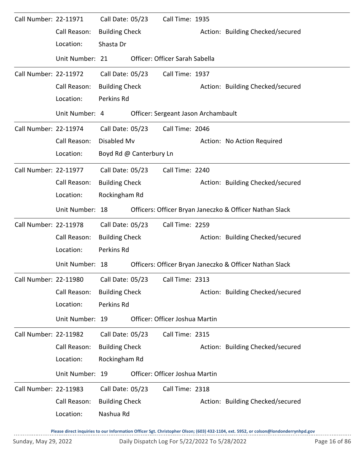| Call Number: 22-11971        |                                                              | Call Date: 05/23      |                         | Call Time: 1935                     |                                                         |
|------------------------------|--------------------------------------------------------------|-----------------------|-------------------------|-------------------------------------|---------------------------------------------------------|
|                              | Call Reason:                                                 | <b>Building Check</b> |                         |                                     | Action: Building Checked/secured                        |
|                              | Location:                                                    | Shasta Dr             |                         |                                     |                                                         |
|                              | Unit Number: 21                                              |                       |                         | Officer: Officer Sarah Sabella      |                                                         |
| <b>Call Number: 22-11972</b> |                                                              | Call Date: 05/23      |                         | Call Time: 1937                     |                                                         |
|                              | Call Reason:                                                 | <b>Building Check</b> |                         |                                     | Action: Building Checked/secured                        |
|                              | Location:                                                    | Perkins Rd            |                         |                                     |                                                         |
|                              | Unit Number: 4                                               |                       |                         | Officer: Sergeant Jason Archambault |                                                         |
| Call Number: 22-11974        |                                                              | Call Date: 05/23      |                         | Call Time: 2046                     |                                                         |
|                              | Call Reason:                                                 | Disabled Mv           |                         |                                     | Action: No Action Required                              |
|                              | Location:                                                    |                       | Boyd Rd @ Canterbury Ln |                                     |                                                         |
| Call Number: 22-11977        |                                                              | Call Date: 05/23      |                         | Call Time: 2240                     |                                                         |
|                              | Call Reason:                                                 | <b>Building Check</b> |                         |                                     | Action: Building Checked/secured                        |
|                              | Location:                                                    | Rockingham Rd         |                         |                                     |                                                         |
|                              | Unit Number: 18                                              |                       |                         |                                     | Officers: Officer Bryan Janeczko & Officer Nathan Slack |
| Call Number: 22-11978        |                                                              | Call Date: 05/23      |                         | Call Time: 2259                     |                                                         |
|                              | Call Reason:                                                 | <b>Building Check</b> |                         |                                     | Action: Building Checked/secured                        |
|                              | Location:                                                    | Perkins Rd            |                         |                                     |                                                         |
|                              | Unit Number: 18                                              |                       |                         |                                     | Officers: Officer Bryan Janeczko & Officer Nathan Slack |
|                              | Call Number: 22-11980    Call Date: 05/23    Call Time: 2313 |                       |                         |                                     |                                                         |
|                              | Call Reason:                                                 | <b>Building Check</b> |                         |                                     | Action: Building Checked/secured                        |
|                              | Location:                                                    | Perkins Rd            |                         |                                     |                                                         |
|                              | Unit Number: 19                                              |                       |                         | Officer: Officer Joshua Martin      |                                                         |
| Call Number: 22-11982        |                                                              | Call Date: 05/23      |                         | Call Time: 2315                     |                                                         |
|                              | Call Reason:                                                 | <b>Building Check</b> |                         |                                     | Action: Building Checked/secured                        |
|                              | Location:                                                    | Rockingham Rd         |                         |                                     |                                                         |
|                              | Unit Number: 19                                              |                       |                         | Officer: Officer Joshua Martin      |                                                         |
| Call Number: 22-11983        |                                                              | Call Date: 05/23      |                         | Call Time: 2318                     |                                                         |
|                              | Call Reason:                                                 | <b>Building Check</b> |                         |                                     | Action: Building Checked/secured                        |
|                              | Location:                                                    | Nashua Rd             |                         |                                     |                                                         |
|                              |                                                              |                       |                         |                                     |                                                         |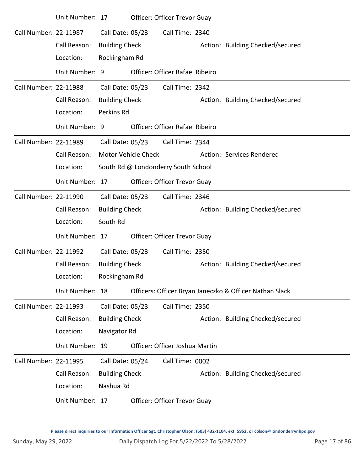|                       | Unit Number: 17 |                       |                            | <b>Officer: Officer Trevor Guay</b>    |                                                         |
|-----------------------|-----------------|-----------------------|----------------------------|----------------------------------------|---------------------------------------------------------|
| Call Number: 22-11987 |                 | Call Date: 05/23      |                            | Call Time: 2340                        |                                                         |
|                       | Call Reason:    | <b>Building Check</b> |                            |                                        | Action: Building Checked/secured                        |
|                       | Location:       | Rockingham Rd         |                            |                                        |                                                         |
|                       | Unit Number: 9  |                       |                            | <b>Officer: Officer Rafael Ribeiro</b> |                                                         |
| Call Number: 22-11988 |                 | Call Date: 05/23      |                            | Call Time: 2342                        |                                                         |
|                       | Call Reason:    | <b>Building Check</b> |                            |                                        | Action: Building Checked/secured                        |
|                       | Location:       | Perkins Rd            |                            |                                        |                                                         |
|                       | Unit Number: 9  |                       |                            | <b>Officer: Officer Rafael Ribeiro</b> |                                                         |
| Call Number: 22-11989 |                 | Call Date: 05/23      |                            | Call Time: 2344                        |                                                         |
|                       | Call Reason:    |                       | <b>Motor Vehicle Check</b> |                                        | Action: Services Rendered                               |
|                       | Location:       |                       |                            | South Rd @ Londonderry South School    |                                                         |
|                       | Unit Number: 17 |                       |                            | Officer: Officer Trevor Guay           |                                                         |
| Call Number: 22-11990 |                 | Call Date: 05/23      |                            | Call Time: 2346                        |                                                         |
|                       | Call Reason:    | <b>Building Check</b> |                            |                                        | Action: Building Checked/secured                        |
|                       | Location:       | South Rd              |                            |                                        |                                                         |
|                       | Unit Number: 17 |                       |                            | Officer: Officer Trevor Guay           |                                                         |
| Call Number: 22-11992 |                 | Call Date: 05/23      |                            | Call Time: 2350                        |                                                         |
|                       | Call Reason:    | <b>Building Check</b> |                            |                                        | Action: Building Checked/secured                        |
|                       | Location:       | Rockingham Rd         |                            |                                        |                                                         |
|                       | Unit Number: 18 |                       |                            |                                        | Officers: Officer Bryan Janeczko & Officer Nathan Slack |
| Call Number: 22-11993 |                 | Call Date: 05/23      |                            | Call Time: 2350                        |                                                         |
|                       | Call Reason:    | <b>Building Check</b> |                            |                                        | Action: Building Checked/secured                        |
|                       | Location:       | Navigator Rd          |                            |                                        |                                                         |
|                       | Unit Number: 19 |                       |                            | Officer: Officer Joshua Martin         |                                                         |
| Call Number: 22-11995 |                 | Call Date: 05/24      |                            | Call Time: 0002                        |                                                         |
|                       | Call Reason:    | <b>Building Check</b> |                            |                                        | Action: Building Checked/secured                        |
|                       | Location:       | Nashua Rd             |                            |                                        |                                                         |
|                       | Unit Number: 17 |                       |                            | Officer: Officer Trevor Guay           |                                                         |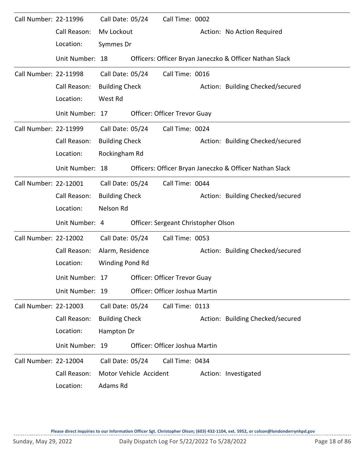| Call Number: 22-11996 |                 | Call Date: 05/24      |                        | Call Time: 0002                     |                                                         |
|-----------------------|-----------------|-----------------------|------------------------|-------------------------------------|---------------------------------------------------------|
|                       | Call Reason:    | Mv Lockout            |                        |                                     | Action: No Action Required                              |
|                       | Location:       | Symmes Dr             |                        |                                     |                                                         |
|                       | Unit Number: 18 |                       |                        |                                     | Officers: Officer Bryan Janeczko & Officer Nathan Slack |
| Call Number: 22-11998 |                 | Call Date: 05/24      |                        | Call Time: 0016                     |                                                         |
|                       | Call Reason:    | <b>Building Check</b> |                        |                                     | Action: Building Checked/secured                        |
|                       | Location:       | West Rd               |                        |                                     |                                                         |
|                       | Unit Number: 17 |                       |                        | Officer: Officer Trevor Guay        |                                                         |
| Call Number: 22-11999 |                 | Call Date: 05/24      |                        | Call Time: 0024                     |                                                         |
|                       | Call Reason:    | <b>Building Check</b> |                        |                                     | Action: Building Checked/secured                        |
|                       | Location:       | Rockingham Rd         |                        |                                     |                                                         |
|                       | Unit Number: 18 |                       |                        |                                     | Officers: Officer Bryan Janeczko & Officer Nathan Slack |
| Call Number: 22-12001 |                 | Call Date: 05/24      |                        | Call Time: 0044                     |                                                         |
|                       | Call Reason:    | <b>Building Check</b> |                        |                                     | Action: Building Checked/secured                        |
|                       | Location:       | Nelson Rd             |                        |                                     |                                                         |
|                       | Unit Number: 4  |                       |                        | Officer: Sergeant Christopher Olson |                                                         |
| Call Number: 22-12002 |                 | Call Date: 05/24      |                        | Call Time: 0053                     |                                                         |
|                       | Call Reason:    | Alarm, Residence      |                        |                                     | Action: Building Checked/secured                        |
|                       | Location:       | Winding Pond Rd       |                        |                                     |                                                         |
|                       | Unit Number: 17 |                       |                        | <b>Officer: Officer Trevor Guay</b> |                                                         |
|                       | Unit Number: 19 |                       |                        | Officer: Officer Joshua Martin      |                                                         |
| Call Number: 22-12003 |                 | Call Date: 05/24      |                        | Call Time: 0113                     |                                                         |
|                       | Call Reason:    | <b>Building Check</b> |                        |                                     | Action: Building Checked/secured                        |
|                       | Location:       | Hampton Dr            |                        |                                     |                                                         |
|                       | Unit Number: 19 |                       |                        | Officer: Officer Joshua Martin      |                                                         |
| Call Number: 22-12004 |                 | Call Date: 05/24      |                        | Call Time: 0434                     |                                                         |
|                       | Call Reason:    |                       | Motor Vehicle Accident |                                     | Action: Investigated                                    |
|                       | Location:       | Adams Rd              |                        |                                     |                                                         |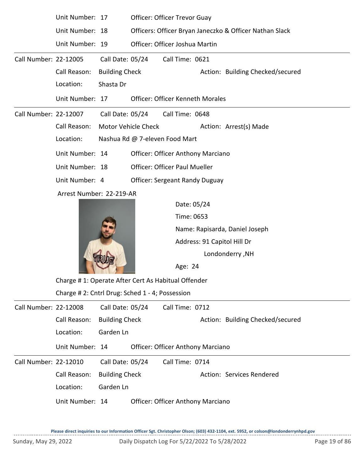|                       | Unit Number: 17                             |                                                                                                                                                                                                                                      | <b>Officer: Officer Trevor Guay</b>                     |  |  |  |  |  |  |
|-----------------------|---------------------------------------------|--------------------------------------------------------------------------------------------------------------------------------------------------------------------------------------------------------------------------------------|---------------------------------------------------------|--|--|--|--|--|--|
|                       | Unit Number: 18                             |                                                                                                                                                                                                                                      | Officers: Officer Bryan Janeczko & Officer Nathan Slack |  |  |  |  |  |  |
|                       | Unit Number: 19                             |                                                                                                                                                                                                                                      | Officer: Officer Joshua Martin                          |  |  |  |  |  |  |
| Call Number: 22-12005 |                                             | Call Date: 05/24                                                                                                                                                                                                                     | Call Time: 0621                                         |  |  |  |  |  |  |
|                       | Call Reason:                                | <b>Building Check</b>                                                                                                                                                                                                                | Action: Building Checked/secured                        |  |  |  |  |  |  |
|                       | Location:                                   | Shasta Dr                                                                                                                                                                                                                            |                                                         |  |  |  |  |  |  |
|                       | Unit Number: 17                             |                                                                                                                                                                                                                                      | <b>Officer: Officer Kenneth Morales</b>                 |  |  |  |  |  |  |
| Call Number: 22-12007 |                                             |                                                                                                                                                                                                                                      | Call Date: 05/24 Call Time: 0648                        |  |  |  |  |  |  |
|                       | Call Reason:                                |                                                                                                                                                                                                                                      | Motor Vehicle Check<br>Action: Arrest(s) Made           |  |  |  |  |  |  |
|                       | Location:<br>Nashua Rd @ 7-eleven Food Mart |                                                                                                                                                                                                                                      |                                                         |  |  |  |  |  |  |
|                       | Unit Number: 14                             |                                                                                                                                                                                                                                      | Officer: Officer Anthony Marciano                       |  |  |  |  |  |  |
|                       | Unit Number: 18                             |                                                                                                                                                                                                                                      | <b>Officer: Officer Paul Mueller</b>                    |  |  |  |  |  |  |
|                       | Unit Number: 4                              |                                                                                                                                                                                                                                      | <b>Officer: Sergeant Randy Duguay</b>                   |  |  |  |  |  |  |
|                       | Arrest Number: 22-219-AR                    |                                                                                                                                                                                                                                      |                                                         |  |  |  |  |  |  |
|                       |                                             |                                                                                                                                                                                                                                      | Date: 05/24                                             |  |  |  |  |  |  |
|                       |                                             |                                                                                                                                                                                                                                      | Time: 0653                                              |  |  |  |  |  |  |
|                       |                                             |                                                                                                                                                                                                                                      | Name: Rapisarda, Daniel Joseph                          |  |  |  |  |  |  |
|                       |                                             |                                                                                                                                                                                                                                      | Address: 91 Capitol Hill Dr                             |  |  |  |  |  |  |
|                       |                                             |                                                                                                                                                                                                                                      | Londonderry, NH                                         |  |  |  |  |  |  |
|                       |                                             | <u> De la Brazilia de la Brazilia de la Brazilia de la Brazilia de la Brazilia de la Brazilia de la Brazilia de la Brazilia de la Brazilia de la Brazilia de la Brazilia de la Brazilia de la Brazilia de la Brazilia de la Braz</u> | Age: 24                                                 |  |  |  |  |  |  |
|                       |                                             |                                                                                                                                                                                                                                      | Charge #1: Operate After Cert As Habitual Offender      |  |  |  |  |  |  |
|                       |                                             |                                                                                                                                                                                                                                      | Charge # 2: Cntrl Drug: Sched 1 - 4; Possession         |  |  |  |  |  |  |
| Call Number: 22-12008 |                                             | Call Date: 05/24                                                                                                                                                                                                                     | Call Time: 0712                                         |  |  |  |  |  |  |
|                       | Call Reason:                                | <b>Building Check</b>                                                                                                                                                                                                                | Action: Building Checked/secured                        |  |  |  |  |  |  |
|                       | Location:                                   | Garden Ln                                                                                                                                                                                                                            |                                                         |  |  |  |  |  |  |

Unit Number: 14 Officer: Officer Anthony Marciano

| Call Number: 22-12010 |                 | Call Date: 05/24            |  | Call Time: 0714                          |                           |  |
|-----------------------|-----------------|-----------------------------|--|------------------------------------------|---------------------------|--|
|                       |                 | Call Reason: Building Check |  |                                          | Action: Services Rendered |  |
|                       | Location:       | Garden Ln                   |  |                                          |                           |  |
|                       | Unit Number: 14 |                             |  | <b>Officer: Officer Anthony Marciano</b> |                           |  |

**Please direct inquiries to our Information Officer Sgt. Christopher Olson; (603) 432-1104, ext. 5952, or colson@londonderrynhpd.gov**

 $\sim$   $\sim$   $\sim$   $\sim$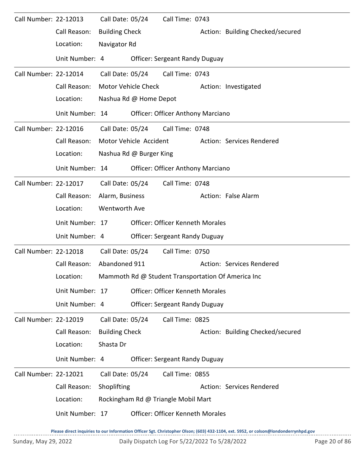| Call Number: 22-12013 |                 | Call Date: 05/24      |                         | Call Time: 0743                          |                                                    |
|-----------------------|-----------------|-----------------------|-------------------------|------------------------------------------|----------------------------------------------------|
|                       | Call Reason:    | <b>Building Check</b> |                         |                                          | Action: Building Checked/secured                   |
|                       | Location:       | Navigator Rd          |                         |                                          |                                                    |
|                       | Unit Number: 4  |                       |                         | <b>Officer: Sergeant Randy Duguay</b>    |                                                    |
| Call Number: 22-12014 |                 | Call Date: 05/24      |                         | Call Time: 0743                          |                                                    |
|                       | Call Reason:    |                       | Motor Vehicle Check     |                                          | Action: Investigated                               |
|                       | Location:       |                       | Nashua Rd @ Home Depot  |                                          |                                                    |
|                       | Unit Number: 14 |                       |                         | <b>Officer: Officer Anthony Marciano</b> |                                                    |
| Call Number: 22-12016 |                 |                       | Call Date: 05/24        | Call Time: 0748                          |                                                    |
|                       | Call Reason:    |                       | Motor Vehicle Accident  |                                          | Action: Services Rendered                          |
|                       | Location:       |                       | Nashua Rd @ Burger King |                                          |                                                    |
|                       | Unit Number: 14 |                       |                         | <b>Officer: Officer Anthony Marciano</b> |                                                    |
| Call Number: 22-12017 |                 | Call Date: 05/24      |                         | Call Time: 0748                          |                                                    |
|                       | Call Reason:    | Alarm, Business       |                         |                                          | Action: False Alarm                                |
|                       | Location:       | Wentworth Ave         |                         |                                          |                                                    |
|                       | Unit Number: 17 |                       |                         | <b>Officer: Officer Kenneth Morales</b>  |                                                    |
|                       | Unit Number: 4  |                       |                         | <b>Officer: Sergeant Randy Duguay</b>    |                                                    |
| Call Number: 22-12018 |                 | Call Date: 05/24      |                         | Call Time: 0750                          |                                                    |
|                       | Call Reason:    | Abandoned 911         |                         |                                          | Action: Services Rendered                          |
|                       | Location:       |                       |                         |                                          | Mammoth Rd @ Student Transportation Of America Inc |
|                       | Unit Number: 17 |                       |                         | <b>Officer: Officer Kenneth Morales</b>  |                                                    |
|                       | Unit Number: 4  |                       |                         | Officer: Sergeant Randy Duguay           |                                                    |
| Call Number: 22-12019 |                 | Call Date: 05/24      |                         | Call Time: 0825                          |                                                    |
|                       | Call Reason:    | <b>Building Check</b> |                         |                                          | Action: Building Checked/secured                   |
|                       | Location:       | Shasta Dr             |                         |                                          |                                                    |
|                       | Unit Number: 4  |                       |                         | <b>Officer: Sergeant Randy Duguay</b>    |                                                    |
| Call Number: 22-12021 |                 | Call Date: 05/24      |                         | Call Time: 0855                          |                                                    |
|                       | Call Reason:    | Shoplifting           |                         |                                          | Action: Services Rendered                          |
|                       | Location:       |                       |                         | Rockingham Rd @ Triangle Mobil Mart      |                                                    |
|                       | Unit Number: 17 |                       |                         | Officer: Officer Kenneth Morales         |                                                    |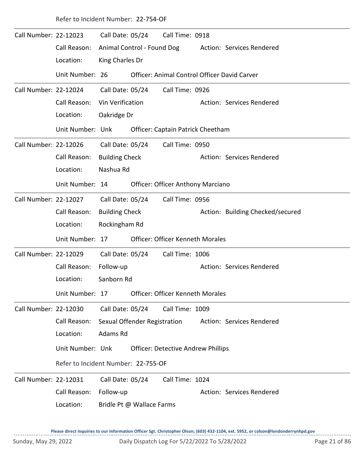|                       | Refer to Incident Number: 22-754-OF |                              |                                           |                                              |
|-----------------------|-------------------------------------|------------------------------|-------------------------------------------|----------------------------------------------|
| Call Number: 22-12023 |                                     | Call Date: 05/24             | Call Time: 0918                           |                                              |
|                       | Call Reason:                        | Animal Control - Found Dog   |                                           | Action: Services Rendered                    |
|                       | Location:                           | King Charles Dr              |                                           |                                              |
|                       | Unit Number: 26                     |                              |                                           | Officer: Animal Control Officer David Carver |
| Call Number: 22-12024 |                                     | Call Date: 05/24             | Call Time: 0926                           |                                              |
|                       | Call Reason:                        | Vin Verification             |                                           | Action: Services Rendered                    |
|                       | Location:                           | Oakridge Dr                  |                                           |                                              |
|                       | Unit Number: Unk                    |                              | Officer: Captain Patrick Cheetham         |                                              |
| Call Number: 22-12026 |                                     | Call Date: 05/24             | Call Time: 0950                           |                                              |
|                       | Call Reason:                        | <b>Building Check</b>        |                                           | Action: Services Rendered                    |
|                       | Location:                           | Nashua Rd                    |                                           |                                              |
|                       | Unit Number: 14                     |                              | <b>Officer: Officer Anthony Marciano</b>  |                                              |
| Call Number: 22-12027 |                                     | Call Date: 05/24             | Call Time: 0956                           |                                              |
|                       | Call Reason:                        | <b>Building Check</b>        |                                           | Action: Building Checked/secured             |
|                       | Location:                           | Rockingham Rd                |                                           |                                              |
|                       | Unit Number: 17                     |                              | <b>Officer: Officer Kenneth Morales</b>   |                                              |
| Call Number: 22-12029 |                                     | Call Date: 05/24             | Call Time: 1006                           |                                              |
|                       | Call Reason:                        | Follow-up                    |                                           | Action: Services Rendered                    |
|                       | Location:                           | Sanborn Rd                   |                                           |                                              |
|                       | Unit Number: 17                     |                              | <b>Officer: Officer Kenneth Morales</b>   |                                              |
| Call Number: 22-12030 |                                     | Call Date: 05/24             | Call Time: 1009                           |                                              |
|                       | Call Reason:                        | Sexual Offender Registration |                                           | Action: Services Rendered                    |
|                       | Location:                           | Adams Rd                     |                                           |                                              |
|                       | Unit Number: Unk                    |                              | <b>Officer: Detective Andrew Phillips</b> |                                              |
|                       | Refer to Incident Number: 22-755-OF |                              |                                           |                                              |
| Call Number: 22-12031 |                                     | Call Date: 05/24             | Call Time: 1024                           |                                              |
|                       | Call Reason:                        | Follow-up                    |                                           | Action: Services Rendered                    |
|                       | Location:                           | Bridle Pt @ Wallace Farms    |                                           |                                              |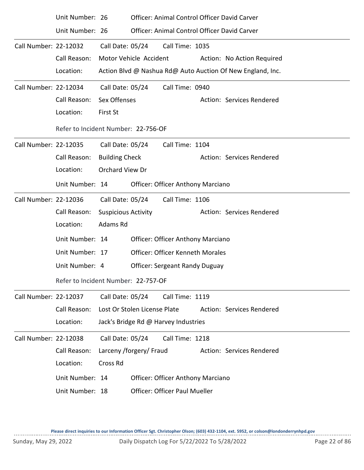|                       | Unit Number: 26                     |                            | Officer: Animal Control Officer David Carver |                                              |  |                                                            |  |  |  |
|-----------------------|-------------------------------------|----------------------------|----------------------------------------------|----------------------------------------------|--|------------------------------------------------------------|--|--|--|
|                       | Unit Number: 26                     |                            |                                              | Officer: Animal Control Officer David Carver |  |                                                            |  |  |  |
| Call Number: 22-12032 |                                     | Call Date: 05/24           |                                              | Call Time: 1035                              |  |                                                            |  |  |  |
|                       | Call Reason:                        |                            | Motor Vehicle Accident                       |                                              |  | Action: No Action Required                                 |  |  |  |
|                       | Location:                           |                            |                                              |                                              |  | Action Blvd @ Nashua Rd@ Auto Auction Of New England, Inc. |  |  |  |
| Call Number: 22-12034 |                                     | Call Date: 05/24           |                                              | Call Time: 0940                              |  |                                                            |  |  |  |
|                       | Call Reason:                        | Sex Offenses               |                                              |                                              |  | Action: Services Rendered                                  |  |  |  |
|                       | Location:                           | First St                   |                                              |                                              |  |                                                            |  |  |  |
|                       | Refer to Incident Number: 22-756-OF |                            |                                              |                                              |  |                                                            |  |  |  |
| Call Number: 22-12035 |                                     | Call Date: 05/24           |                                              | Call Time: 1104                              |  |                                                            |  |  |  |
|                       | Call Reason:                        | <b>Building Check</b>      |                                              |                                              |  | Action: Services Rendered                                  |  |  |  |
|                       | Location:                           | Orchard View Dr            |                                              |                                              |  |                                                            |  |  |  |
|                       | Unit Number: 14                     |                            |                                              | <b>Officer: Officer Anthony Marciano</b>     |  |                                                            |  |  |  |
| Call Number: 22-12036 |                                     | Call Date: 05/24           |                                              | Call Time: 1106                              |  |                                                            |  |  |  |
|                       | Call Reason:                        | <b>Suspicious Activity</b> |                                              |                                              |  | Action: Services Rendered                                  |  |  |  |
|                       | Location:                           | Adams Rd                   |                                              |                                              |  |                                                            |  |  |  |
|                       | Unit Number: 14                     |                            |                                              | <b>Officer: Officer Anthony Marciano</b>     |  |                                                            |  |  |  |
|                       | Unit Number: 17                     |                            |                                              | <b>Officer: Officer Kenneth Morales</b>      |  |                                                            |  |  |  |
|                       | Unit Number: 4                      |                            |                                              | <b>Officer: Sergeant Randy Duguay</b>        |  |                                                            |  |  |  |
|                       | Refer to Incident Number: 22-757-OF |                            |                                              |                                              |  |                                                            |  |  |  |
| Call Number: 22-12037 |                                     | Call Date: 05/24           |                                              | Call Time: 1119                              |  |                                                            |  |  |  |
|                       | Call Reason:                        |                            | Lost Or Stolen License Plate                 |                                              |  | Action: Services Rendered                                  |  |  |  |
|                       | Location:                           |                            |                                              | Jack's Bridge Rd @ Harvey Industries         |  |                                                            |  |  |  |
| Call Number: 22-12038 |                                     | Call Date: 05/24           |                                              | Call Time: 1218                              |  |                                                            |  |  |  |
|                       | Call Reason:                        |                            | Larceny /forgery/ Fraud                      |                                              |  | Action: Services Rendered                                  |  |  |  |
|                       | Location:                           | Cross Rd                   |                                              |                                              |  |                                                            |  |  |  |
|                       | Unit Number: 14                     |                            |                                              | <b>Officer: Officer Anthony Marciano</b>     |  |                                                            |  |  |  |
|                       | Unit Number: 18                     |                            |                                              | <b>Officer: Officer Paul Mueller</b>         |  |                                                            |  |  |  |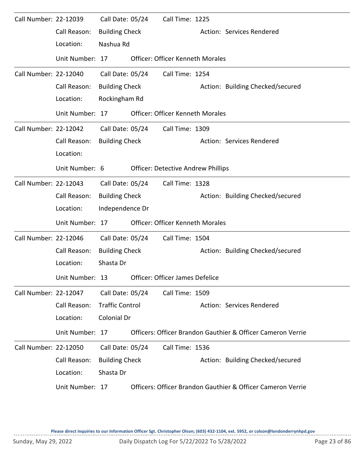| Call Number: 22-12039 |                 | Call Date: 05/24       | Call Time: 1225                           |                                                             |
|-----------------------|-----------------|------------------------|-------------------------------------------|-------------------------------------------------------------|
|                       | Call Reason:    | <b>Building Check</b>  |                                           | Action: Services Rendered                                   |
|                       | Location:       | Nashua Rd              |                                           |                                                             |
|                       | Unit Number: 17 |                        | <b>Officer: Officer Kenneth Morales</b>   |                                                             |
| Call Number: 22-12040 |                 | Call Date: 05/24       | Call Time: 1254                           |                                                             |
|                       | Call Reason:    | <b>Building Check</b>  |                                           | Action: Building Checked/secured                            |
|                       | Location:       | Rockingham Rd          |                                           |                                                             |
|                       | Unit Number: 17 |                        | <b>Officer: Officer Kenneth Morales</b>   |                                                             |
| Call Number: 22-12042 |                 | Call Date: 05/24       | Call Time: 1309                           |                                                             |
|                       | Call Reason:    | <b>Building Check</b>  |                                           | Action: Services Rendered                                   |
|                       | Location:       |                        |                                           |                                                             |
|                       | Unit Number: 6  |                        | <b>Officer: Detective Andrew Phillips</b> |                                                             |
| Call Number: 22-12043 |                 | Call Date: 05/24       | Call Time: 1328                           |                                                             |
|                       | Call Reason:    | <b>Building Check</b>  |                                           | Action: Building Checked/secured                            |
|                       | Location:       | Independence Dr        |                                           |                                                             |
|                       | Unit Number: 17 |                        | <b>Officer: Officer Kenneth Morales</b>   |                                                             |
| Call Number: 22-12046 |                 | Call Date: 05/24       | Call Time: 1504                           |                                                             |
|                       | Call Reason:    | <b>Building Check</b>  |                                           | Action: Building Checked/secured                            |
|                       | Location:       | Shasta Dr              |                                           |                                                             |
|                       | Unit Number: 13 |                        | Officer: Officer James Defelice           |                                                             |
| Call Number: 22-12047 |                 | Call Date: 05/24       | Call Time: 1509                           |                                                             |
|                       | Call Reason:    | <b>Traffic Control</b> |                                           | Action: Services Rendered                                   |
|                       | Location:       | Colonial Dr            |                                           |                                                             |
|                       | Unit Number: 17 |                        |                                           | Officers: Officer Brandon Gauthier & Officer Cameron Verrie |
| Call Number: 22-12050 |                 | Call Date: 05/24       | Call Time: 1536                           |                                                             |
|                       | Call Reason:    | <b>Building Check</b>  |                                           | Action: Building Checked/secured                            |
|                       | Location:       | Shasta Dr              |                                           |                                                             |
|                       | Unit Number: 17 |                        |                                           | Officers: Officer Brandon Gauthier & Officer Cameron Verrie |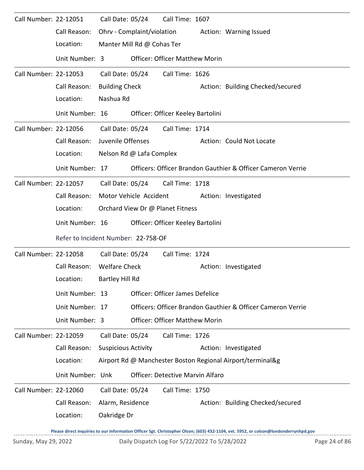| Call Number: 22-12051 |                                     | Call Date: 05/24           |                            | Call Time: 1607                         |                                                             |
|-----------------------|-------------------------------------|----------------------------|----------------------------|-----------------------------------------|-------------------------------------------------------------|
|                       | Call Reason:                        | Ohrv - Complaint/violation |                            |                                         | Action: Warning Issued                                      |
|                       | Location:                           |                            | Manter Mill Rd @ Cohas Ter |                                         |                                                             |
|                       | Unit Number: 3                      |                            |                            | <b>Officer: Officer Matthew Morin</b>   |                                                             |
| Call Number: 22-12053 |                                     | Call Date: 05/24           |                            | Call Time: 1626                         |                                                             |
|                       | Call Reason:                        | <b>Building Check</b>      |                            |                                         | Action: Building Checked/secured                            |
|                       | Location:                           | Nashua Rd                  |                            |                                         |                                                             |
|                       | Unit Number: 16                     |                            |                            | Officer: Officer Keeley Bartolini       |                                                             |
| Call Number: 22-12056 |                                     | Call Date: 05/24           |                            | Call Time: 1714                         |                                                             |
|                       | Call Reason:                        | Juvenile Offenses          |                            |                                         | Action: Could Not Locate                                    |
|                       | Location:                           |                            | Nelson Rd @ Lafa Complex   |                                         |                                                             |
|                       | Unit Number: 17                     |                            |                            |                                         | Officers: Officer Brandon Gauthier & Officer Cameron Verrie |
| Call Number: 22-12057 |                                     | Call Date: 05/24           |                            | Call Time: 1718                         |                                                             |
|                       | Call Reason:                        | Motor Vehicle Accident     |                            |                                         | Action: Investigated                                        |
|                       | Location:                           |                            |                            | Orchard View Dr @ Planet Fitness        |                                                             |
|                       | Unit Number: 16                     |                            |                            | Officer: Officer Keeley Bartolini       |                                                             |
|                       | Refer to Incident Number: 22-758-OF |                            |                            |                                         |                                                             |
| Call Number: 22-12058 |                                     | Call Date: 05/24           |                            | Call Time: 1724                         |                                                             |
|                       | Call Reason:                        | <b>Welfare Check</b>       |                            |                                         | Action: Investigated                                        |
|                       | Location:                           | Bartley Hill Rd            |                            |                                         |                                                             |
|                       | Unit Number: 13                     |                            |                            | Officer: Officer James Defelice         |                                                             |
|                       | Unit Number: 17                     |                            |                            |                                         | Officers: Officer Brandon Gauthier & Officer Cameron Verrie |
|                       | Unit Number: 3                      |                            |                            | <b>Officer: Officer Matthew Morin</b>   |                                                             |
| Call Number: 22-12059 |                                     | Call Date: 05/24           |                            | Call Time: 1726                         |                                                             |
|                       | Call Reason:                        | <b>Suspicious Activity</b> |                            |                                         | Action: Investigated                                        |
|                       | Location:                           |                            |                            |                                         | Airport Rd @ Manchester Boston Regional Airport/terminal&g  |
|                       | Unit Number: Unk                    |                            |                            | <b>Officer: Detective Marvin Alfaro</b> |                                                             |
| Call Number: 22-12060 |                                     | Call Date: 05/24           |                            | Call Time: 1750                         |                                                             |
|                       | Call Reason:                        | Alarm, Residence           |                            |                                         | Action: Building Checked/secured                            |
|                       | Location:                           | Oakridge Dr                |                            |                                         |                                                             |
|                       |                                     |                            |                            |                                         |                                                             |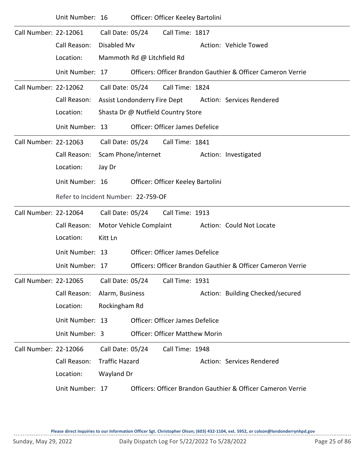|                       | Unit Number: 16                     |                              |                            | Officer: Officer Keeley Bartolini      |                                                             |
|-----------------------|-------------------------------------|------------------------------|----------------------------|----------------------------------------|-------------------------------------------------------------|
| Call Number: 22-12061 |                                     | Call Date: 05/24             |                            | Call Time: 1817                        |                                                             |
|                       | Call Reason:                        | Disabled Mv                  |                            |                                        | Action: Vehicle Towed                                       |
|                       | Location:                           |                              | Mammoth Rd @ Litchfield Rd |                                        |                                                             |
|                       | Unit Number: 17                     |                              |                            |                                        | Officers: Officer Brandon Gauthier & Officer Cameron Verrie |
| Call Number: 22-12062 |                                     | Call Date: 05/24             |                            | Call Time: 1824                        |                                                             |
|                       | Call Reason:                        | Assist Londonderry Fire Dept |                            |                                        | Action: Services Rendered                                   |
|                       | Location:                           |                              |                            | Shasta Dr @ Nutfield Country Store     |                                                             |
|                       | Unit Number: 13                     |                              |                            | <b>Officer: Officer James Defelice</b> |                                                             |
| Call Number: 22-12063 |                                     |                              | Call Date: 05/24           | Call Time: 1841                        |                                                             |
|                       | Call Reason:                        | Scam Phone/internet          |                            |                                        | Action: Investigated                                        |
|                       | Location:                           | Jay Dr                       |                            |                                        |                                                             |
|                       | Unit Number: 16                     |                              |                            | Officer: Officer Keeley Bartolini      |                                                             |
|                       | Refer to Incident Number: 22-759-OF |                              |                            |                                        |                                                             |
| Call Number: 22-12064 |                                     |                              | Call Date: 05/24           | Call Time: 1913                        |                                                             |
|                       | Call Reason:                        |                              | Motor Vehicle Complaint    |                                        | Action: Could Not Locate                                    |
|                       | Location:                           | Kitt Ln                      |                            |                                        |                                                             |
|                       | Unit Number: 13                     |                              |                            | <b>Officer: Officer James Defelice</b> |                                                             |
|                       | Unit Number: 17                     |                              |                            |                                        | Officers: Officer Brandon Gauthier & Officer Cameron Verrie |
| Call Number: 22-12065 |                                     |                              |                            |                                        |                                                             |
|                       | Call Reason:                        | Alarm, Business              |                            |                                        | Action: Building Checked/secured                            |
|                       | Location:                           | Rockingham Rd                |                            |                                        |                                                             |
|                       | Unit Number: 13                     |                              |                            | Officer: Officer James Defelice        |                                                             |
|                       | Unit Number: 3                      |                              |                            | <b>Officer: Officer Matthew Morin</b>  |                                                             |
| Call Number: 22-12066 |                                     | Call Date: 05/24             |                            | Call Time: 1948                        |                                                             |
|                       | Call Reason:                        | <b>Traffic Hazard</b>        |                            |                                        | Action: Services Rendered                                   |
|                       | Location:                           | Wayland Dr                   |                            |                                        |                                                             |
|                       | Unit Number: 17                     |                              |                            |                                        | Officers: Officer Brandon Gauthier & Officer Cameron Verrie |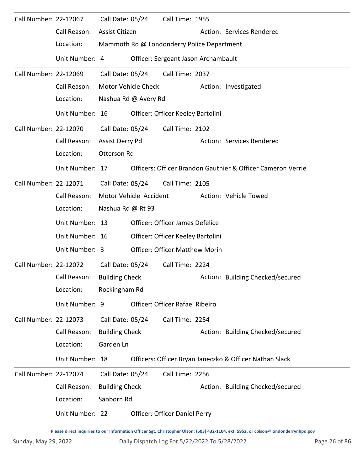| Call Number: 22-12067 |                 | Call Date: 05/24      |                        | Call Time: 1955                            |  |                                                             |  |  |  |
|-----------------------|-----------------|-----------------------|------------------------|--------------------------------------------|--|-------------------------------------------------------------|--|--|--|
|                       | Call Reason:    | Assist Citizen        |                        |                                            |  | Action: Services Rendered                                   |  |  |  |
|                       | Location:       |                       |                        | Mammoth Rd @ Londonderry Police Department |  |                                                             |  |  |  |
|                       | Unit Number: 4  |                       |                        | Officer: Sergeant Jason Archambault        |  |                                                             |  |  |  |
| Call Number: 22-12069 |                 | Call Date: 05/24      |                        | Call Time: 2037                            |  |                                                             |  |  |  |
|                       | Call Reason:    |                       | Motor Vehicle Check    |                                            |  | Action: Investigated                                        |  |  |  |
|                       | Location:       |                       | Nashua Rd @ Avery Rd   |                                            |  |                                                             |  |  |  |
|                       | Unit Number: 16 |                       |                        | Officer: Officer Keeley Bartolini          |  |                                                             |  |  |  |
| Call Number: 22-12070 |                 | Call Date: 05/24      |                        | Call Time: 2102                            |  |                                                             |  |  |  |
|                       | Call Reason:    | Assist Derry Pd       |                        |                                            |  | Action: Services Rendered                                   |  |  |  |
|                       | Location:       | Otterson Rd           |                        |                                            |  |                                                             |  |  |  |
|                       | Unit Number: 17 |                       |                        |                                            |  | Officers: Officer Brandon Gauthier & Officer Cameron Verrie |  |  |  |
| Call Number: 22-12071 |                 | Call Date: 05/24      |                        | Call Time: 2105                            |  |                                                             |  |  |  |
|                       | Call Reason:    |                       | Motor Vehicle Accident |                                            |  | Action: Vehicle Towed                                       |  |  |  |
|                       | Location:       |                       | Nashua Rd @ Rt 93      |                                            |  |                                                             |  |  |  |
|                       | Unit Number: 13 |                       |                        | <b>Officer: Officer James Defelice</b>     |  |                                                             |  |  |  |
|                       | Unit Number: 16 |                       |                        | Officer: Officer Keeley Bartolini          |  |                                                             |  |  |  |
|                       | Unit Number: 3  |                       |                        | <b>Officer: Officer Matthew Morin</b>      |  |                                                             |  |  |  |
| Call Number: 22-12072 |                 | Call Date: 05/24      |                        | Call Time: 2224                            |  |                                                             |  |  |  |
|                       | Call Reason:    | <b>Building Check</b> |                        |                                            |  | Action: Building Checked/secured                            |  |  |  |
|                       | Location:       | Rockingham Rd         |                        |                                            |  |                                                             |  |  |  |
|                       | Unit Number: 9  |                       |                        | <b>Officer: Officer Rafael Ribeiro</b>     |  |                                                             |  |  |  |
| Call Number: 22-12073 |                 | Call Date: 05/24      |                        | Call Time: 2254                            |  |                                                             |  |  |  |
|                       | Call Reason:    | <b>Building Check</b> |                        |                                            |  | Action: Building Checked/secured                            |  |  |  |
|                       | Location:       | Garden Ln             |                        |                                            |  |                                                             |  |  |  |
|                       | Unit Number: 18 |                       |                        |                                            |  | Officers: Officer Bryan Janeczko & Officer Nathan Slack     |  |  |  |
| Call Number: 22-12074 |                 | Call Date: 05/24      |                        | Call Time: 2256                            |  |                                                             |  |  |  |
|                       | Call Reason:    | <b>Building Check</b> |                        |                                            |  | Action: Building Checked/secured                            |  |  |  |
|                       | Location:       | Sanborn Rd            |                        |                                            |  |                                                             |  |  |  |
|                       | Unit Number: 22 |                       |                        | <b>Officer: Officer Daniel Perry</b>       |  |                                                             |  |  |  |
|                       |                 |                       |                        |                                            |  |                                                             |  |  |  |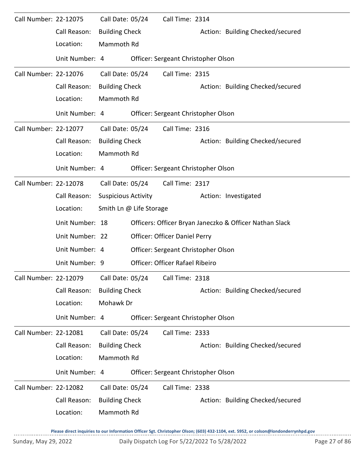| Call Number: 22-12075 |                                        | Call Date: 05/24           |                                                         | Call Time: 2314                     |  |                                  |  |  |
|-----------------------|----------------------------------------|----------------------------|---------------------------------------------------------|-------------------------------------|--|----------------------------------|--|--|
|                       | Call Reason:                           | <b>Building Check</b>      |                                                         |                                     |  | Action: Building Checked/secured |  |  |
|                       | Location:                              | Mammoth Rd                 |                                                         |                                     |  |                                  |  |  |
|                       | Unit Number: 4                         |                            |                                                         | Officer: Sergeant Christopher Olson |  |                                  |  |  |
| Call Number: 22-12076 |                                        | Call Date: 05/24           |                                                         | Call Time: 2315                     |  |                                  |  |  |
|                       | Call Reason:                           | <b>Building Check</b>      |                                                         |                                     |  | Action: Building Checked/secured |  |  |
|                       | Location:                              | Mammoth Rd                 |                                                         |                                     |  |                                  |  |  |
|                       | Unit Number: 4                         |                            |                                                         | Officer: Sergeant Christopher Olson |  |                                  |  |  |
| Call Number: 22-12077 |                                        | Call Date: 05/24           |                                                         | Call Time: 2316                     |  |                                  |  |  |
|                       | Call Reason:                           | <b>Building Check</b>      |                                                         |                                     |  | Action: Building Checked/secured |  |  |
|                       | Location:                              | Mammoth Rd                 |                                                         |                                     |  |                                  |  |  |
|                       | Unit Number: 4                         |                            |                                                         | Officer: Sergeant Christopher Olson |  |                                  |  |  |
| Call Number: 22-12078 |                                        | Call Date: 05/24           |                                                         | Call Time: 2317                     |  |                                  |  |  |
|                       | Call Reason:                           | <b>Suspicious Activity</b> |                                                         |                                     |  | Action: Investigated             |  |  |
|                       | Location:                              |                            | Smith Ln @ Life Storage                                 |                                     |  |                                  |  |  |
|                       | Unit Number: 18                        |                            | Officers: Officer Bryan Janeczko & Officer Nathan Slack |                                     |  |                                  |  |  |
|                       | Unit Number: 22                        |                            |                                                         | Officer: Officer Daniel Perry       |  |                                  |  |  |
|                       | Unit Number: 4                         |                            |                                                         | Officer: Sergeant Christopher Olson |  |                                  |  |  |
|                       | Unit Number: 9                         |                            |                                                         | Officer: Officer Rafael Ribeiro     |  |                                  |  |  |
|                       | Call Number: 22-12079 Call Date: 05/24 |                            |                                                         | Call Time: 2318                     |  |                                  |  |  |
|                       | Call Reason:                           | <b>Building Check</b>      |                                                         |                                     |  | Action: Building Checked/secured |  |  |
|                       | Location:                              | Mohawk Dr                  |                                                         |                                     |  |                                  |  |  |
|                       | Unit Number: 4                         |                            |                                                         | Officer: Sergeant Christopher Olson |  |                                  |  |  |
| Call Number: 22-12081 |                                        | Call Date: 05/24           |                                                         | Call Time: 2333                     |  |                                  |  |  |
|                       | Call Reason:                           | <b>Building Check</b>      |                                                         |                                     |  | Action: Building Checked/secured |  |  |
|                       | Location:                              | Mammoth Rd                 |                                                         |                                     |  |                                  |  |  |
|                       | Unit Number: 4                         |                            |                                                         | Officer: Sergeant Christopher Olson |  |                                  |  |  |
| Call Number: 22-12082 |                                        | Call Date: 05/24           |                                                         | Call Time: 2338                     |  |                                  |  |  |
|                       | Call Reason:                           | <b>Building Check</b>      |                                                         |                                     |  | Action: Building Checked/secured |  |  |
|                       | Location:                              | Mammoth Rd                 |                                                         |                                     |  |                                  |  |  |
|                       |                                        |                            |                                                         |                                     |  |                                  |  |  |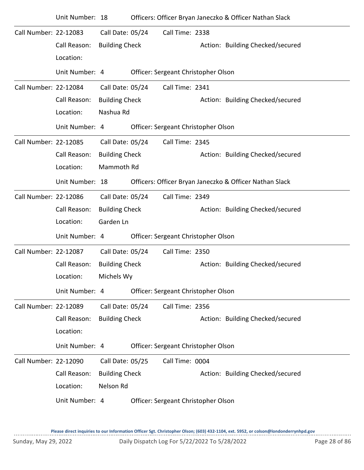|                       | Unit Number: 18 |                       |                                     | Officers: Officer Bryan Janeczko & Officer Nathan Slack |
|-----------------------|-----------------|-----------------------|-------------------------------------|---------------------------------------------------------|
| Call Number: 22-12083 |                 | Call Date: 05/24      | Call Time: 2338                     |                                                         |
|                       | Call Reason:    | <b>Building Check</b> |                                     | Action: Building Checked/secured                        |
|                       | Location:       |                       |                                     |                                                         |
|                       | Unit Number: 4  |                       | Officer: Sergeant Christopher Olson |                                                         |
| Call Number: 22-12084 |                 | Call Date: 05/24      | Call Time: 2341                     |                                                         |
|                       | Call Reason:    | <b>Building Check</b> |                                     | Action: Building Checked/secured                        |
|                       | Location:       | Nashua Rd             |                                     |                                                         |
|                       | Unit Number: 4  |                       | Officer: Sergeant Christopher Olson |                                                         |
| Call Number: 22-12085 |                 | Call Date: 05/24      | Call Time: 2345                     |                                                         |
|                       | Call Reason:    | <b>Building Check</b> |                                     | Action: Building Checked/secured                        |
|                       | Location:       | Mammoth Rd            |                                     |                                                         |
|                       | Unit Number: 18 |                       |                                     | Officers: Officer Bryan Janeczko & Officer Nathan Slack |
| Call Number: 22-12086 |                 | Call Date: 05/24      | Call Time: 2349                     |                                                         |
|                       | Call Reason:    | <b>Building Check</b> |                                     | Action: Building Checked/secured                        |
|                       | Location:       | Garden Ln             |                                     |                                                         |
|                       | Unit Number: 4  |                       | Officer: Sergeant Christopher Olson |                                                         |
| Call Number: 22-12087 |                 | Call Date: 05/24      | Call Time: 2350                     |                                                         |
|                       | Call Reason:    | <b>Building Check</b> |                                     | Action: Building Checked/secured                        |
|                       | Location:       | Michels Wy            |                                     |                                                         |
|                       | Unit Number: 4  |                       | Officer: Sergeant Christopher Olson |                                                         |
| Call Number: 22-12089 |                 | Call Date: 05/24      | Call Time: 2356                     |                                                         |
|                       | Call Reason:    | <b>Building Check</b> |                                     | Action: Building Checked/secured                        |
|                       | Location:       |                       |                                     |                                                         |
|                       | Unit Number: 4  |                       | Officer: Sergeant Christopher Olson |                                                         |
| Call Number: 22-12090 |                 | Call Date: 05/25      | Call Time: 0004                     |                                                         |
|                       | Call Reason:    | <b>Building Check</b> |                                     | Action: Building Checked/secured                        |
|                       | Location:       | Nelson Rd             |                                     |                                                         |
|                       | Unit Number: 4  |                       | Officer: Sergeant Christopher Olson |                                                         |
|                       |                 |                       |                                     |                                                         |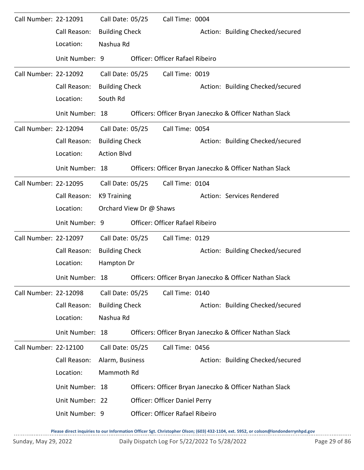| Call Number: 22-12091 |                 | Call Date: 05/25      |                         | Call Time: 0004                 |                                                         |
|-----------------------|-----------------|-----------------------|-------------------------|---------------------------------|---------------------------------------------------------|
|                       | Call Reason:    | <b>Building Check</b> |                         |                                 | Action: Building Checked/secured                        |
|                       | Location:       | Nashua Rd             |                         |                                 |                                                         |
|                       | Unit Number: 9  |                       |                         | Officer: Officer Rafael Ribeiro |                                                         |
| Call Number: 22-12092 |                 | Call Date: 05/25      |                         | Call Time: 0019                 |                                                         |
|                       | Call Reason:    | <b>Building Check</b> |                         |                                 | Action: Building Checked/secured                        |
|                       | Location:       | South Rd              |                         |                                 |                                                         |
|                       | Unit Number: 18 |                       |                         |                                 | Officers: Officer Bryan Janeczko & Officer Nathan Slack |
| Call Number: 22-12094 |                 | Call Date: 05/25      |                         | Call Time: 0054                 |                                                         |
|                       | Call Reason:    | <b>Building Check</b> |                         |                                 | Action: Building Checked/secured                        |
|                       | Location:       | <b>Action Blvd</b>    |                         |                                 |                                                         |
|                       | Unit Number: 18 |                       |                         |                                 | Officers: Officer Bryan Janeczko & Officer Nathan Slack |
| Call Number: 22-12095 |                 | Call Date: 05/25      |                         | Call Time: 0104                 |                                                         |
|                       | Call Reason:    | K9 Training           |                         |                                 | Action: Services Rendered                               |
|                       | Location:       |                       | Orchard View Dr @ Shaws |                                 |                                                         |
|                       | Unit Number: 9  |                       |                         | Officer: Officer Rafael Ribeiro |                                                         |
| Call Number: 22-12097 |                 | Call Date: 05/25      |                         | Call Time: 0129                 |                                                         |
|                       | Call Reason:    | <b>Building Check</b> |                         |                                 | Action: Building Checked/secured                        |
|                       | Location:       | Hampton Dr            |                         |                                 |                                                         |
|                       | Unit Number: 18 |                       |                         |                                 | Officers: Officer Bryan Janeczko & Officer Nathan Slack |
| Call Number: 22-12098 |                 | Call Date: 05/25      |                         | Call Time: 0140                 |                                                         |
|                       | Call Reason:    | <b>Building Check</b> |                         |                                 | Action: Building Checked/secured                        |
|                       | Location:       | Nashua Rd             |                         |                                 |                                                         |
|                       | Unit Number: 18 |                       |                         |                                 | Officers: Officer Bryan Janeczko & Officer Nathan Slack |
| Call Number: 22-12100 |                 | Call Date: 05/25      |                         | Call Time: 0456                 |                                                         |
|                       | Call Reason:    | Alarm, Business       |                         |                                 | Action: Building Checked/secured                        |
|                       | Location:       | Mammoth Rd            |                         |                                 |                                                         |
|                       | Unit Number: 18 |                       |                         |                                 | Officers: Officer Bryan Janeczko & Officer Nathan Slack |
|                       | Unit Number: 22 |                       |                         | Officer: Officer Daniel Perry   |                                                         |
|                       | Unit Number: 9  |                       |                         | Officer: Officer Rafael Ribeiro |                                                         |
|                       |                 |                       |                         |                                 |                                                         |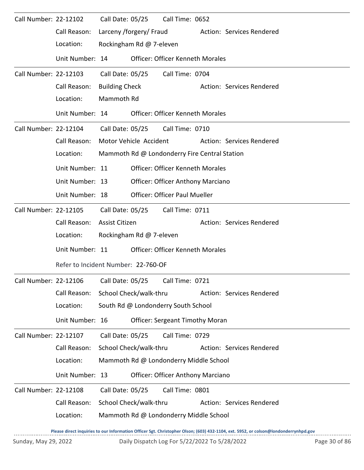| Call Number: 22-12102 |                                         |                                               | Call Date: 05/25         | Call Time: 0652                          |  |                           |  |  |  |
|-----------------------|-----------------------------------------|-----------------------------------------------|--------------------------|------------------------------------------|--|---------------------------|--|--|--|
|                       | Call Reason:                            |                                               | Larceny /forgery/ Fraud  |                                          |  | Action: Services Rendered |  |  |  |
|                       | Location:                               |                                               | Rockingham Rd @ 7-eleven |                                          |  |                           |  |  |  |
|                       | Unit Number: 14                         |                                               |                          | <b>Officer: Officer Kenneth Morales</b>  |  |                           |  |  |  |
| Call Number: 22-12103 |                                         |                                               | Call Date: 05/25         | Call Time: 0704                          |  |                           |  |  |  |
|                       | Call Reason:                            | <b>Building Check</b>                         |                          |                                          |  | Action: Services Rendered |  |  |  |
|                       | Location:                               | Mammoth Rd                                    |                          |                                          |  |                           |  |  |  |
|                       | Unit Number: 14                         |                                               |                          | <b>Officer: Officer Kenneth Morales</b>  |  |                           |  |  |  |
| Call Number: 22-12104 |                                         |                                               |                          | Call Date: 05/25 Call Time: 0710         |  |                           |  |  |  |
|                       | Call Reason:                            |                                               | Motor Vehicle Accident   |                                          |  | Action: Services Rendered |  |  |  |
|                       | Location:                               | Mammoth Rd @ Londonderry Fire Central Station |                          |                                          |  |                           |  |  |  |
|                       | <b>Officer: Officer Kenneth Morales</b> |                                               |                          |                                          |  |                           |  |  |  |
|                       | Unit Number: 13                         |                                               |                          | <b>Officer: Officer Anthony Marciano</b> |  |                           |  |  |  |
|                       | Unit Number: 18                         |                                               |                          | <b>Officer: Officer Paul Mueller</b>     |  |                           |  |  |  |
| Call Number: 22-12105 |                                         | Call Date: 05/25                              |                          | Call Time: 0711                          |  |                           |  |  |  |
|                       | Call Reason:                            | Assist Citizen                                |                          |                                          |  | Action: Services Rendered |  |  |  |
|                       | Location:                               |                                               | Rockingham Rd @ 7-eleven |                                          |  |                           |  |  |  |
|                       | Unit Number: 11                         |                                               |                          | <b>Officer: Officer Kenneth Morales</b>  |  |                           |  |  |  |
|                       | Refer to Incident Number: 22-760-OF     |                                               |                          |                                          |  |                           |  |  |  |
| Call Number: 22-12106 |                                         | Call Date: 05/25                              |                          | Call Time: 0721                          |  |                           |  |  |  |
|                       | Call Reason:                            |                                               | School Check/walk-thru   |                                          |  | Action: Services Rendered |  |  |  |
|                       | Location:                               |                                               |                          | South Rd @ Londonderry South School      |  |                           |  |  |  |
|                       | Unit Number: 16                         |                                               |                          | <b>Officer: Sergeant Timothy Moran</b>   |  |                           |  |  |  |
| Call Number: 22-12107 |                                         | Call Date: 05/25                              |                          | Call Time: 0729                          |  |                           |  |  |  |
|                       | Call Reason:                            |                                               | School Check/walk-thru   |                                          |  | Action: Services Rendered |  |  |  |
|                       | Location:                               |                                               |                          | Mammoth Rd @ Londonderry Middle School   |  |                           |  |  |  |
|                       | Unit Number: 13                         |                                               |                          | <b>Officer: Officer Anthony Marciano</b> |  |                           |  |  |  |
| Call Number: 22-12108 |                                         | Call Date: 05/25                              |                          | Call Time: 0801                          |  |                           |  |  |  |
|                       | Call Reason:                            |                                               | School Check/walk-thru   |                                          |  | Action: Services Rendered |  |  |  |
|                       | Location:                               |                                               |                          | Mammoth Rd @ Londonderry Middle School   |  |                           |  |  |  |
|                       |                                         |                                               |                          |                                          |  |                           |  |  |  |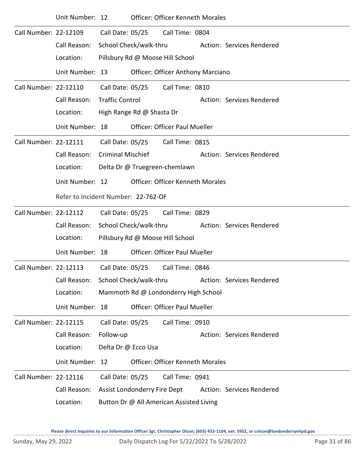|                              | Unit Number: 12                     |                              | <b>Officer: Officer Kenneth Morales</b>  |                                                               |  |
|------------------------------|-------------------------------------|------------------------------|------------------------------------------|---------------------------------------------------------------|--|
| Call Number: 22-12109        |                                     | Call Date: 05/25             | Call Time: 0804                          |                                                               |  |
|                              | Call Reason:                        | School Check/walk-thru       |                                          | Action: Services Rendered                                     |  |
|                              | Location:                           |                              | Pillsbury Rd @ Moose Hill School         |                                                               |  |
|                              | Unit Number: 13                     |                              | Officer: Officer Anthony Marciano        |                                                               |  |
| Call Number: 22-12110        |                                     |                              | Call Date: 05/25 Call Time: 0810         |                                                               |  |
|                              | Call Reason:                        | <b>Traffic Control</b>       |                                          | Action: Services Rendered                                     |  |
|                              | Location:                           | High Range Rd @ Shasta Dr    |                                          |                                                               |  |
|                              | Unit Number: 18                     |                              | <b>Officer: Officer Paul Mueller</b>     |                                                               |  |
| Call Number: 22-12111        |                                     |                              | Call Date: 05/25 Call Time: 0815         |                                                               |  |
|                              | Call Reason:                        | <b>Criminal Mischief</b>     |                                          | Action: Services Rendered                                     |  |
|                              | Location:                           |                              | Delta Dr @ Truegreen-chemlawn            |                                                               |  |
|                              | Unit Number: 12                     |                              | <b>Officer: Officer Kenneth Morales</b>  |                                                               |  |
|                              | Refer to Incident Number: 22-762-OF |                              |                                          |                                                               |  |
| <b>Call Number: 22-12112</b> |                                     | Call Date: 05/25             | Call Time: 0829                          |                                                               |  |
|                              | Call Reason:                        | School Check/walk-thru       |                                          | Action: Services Rendered                                     |  |
|                              | Location:                           |                              | Pillsbury Rd @ Moose Hill School         |                                                               |  |
|                              | Unit Number: 18                     |                              | <b>Officer: Officer Paul Mueller</b>     |                                                               |  |
| Call Number: 22-12113        |                                     |                              | Call Date: 05/25 Call Time: 0846         |                                                               |  |
|                              |                                     |                              |                                          | Call Reason: School Check/walk-thru Action: Services Rendered |  |
|                              | Location:                           |                              | Mammoth Rd @ Londonderry High School     |                                                               |  |
|                              | Unit Number: 18                     |                              | <b>Officer: Officer Paul Mueller</b>     |                                                               |  |
| Call Number: 22-12115        |                                     | Call Date: 05/25             | Call Time: 0910                          |                                                               |  |
|                              | Call Reason:                        | Follow-up                    |                                          | Action: Services Rendered                                     |  |
|                              | Location:                           | Delta Dr @ Ecco Usa          |                                          |                                                               |  |
|                              | Unit Number: 12                     |                              | <b>Officer: Officer Kenneth Morales</b>  |                                                               |  |
| Call Number: 22-12116        |                                     | Call Date: 05/25             | Call Time: 0941                          |                                                               |  |
|                              | Call Reason:                        | Assist Londonderry Fire Dept |                                          | Action: Services Rendered                                     |  |
|                              | Location:                           |                              | Button Dr @ All American Assisted Living |                                                               |  |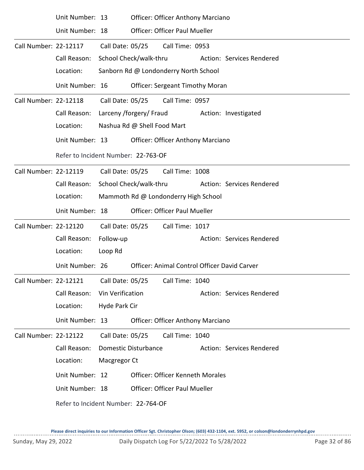|                              | Unit Number: 13                     |                             |                                     | <b>Officer: Officer Anthony Marciano</b>     |  |                           |  |  |  |  |
|------------------------------|-------------------------------------|-----------------------------|-------------------------------------|----------------------------------------------|--|---------------------------|--|--|--|--|
|                              | Unit Number: 18                     |                             |                                     | <b>Officer: Officer Paul Mueller</b>         |  |                           |  |  |  |  |
| Call Number: 22-12117        |                                     | Call Date: 05/25            |                                     | Call Time: 0953                              |  |                           |  |  |  |  |
|                              | Call Reason:                        | School Check/walk-thru      |                                     |                                              |  | Action: Services Rendered |  |  |  |  |
|                              | Location:                           |                             |                                     | Sanborn Rd @ Londonderry North School        |  |                           |  |  |  |  |
|                              | Unit Number: 16                     |                             |                                     | <b>Officer: Sergeant Timothy Moran</b>       |  |                           |  |  |  |  |
| Call Number: 22-12118        |                                     | Call Date: 05/25            |                                     | Call Time: 0957                              |  |                           |  |  |  |  |
|                              | Call Reason:                        | Larceny /forgery/ Fraud     |                                     |                                              |  | Action: Investigated      |  |  |  |  |
|                              | Location:                           | Nashua Rd @ Shell Food Mart |                                     |                                              |  |                           |  |  |  |  |
|                              | Unit Number: 13                     |                             |                                     | <b>Officer: Officer Anthony Marciano</b>     |  |                           |  |  |  |  |
|                              |                                     |                             | Refer to Incident Number: 22-763-OF |                                              |  |                           |  |  |  |  |
| Call Number: 22-12119        |                                     | Call Date: 05/25            |                                     | Call Time: 1008                              |  |                           |  |  |  |  |
|                              | Call Reason:                        | School Check/walk-thru      |                                     |                                              |  | Action: Services Rendered |  |  |  |  |
|                              | Location:                           |                             |                                     | Mammoth Rd @ Londonderry High School         |  |                           |  |  |  |  |
|                              | Unit Number: 18                     |                             |                                     | <b>Officer: Officer Paul Mueller</b>         |  |                           |  |  |  |  |
| Call Number: 22-12120        |                                     | Call Date: 05/25            |                                     | Call Time: 1017                              |  |                           |  |  |  |  |
|                              | Call Reason:                        | Follow-up                   |                                     |                                              |  | Action: Services Rendered |  |  |  |  |
|                              | Location:                           | Loop Rd                     |                                     |                                              |  |                           |  |  |  |  |
|                              | Unit Number: 26                     |                             |                                     | Officer: Animal Control Officer David Carver |  |                           |  |  |  |  |
| Call Number: 22-12121        |                                     | Call Date: 05/25            |                                     | Call Time: 1040                              |  |                           |  |  |  |  |
|                              | Call Reason:                        | Vin Verification            |                                     |                                              |  | Action: Services Rendered |  |  |  |  |
|                              | Location:                           | Hyde Park Cir               |                                     |                                              |  |                           |  |  |  |  |
|                              | Unit Number: 13                     |                             |                                     | <b>Officer: Officer Anthony Marciano</b>     |  |                           |  |  |  |  |
| <b>Call Number: 22-12122</b> |                                     | Call Date: 05/25            |                                     | Call Time: 1040                              |  |                           |  |  |  |  |
|                              | Call Reason:                        | Domestic Disturbance        |                                     |                                              |  | Action: Services Rendered |  |  |  |  |
|                              | Location:                           | Macgregor Ct                |                                     |                                              |  |                           |  |  |  |  |
|                              | Unit Number: 12                     |                             |                                     | <b>Officer: Officer Kenneth Morales</b>      |  |                           |  |  |  |  |
|                              | Unit Number: 18                     |                             |                                     | <b>Officer: Officer Paul Mueller</b>         |  |                           |  |  |  |  |
|                              | Refer to Incident Number: 22-764-OF |                             |                                     |                                              |  |                           |  |  |  |  |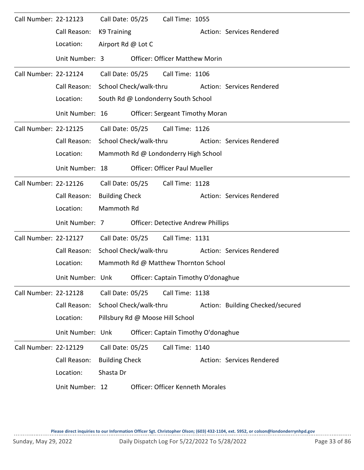| Call Number: 22-12123        |                  | Call Date: 05/25       |                        | Call Time: 1055                            |                                  |
|------------------------------|------------------|------------------------|------------------------|--------------------------------------------|----------------------------------|
|                              | Call Reason:     | K9 Training            |                        |                                            | Action: Services Rendered        |
|                              | Location:        | Airport Rd @ Lot C     |                        |                                            |                                  |
|                              | Unit Number: 3   |                        |                        | <b>Officer: Officer Matthew Morin</b>      |                                  |
| Call Number: 22-12124        |                  | Call Date: 05/25       |                        | Call Time: 1106                            |                                  |
|                              | Call Reason:     | School Check/walk-thru |                        |                                            | Action: Services Rendered        |
|                              | Location:        |                        |                        | South Rd @ Londonderry South School        |                                  |
|                              | Unit Number: 16  |                        |                        | <b>Officer: Sergeant Timothy Moran</b>     |                                  |
| Call Number: 22-12125        |                  |                        |                        | Call Date: 05/25 Call Time: 1126           |                                  |
|                              | Call Reason:     | School Check/walk-thru |                        |                                            | Action: Services Rendered        |
|                              | Location:        |                        |                        | Mammoth Rd @ Londonderry High School       |                                  |
|                              | Unit Number: 18  |                        |                        | <b>Officer: Officer Paul Mueller</b>       |                                  |
| Call Number: 22-12126        |                  | Call Date: 05/25       |                        | Call Time: 1128                            |                                  |
|                              | Call Reason:     | <b>Building Check</b>  |                        |                                            | Action: Services Rendered        |
|                              | Location:        | Mammoth Rd             |                        |                                            |                                  |
|                              | Unit Number: 7   |                        |                        | <b>Officer: Detective Andrew Phillips</b>  |                                  |
| Call Number: 22-12127        |                  | Call Date: 05/25       |                        | Call Time: 1131                            |                                  |
|                              | Call Reason:     | School Check/walk-thru |                        |                                            | Action: Services Rendered        |
|                              | Location:        |                        |                        | Mammoth Rd @ Matthew Thornton School       |                                  |
|                              | Unit Number: Unk |                        |                        | <b>Officer: Captain Timothy O'donaghue</b> |                                  |
| Call Number: 22-12128        |                  | Call Date: 05/25       |                        | Call Time: 1138                            |                                  |
|                              | Call Reason:     |                        | School Check/walk-thru |                                            | Action: Building Checked/secured |
|                              | Location:        |                        |                        | Pillsbury Rd @ Moose Hill School           |                                  |
|                              | Unit Number: Unk |                        |                        | Officer: Captain Timothy O'donaghue        |                                  |
| <b>Call Number: 22-12129</b> |                  | Call Date: 05/25       |                        | Call Time: 1140                            |                                  |
|                              | Call Reason:     | <b>Building Check</b>  |                        |                                            | Action: Services Rendered        |
|                              | Location:        | Shasta Dr              |                        |                                            |                                  |
|                              | Unit Number: 12  |                        |                        | <b>Officer: Officer Kenneth Morales</b>    |                                  |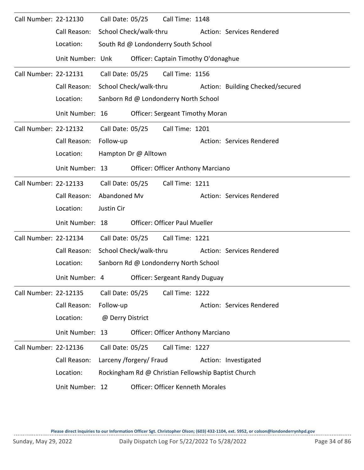| Call Number: 22-12130 |                  | Call Date: 05/25       |                         | Call Time: 1148                          |                                                     |
|-----------------------|------------------|------------------------|-------------------------|------------------------------------------|-----------------------------------------------------|
|                       | Call Reason:     | School Check/walk-thru |                         |                                          | Action: Services Rendered                           |
|                       | Location:        |                        |                         | South Rd @ Londonderry South School      |                                                     |
|                       | Unit Number: Unk |                        |                         | Officer: Captain Timothy O'donaghue      |                                                     |
| Call Number: 22-12131 |                  | Call Date: 05/25       |                         | Call Time: 1156                          |                                                     |
|                       | Call Reason:     | School Check/walk-thru |                         |                                          | Action: Building Checked/secured                    |
|                       | Location:        |                        |                         | Sanborn Rd @ Londonderry North School    |                                                     |
|                       | Unit Number: 16  |                        |                         | <b>Officer: Sergeant Timothy Moran</b>   |                                                     |
| Call Number: 22-12132 |                  | Call Date: 05/25       |                         | Call Time: 1201                          |                                                     |
|                       | Call Reason:     | Follow-up              |                         |                                          | Action: Services Rendered                           |
|                       | Location:        |                        | Hampton Dr @ Alltown    |                                          |                                                     |
|                       | Unit Number: 13  |                        |                         | <b>Officer: Officer Anthony Marciano</b> |                                                     |
| Call Number: 22-12133 |                  | Call Date: 05/25       |                         | Call Time: 1211                          |                                                     |
|                       | Call Reason:     | Abandoned Mv           |                         |                                          | Action: Services Rendered                           |
|                       | Location:        | Justin Cir             |                         |                                          |                                                     |
|                       | Unit Number: 18  |                        |                         | <b>Officer: Officer Paul Mueller</b>     |                                                     |
| Call Number: 22-12134 |                  | Call Date: 05/25       |                         | Call Time: 1221                          |                                                     |
|                       | Call Reason:     | School Check/walk-thru |                         |                                          | Action: Services Rendered                           |
|                       | Location:        |                        |                         | Sanborn Rd @ Londonderry North School    |                                                     |
|                       | Unit Number: 4   |                        |                         | <b>Officer: Sergeant Randy Duguay</b>    |                                                     |
| Call Number: 22-12135 |                  | Call Date: 05/25       |                         | Call Time: 1222                          |                                                     |
|                       | Call Reason:     | Follow-up              |                         |                                          | Action: Services Rendered                           |
|                       | Location:        | @ Derry District       |                         |                                          |                                                     |
|                       | Unit Number: 13  |                        |                         | <b>Officer: Officer Anthony Marciano</b> |                                                     |
| Call Number: 22-12136 |                  | Call Date: 05/25       |                         | Call Time: 1227                          |                                                     |
|                       | Call Reason:     |                        | Larceny /forgery/ Fraud |                                          | Action: Investigated                                |
|                       | Location:        |                        |                         |                                          | Rockingham Rd @ Christian Fellowship Baptist Church |
|                       | Unit Number: 12  |                        |                         | <b>Officer: Officer Kenneth Morales</b>  |                                                     |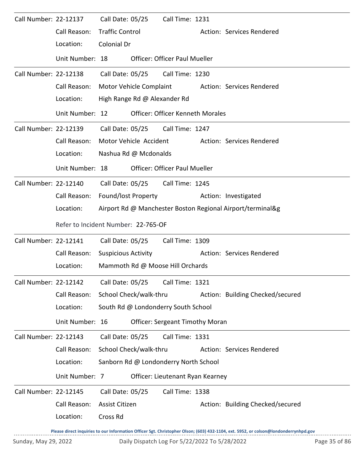| Call Number: 22-12137        |                                     | Call Date: 05/25           |                              | Call Time: 1231                         |                                                            |
|------------------------------|-------------------------------------|----------------------------|------------------------------|-----------------------------------------|------------------------------------------------------------|
|                              | Call Reason:                        | <b>Traffic Control</b>     |                              |                                         | Action: Services Rendered                                  |
|                              | Location:                           | Colonial Dr                |                              |                                         |                                                            |
|                              | Unit Number: 18                     |                            |                              | <b>Officer: Officer Paul Mueller</b>    |                                                            |
| Call Number: 22-12138        |                                     | Call Date: 05/25           |                              | Call Time: 1230                         |                                                            |
|                              | Call Reason:                        | Motor Vehicle Complaint    |                              |                                         | Action: Services Rendered                                  |
|                              | Location:                           |                            | High Range Rd @ Alexander Rd |                                         |                                                            |
|                              | Unit Number: 12                     |                            |                              | <b>Officer: Officer Kenneth Morales</b> |                                                            |
| Call Number: 22-12139        |                                     |                            |                              | Call Date: 05/25 Call Time: 1247        |                                                            |
|                              | Call Reason:                        | Motor Vehicle Accident     |                              |                                         | Action: Services Rendered                                  |
|                              | Location:                           |                            | Nashua Rd @ Mcdonalds        |                                         |                                                            |
|                              | Unit Number: 18                     |                            |                              | <b>Officer: Officer Paul Mueller</b>    |                                                            |
| Call Number: 22-12140        |                                     |                            | Call Date: 05/25             | Call Time: 1245                         |                                                            |
|                              | Call Reason:                        | Found/lost Property        |                              |                                         | Action: Investigated                                       |
|                              | Location:                           |                            |                              |                                         | Airport Rd @ Manchester Boston Regional Airport/terminal&g |
|                              | Refer to Incident Number: 22-765-OF |                            |                              |                                         |                                                            |
| Call Number: 22-12141        |                                     | Call Date: 05/25           |                              | Call Time: 1309                         |                                                            |
|                              | Call Reason:                        | <b>Suspicious Activity</b> |                              |                                         | Action: Services Rendered                                  |
|                              | Location:                           |                            |                              | Mammoth Rd @ Moose Hill Orchards        |                                                            |
| <b>Call Number: 22-12142</b> |                                     | Call Date: 05/25           |                              | Call Time: 1321                         |                                                            |
|                              | Call Reason:                        | School Check/walk-thru     |                              |                                         | Action: Building Checked/secured                           |
|                              | Location:                           |                            |                              | South Rd @ Londonderry South School     |                                                            |
|                              | Unit Number: 16                     |                            |                              | <b>Officer: Sergeant Timothy Moran</b>  |                                                            |
| Call Number: 22-12143        |                                     | Call Date: 05/25           |                              | Call Time: 1331                         |                                                            |
|                              | Call Reason:                        | School Check/walk-thru     |                              |                                         | Action: Services Rendered                                  |
|                              | Location:                           |                            |                              | Sanborn Rd @ Londonderry North School   |                                                            |
|                              | Unit Number: 7                      |                            |                              | Officer: Lieutenant Ryan Kearney        |                                                            |
| Call Number: 22-12145        |                                     | Call Date: 05/25           |                              | Call Time: 1338                         |                                                            |
|                              | Call Reason:                        | Assist Citizen             |                              |                                         | Action: Building Checked/secured                           |
|                              | Location:                           | Cross Rd                   |                              |                                         |                                                            |
|                              |                                     |                            |                              |                                         |                                                            |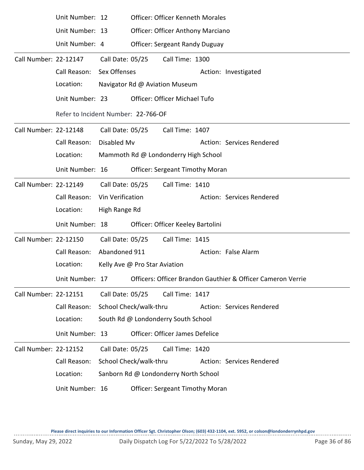|                       | Unit Number: 12 |                                          | <b>Officer: Officer Kenneth Morales</b>       |                                        |  |                                                                             |
|-----------------------|-----------------|------------------------------------------|-----------------------------------------------|----------------------------------------|--|-----------------------------------------------------------------------------|
|                       | Unit Number: 13 |                                          | <b>Officer: Officer Anthony Marciano</b>      |                                        |  |                                                                             |
|                       | Unit Number: 4  |                                          |                                               | <b>Officer: Sergeant Randy Duguay</b>  |  |                                                                             |
| Call Number: 22-12147 |                 | Call Date: 05/25                         |                                               | Call Time: 1300                        |  |                                                                             |
|                       | Call Reason:    | Sex Offenses                             |                                               |                                        |  | Action: Investigated                                                        |
|                       | Location:       | Navigator Rd @ Aviation Museum           |                                               |                                        |  |                                                                             |
|                       | Unit Number: 23 |                                          |                                               | Officer: Officer Michael Tufo          |  |                                                                             |
|                       |                 | Refer to Incident Number: 22-766-OF      |                                               |                                        |  |                                                                             |
| Call Number: 22-12148 |                 | Call Date: 05/25                         |                                               | Call Time: 1407                        |  |                                                                             |
|                       | Call Reason:    | Disabled Mv<br>Action: Services Rendered |                                               |                                        |  |                                                                             |
|                       | Location:       |                                          |                                               | Mammoth Rd @ Londonderry High School   |  |                                                                             |
|                       | Unit Number: 16 |                                          |                                               | <b>Officer: Sergeant Timothy Moran</b> |  |                                                                             |
| Call Number: 22-12149 |                 | Call Date: 05/25                         |                                               | Call Time: 1410                        |  |                                                                             |
|                       | Call Reason:    |                                          | Vin Verification<br>Action: Services Rendered |                                        |  |                                                                             |
|                       | Location:       | High Range Rd                            |                                               |                                        |  |                                                                             |
|                       | Unit Number: 18 |                                          |                                               | Officer: Officer Keeley Bartolini      |  |                                                                             |
| Call Number: 22-12150 |                 | Call Date: 05/25                         |                                               | Call Time: 1415                        |  |                                                                             |
|                       | Call Reason:    | Abandoned 911<br>Action: False Alarm     |                                               |                                        |  |                                                                             |
|                       | Location:       | Kelly Ave @ Pro Star Aviation            |                                               |                                        |  |                                                                             |
|                       |                 |                                          |                                               |                                        |  | Unit Number: 17 Officers: Officer Brandon Gauthier & Officer Cameron Verrie |
| Call Number: 22-12151 |                 | Call Date: 05/25                         |                                               | Call Time: 1417                        |  |                                                                             |
|                       | Call Reason:    |                                          | School Check/walk-thru                        |                                        |  | Action: Services Rendered                                                   |
|                       | Location:       | South Rd @ Londonderry South School      |                                               |                                        |  |                                                                             |
|                       | Unit Number: 13 |                                          |                                               | Officer: Officer James Defelice        |  |                                                                             |
| Call Number: 22-12152 |                 | Call Date: 05/25                         |                                               | Call Time: 1420                        |  |                                                                             |
|                       | Call Reason:    |                                          | School Check/walk-thru                        |                                        |  | Action: Services Rendered                                                   |
|                       | Location:       | Sanborn Rd @ Londonderry North School    |                                               |                                        |  |                                                                             |
|                       | Unit Number: 16 |                                          |                                               | <b>Officer: Sergeant Timothy Moran</b> |  |                                                                             |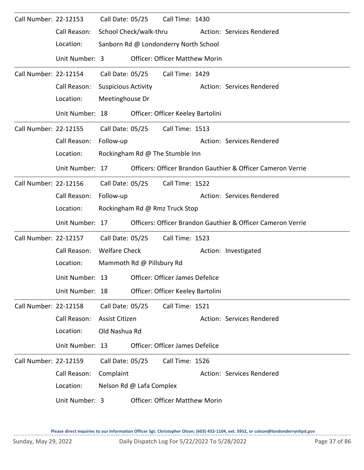| Call Number: 22-12153 |                 | Call Date: 05/25           |                           | Call Time: 1430                        |                                                             |
|-----------------------|-----------------|----------------------------|---------------------------|----------------------------------------|-------------------------------------------------------------|
|                       | Call Reason:    |                            | School Check/walk-thru    |                                        | Action: Services Rendered                                   |
|                       | Location:       |                            |                           | Sanborn Rd @ Londonderry North School  |                                                             |
|                       | Unit Number: 3  |                            |                           | <b>Officer: Officer Matthew Morin</b>  |                                                             |
| Call Number: 22-12154 |                 | Call Date: 05/25           |                           | Call Time: 1429                        |                                                             |
|                       | Call Reason:    | <b>Suspicious Activity</b> |                           |                                        | Action: Services Rendered                                   |
|                       | Location:       | Meetinghouse Dr            |                           |                                        |                                                             |
|                       | Unit Number: 18 |                            |                           | Officer: Officer Keeley Bartolini      |                                                             |
| Call Number: 22-12155 |                 | Call Date: 05/25           |                           | Call Time: 1513                        |                                                             |
|                       | Call Reason:    | Follow-up                  |                           |                                        | Action: Services Rendered                                   |
|                       | Location:       |                            |                           | Rockingham Rd @ The Stumble Inn        |                                                             |
|                       | Unit Number: 17 |                            |                           |                                        | Officers: Officer Brandon Gauthier & Officer Cameron Verrie |
| Call Number: 22-12156 |                 | Call Date: 05/25           |                           | Call Time: 1522                        |                                                             |
|                       | Call Reason:    | Follow-up                  |                           |                                        | Action: Services Rendered                                   |
|                       | Location:       |                            |                           | Rockingham Rd @ Rmz Truck Stop         |                                                             |
|                       | Unit Number: 17 |                            |                           |                                        | Officers: Officer Brandon Gauthier & Officer Cameron Verrie |
| Call Number: 22-12157 |                 | Call Date: 05/25           |                           | Call Time: 1523                        |                                                             |
|                       | Call Reason:    | <b>Welfare Check</b>       |                           |                                        | Action: Investigated                                        |
|                       | Location:       |                            | Mammoth Rd @ Pillsbury Rd |                                        |                                                             |
|                       | Unit Number: 13 |                            |                           | Officer: Officer James Defelice        |                                                             |
|                       | Unit Number: 18 |                            |                           | Officer: Officer Keeley Bartolini      |                                                             |
| Call Number: 22-12158 |                 | Call Date: 05/25           |                           | Call Time: 1521                        |                                                             |
|                       | Call Reason:    | Assist Citizen             |                           |                                        | Action: Services Rendered                                   |
|                       | Location:       | Old Nashua Rd              |                           |                                        |                                                             |
|                       | Unit Number: 13 |                            |                           | <b>Officer: Officer James Defelice</b> |                                                             |
| Call Number: 22-12159 |                 | Call Date: 05/25           |                           | Call Time: 1526                        |                                                             |
|                       | Call Reason:    | Complaint                  |                           |                                        | Action: Services Rendered                                   |
|                       | Location:       |                            | Nelson Rd @ Lafa Complex  |                                        |                                                             |
|                       | Unit Number: 3  |                            |                           | <b>Officer: Officer Matthew Morin</b>  |                                                             |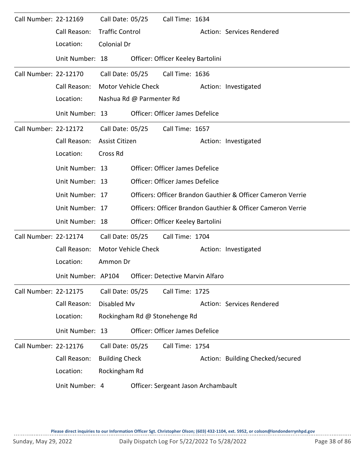| Call Number: 22-12169        |                    | Call Date: 05/25       |                          | Call Time: 1634                         |  |                                                             |
|------------------------------|--------------------|------------------------|--------------------------|-----------------------------------------|--|-------------------------------------------------------------|
|                              | Call Reason:       | <b>Traffic Control</b> |                          |                                         |  | Action: Services Rendered                                   |
|                              | Location:          | Colonial Dr            |                          |                                         |  |                                                             |
|                              | Unit Number: 18    |                        |                          | Officer: Officer Keeley Bartolini       |  |                                                             |
| Call Number: 22-12170        |                    | Call Date: 05/25       |                          | Call Time: 1636                         |  |                                                             |
|                              | Call Reason:       |                        | Motor Vehicle Check      |                                         |  | Action: Investigated                                        |
|                              | Location:          |                        | Nashua Rd @ Parmenter Rd |                                         |  |                                                             |
|                              | Unit Number: 13    |                        |                          | Officer: Officer James Defelice         |  |                                                             |
| <b>Call Number: 22-12172</b> |                    |                        | Call Date: 05/25         | Call Time: 1657                         |  |                                                             |
|                              | Call Reason:       | Assist Citizen         |                          |                                         |  | Action: Investigated                                        |
|                              | Location:          | Cross Rd               |                          |                                         |  |                                                             |
|                              | Unit Number: 13    |                        |                          | <b>Officer: Officer James Defelice</b>  |  |                                                             |
|                              |                    |                        |                          |                                         |  |                                                             |
|                              | Unit Number: 17    |                        |                          |                                         |  | Officers: Officer Brandon Gauthier & Officer Cameron Verrie |
|                              | Unit Number: 17    |                        |                          |                                         |  | Officers: Officer Brandon Gauthier & Officer Cameron Verrie |
|                              | Unit Number: 18    |                        |                          | Officer: Officer Keeley Bartolini       |  |                                                             |
| Call Number: 22-12174        |                    | Call Date: 05/25       |                          | Call Time: 1704                         |  |                                                             |
|                              | Call Reason:       |                        | Motor Vehicle Check      |                                         |  | Action: Investigated                                        |
|                              | Location:          | Ammon Dr               |                          |                                         |  |                                                             |
|                              | Unit Number: AP104 |                        |                          | <b>Officer: Detective Marvin Alfaro</b> |  |                                                             |
| Call Number: 22-12175        |                    | Call Date: 05/25       |                          | Call Time: 1725                         |  |                                                             |
|                              | Call Reason:       | Disabled Mv            |                          |                                         |  | Action: Services Rendered                                   |
|                              | Location:          |                        |                          | Rockingham Rd @ Stonehenge Rd           |  |                                                             |
|                              | Unit Number: 13    |                        |                          | Officer: Officer James Defelice         |  |                                                             |
| <b>Call Number: 22-12176</b> |                    | Call Date: 05/25       |                          | Call Time: 1754                         |  |                                                             |
|                              | Call Reason:       | <b>Building Check</b>  |                          |                                         |  | Action: Building Checked/secured                            |
|                              | Location:          | Rockingham Rd          |                          |                                         |  |                                                             |
|                              | Unit Number: 4     |                        |                          | Officer: Sergeant Jason Archambault     |  |                                                             |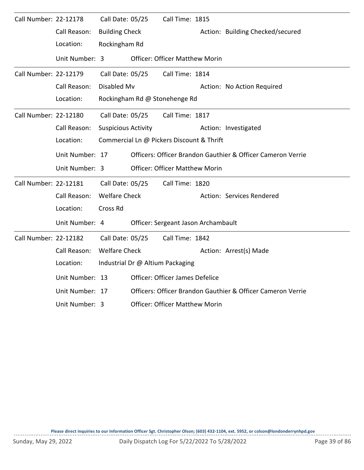| Call Number: 22-12178 |                 | Call Date: 05/25           | Call Time: 1815                           |                                                             |
|-----------------------|-----------------|----------------------------|-------------------------------------------|-------------------------------------------------------------|
|                       | Call Reason:    | <b>Building Check</b>      |                                           | Action: Building Checked/secured                            |
|                       | Location:       | Rockingham Rd              |                                           |                                                             |
|                       | Unit Number: 3  |                            | <b>Officer: Officer Matthew Morin</b>     |                                                             |
| Call Number: 22-12179 |                 | Call Date: 05/25           | Call Time: 1814                           |                                                             |
|                       | Call Reason:    | Disabled Mv                |                                           | Action: No Action Required                                  |
|                       | Location:       |                            | Rockingham Rd @ Stonehenge Rd             |                                                             |
| Call Number: 22-12180 |                 | Call Date: 05/25           | Call Time: 1817                           |                                                             |
|                       | Call Reason:    | <b>Suspicious Activity</b> |                                           | Action: Investigated                                        |
|                       | Location:       |                            | Commercial Ln @ Pickers Discount & Thrift |                                                             |
|                       | Unit Number: 17 |                            |                                           | Officers: Officer Brandon Gauthier & Officer Cameron Verrie |
|                       | Unit Number: 3  |                            | <b>Officer: Officer Matthew Morin</b>     |                                                             |
| Call Number: 22-12181 |                 | Call Date: 05/25           | Call Time: 1820                           |                                                             |
|                       | Call Reason:    | <b>Welfare Check</b>       |                                           | Action: Services Rendered                                   |
|                       | Location:       | Cross Rd                   |                                           |                                                             |
|                       | Unit Number: 4  |                            | Officer: Sergeant Jason Archambault       |                                                             |
| Call Number: 22-12182 |                 | Call Date: 05/25           | Call Time: 1842                           |                                                             |
|                       | Call Reason:    | <b>Welfare Check</b>       |                                           | Action: Arrest(s) Made                                      |
|                       | Location:       |                            | Industrial Dr @ Altium Packaging          |                                                             |
|                       | Unit Number: 13 |                            | Officer: Officer James Defelice           |                                                             |
|                       | Unit Number: 17 |                            |                                           | Officers: Officer Brandon Gauthier & Officer Cameron Verrie |
|                       | Unit Number: 3  |                            | <b>Officer: Officer Matthew Morin</b>     |                                                             |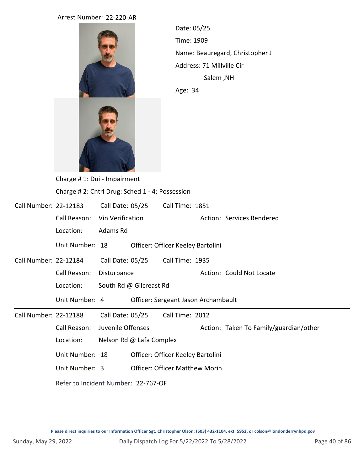## Arrest Number: 22-220-AR



Time: 1909 Name: Beauregard, Christopher J Age: 34 Date: 05/25 Salem ,NH Address: 71 Millville Cir

|                       | Charge #1: Dui - Impairment                     |                                     |                          |                                       |  |                                        |  |  |  |  |
|-----------------------|-------------------------------------------------|-------------------------------------|--------------------------|---------------------------------------|--|----------------------------------------|--|--|--|--|
|                       | Charge # 2: Cntrl Drug: Sched 1 - 4; Possession |                                     |                          |                                       |  |                                        |  |  |  |  |
| Call Number: 22-12183 |                                                 | Call Date: 05/25                    |                          | Call Time: 1851                       |  |                                        |  |  |  |  |
|                       | Call Reason:                                    | Vin Verification                    |                          |                                       |  | Action: Services Rendered              |  |  |  |  |
|                       | Location:                                       | Adams Rd                            |                          |                                       |  |                                        |  |  |  |  |
|                       | Unit Number: 18                                 |                                     |                          | Officer: Officer Keeley Bartolini     |  |                                        |  |  |  |  |
| Call Number: 22-12184 |                                                 | Call Date: 05/25                    |                          | Call Time: 1935                       |  |                                        |  |  |  |  |
|                       | Call Reason:                                    | Disturbance                         |                          |                                       |  | Action: Could Not Locate               |  |  |  |  |
|                       | Location:                                       |                                     | South Rd @ Gilcreast Rd  |                                       |  |                                        |  |  |  |  |
|                       | Unit Number: 4                                  |                                     |                          | Officer: Sergeant Jason Archambault   |  |                                        |  |  |  |  |
| Call Number: 22-12188 |                                                 | Call Date: 05/25                    |                          | Call Time: 2012                       |  |                                        |  |  |  |  |
|                       | Call Reason:                                    | Juvenile Offenses                   |                          |                                       |  | Action: Taken To Family/guardian/other |  |  |  |  |
|                       | Location:                                       |                                     | Nelson Rd @ Lafa Complex |                                       |  |                                        |  |  |  |  |
|                       | Unit Number: 18                                 |                                     |                          | Officer: Officer Keeley Bartolini     |  |                                        |  |  |  |  |
|                       | Unit Number: 3                                  |                                     |                          | <b>Officer: Officer Matthew Morin</b> |  |                                        |  |  |  |  |
|                       |                                                 | Refer to Incident Number: 22-767-OF |                          |                                       |  |                                        |  |  |  |  |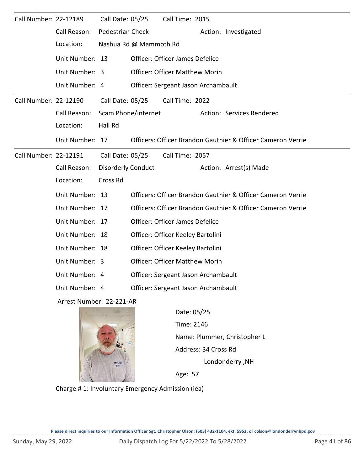| Call Number: 22-12189 |                          | Call Date: 05/25          |                        | Call Time: 2015                       |                                                             |
|-----------------------|--------------------------|---------------------------|------------------------|---------------------------------------|-------------------------------------------------------------|
|                       | Call Reason:             | Pedestrian Check          |                        |                                       | Action: Investigated                                        |
|                       | Location:                |                           | Nashua Rd @ Mammoth Rd |                                       |                                                             |
|                       | Unit Number: 13          |                           |                        | Officer: Officer James Defelice       |                                                             |
|                       | Unit Number: 3           |                           |                        | <b>Officer: Officer Matthew Morin</b> |                                                             |
|                       | Unit Number: 4           |                           |                        | Officer: Sergeant Jason Archambault   |                                                             |
| Call Number: 22-12190 |                          | Call Date: 05/25          |                        | Call Time: 2022                       |                                                             |
|                       | Call Reason:             |                           | Scam Phone/internet    |                                       | Action: Services Rendered                                   |
|                       | Location:                | Hall Rd                   |                        |                                       |                                                             |
|                       | Unit Number: 17          |                           |                        |                                       | Officers: Officer Brandon Gauthier & Officer Cameron Verrie |
| Call Number: 22-12191 |                          | Call Date: 05/25          |                        | Call Time: 2057                       |                                                             |
|                       | Call Reason:             | <b>Disorderly Conduct</b> |                        |                                       | Action: Arrest(s) Made                                      |
|                       | Location:                | Cross Rd                  |                        |                                       |                                                             |
|                       | Unit Number: 13          |                           |                        |                                       | Officers: Officer Brandon Gauthier & Officer Cameron Verrie |
|                       | Unit Number: 17          |                           |                        |                                       | Officers: Officer Brandon Gauthier & Officer Cameron Verrie |
|                       | Unit Number: 17          |                           |                        | Officer: Officer James Defelice       |                                                             |
|                       | Unit Number: 18          |                           |                        | Officer: Officer Keeley Bartolini     |                                                             |
|                       | Unit Number: 18          |                           |                        | Officer: Officer Keeley Bartolini     |                                                             |
|                       | Unit Number: 3           |                           |                        | <b>Officer: Officer Matthew Morin</b> |                                                             |
|                       | Unit Number: 4           |                           |                        | Officer: Sergeant Jason Archambault   |                                                             |
|                       | Unit Number: 4           |                           |                        | Officer: Sergeant Jason Archambault   |                                                             |
|                       | Arrest Number: 22-221-AR |                           |                        |                                       |                                                             |



Time: 2146 Name: Plummer, Christopher L Age: 57 Date: 05/25 Londonderry ,NH Address: 34 Cross Rd

Charge # 1: Involuntary Emergency Admission (iea)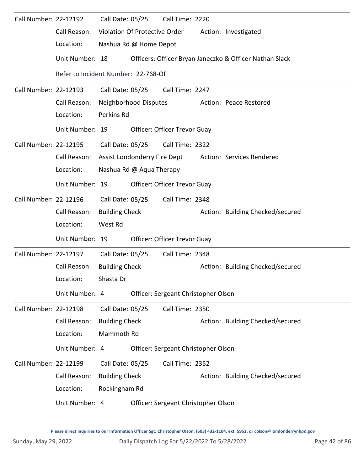| Call Number: 22-12192        |                                     | Call Date: 05/25              |                        | Call Time: 2220                     |  |                                                         |  |  |  |
|------------------------------|-------------------------------------|-------------------------------|------------------------|-------------------------------------|--|---------------------------------------------------------|--|--|--|
|                              | Call Reason:                        | Violation Of Protective Order |                        |                                     |  | Action: Investigated                                    |  |  |  |
|                              | Location:                           |                               | Nashua Rd @ Home Depot |                                     |  |                                                         |  |  |  |
|                              | Unit Number: 18                     |                               |                        |                                     |  | Officers: Officer Bryan Janeczko & Officer Nathan Slack |  |  |  |
|                              | Refer to Incident Number: 22-768-OF |                               |                        |                                     |  |                                                         |  |  |  |
| <b>Call Number: 22-12193</b> |                                     | Call Date: 05/25              |                        | Call Time: 2247                     |  |                                                         |  |  |  |
|                              | Call Reason:                        |                               | Neighborhood Disputes  |                                     |  | Action: Peace Restored                                  |  |  |  |
|                              | Location:                           | Perkins Rd                    |                        |                                     |  |                                                         |  |  |  |
|                              | Unit Number: 19                     |                               |                        | Officer: Officer Trevor Guay        |  |                                                         |  |  |  |
| Call Number: 22-12195        |                                     | Call Date: 05/25              |                        | Call Time: 2322                     |  |                                                         |  |  |  |
|                              | Call Reason:                        | Assist Londonderry Fire Dept  |                        |                                     |  | Action: Services Rendered                               |  |  |  |
|                              | Location:                           | Nashua Rd @ Aqua Therapy      |                        |                                     |  |                                                         |  |  |  |
|                              | Unit Number: 19                     |                               |                        | Officer: Officer Trevor Guay        |  |                                                         |  |  |  |
| Call Number: 22-12196        |                                     | Call Date: 05/25              |                        | Call Time: 2348                     |  |                                                         |  |  |  |
|                              | Call Reason:                        | <b>Building Check</b>         |                        |                                     |  | Action: Building Checked/secured                        |  |  |  |
|                              | Location:                           | West Rd                       |                        |                                     |  |                                                         |  |  |  |
|                              | Unit Number: 19                     |                               |                        | <b>Officer: Officer Trevor Guay</b> |  |                                                         |  |  |  |
| Call Number: 22-12197        |                                     | Call Date: 05/25              |                        | Call Time: 2348                     |  |                                                         |  |  |  |
|                              | Call Reason:                        | <b>Building Check</b>         |                        |                                     |  | Action: Building Checked/secured                        |  |  |  |
|                              | Location:                           | Shasta Dr                     |                        |                                     |  |                                                         |  |  |  |
|                              | Unit Number: 4                      |                               |                        | Officer: Sergeant Christopher Olson |  |                                                         |  |  |  |
| <b>Call Number: 22-12198</b> |                                     | Call Date: 05/25              |                        | Call Time: 2350                     |  |                                                         |  |  |  |
|                              | Call Reason:                        | <b>Building Check</b>         |                        |                                     |  | Action: Building Checked/secured                        |  |  |  |
|                              | Location:                           | Mammoth Rd                    |                        |                                     |  |                                                         |  |  |  |
|                              | Unit Number: 4                      |                               |                        | Officer: Sergeant Christopher Olson |  |                                                         |  |  |  |
| Call Number: 22-12199        |                                     | Call Date: 05/25              |                        | Call Time: 2352                     |  |                                                         |  |  |  |
|                              | Call Reason:                        | <b>Building Check</b>         |                        |                                     |  | Action: Building Checked/secured                        |  |  |  |
|                              | Location:                           | Rockingham Rd                 |                        |                                     |  |                                                         |  |  |  |
|                              | Unit Number: 4                      |                               |                        | Officer: Sergeant Christopher Olson |  |                                                         |  |  |  |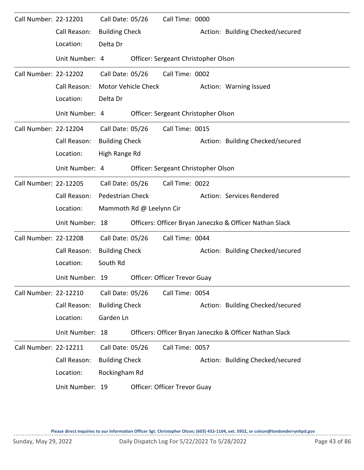| Call Number: 22-12201 |                 | Call Date: 05/26      |                          | Call Time: 0000                     |                                                         |
|-----------------------|-----------------|-----------------------|--------------------------|-------------------------------------|---------------------------------------------------------|
|                       | Call Reason:    | <b>Building Check</b> |                          |                                     | Action: Building Checked/secured                        |
|                       | Location:       | Delta Dr              |                          |                                     |                                                         |
|                       | Unit Number: 4  |                       |                          | Officer: Sergeant Christopher Olson |                                                         |
| Call Number: 22-12202 |                 | Call Date: 05/26      |                          | Call Time: 0002                     |                                                         |
|                       | Call Reason:    |                       | Motor Vehicle Check      |                                     | Action: Warning Issued                                  |
|                       | Location:       | Delta Dr              |                          |                                     |                                                         |
|                       | Unit Number: 4  |                       |                          | Officer: Sergeant Christopher Olson |                                                         |
| Call Number: 22-12204 |                 | Call Date: 05/26      |                          | Call Time: 0015                     |                                                         |
|                       | Call Reason:    | <b>Building Check</b> |                          |                                     | Action: Building Checked/secured                        |
|                       | Location:       | High Range Rd         |                          |                                     |                                                         |
|                       | Unit Number: 4  |                       |                          | Officer: Sergeant Christopher Olson |                                                         |
| Call Number: 22-12205 |                 | Call Date: 05/26      |                          | Call Time: 0022                     |                                                         |
|                       | Call Reason:    | Pedestrian Check      |                          |                                     | Action: Services Rendered                               |
|                       | Location:       |                       | Mammoth Rd @ Leelynn Cir |                                     |                                                         |
|                       | Unit Number: 18 |                       |                          |                                     | Officers: Officer Bryan Janeczko & Officer Nathan Slack |
| Call Number: 22-12208 |                 | Call Date: 05/26      |                          | Call Time: 0044                     |                                                         |
|                       | Call Reason:    | <b>Building Check</b> |                          |                                     | Action: Building Checked/secured                        |
|                       | Location:       | South Rd              |                          |                                     |                                                         |
|                       | Unit Number: 19 |                       |                          | <b>Officer: Officer Trevor Guay</b> |                                                         |
| Call Number: 22-12210 |                 | Call Date: 05/26      |                          | Call Time: 0054                     |                                                         |
|                       | Call Reason:    | <b>Building Check</b> |                          |                                     | Action: Building Checked/secured                        |
|                       | Location:       | Garden Ln             |                          |                                     |                                                         |
|                       | Unit Number: 18 |                       |                          |                                     | Officers: Officer Bryan Janeczko & Officer Nathan Slack |
| Call Number: 22-12211 |                 | Call Date: 05/26      |                          | Call Time: 0057                     |                                                         |
|                       | Call Reason:    | <b>Building Check</b> |                          |                                     | Action: Building Checked/secured                        |
|                       | Location:       | Rockingham Rd         |                          |                                     |                                                         |
|                       | Unit Number: 19 |                       |                          | Officer: Officer Trevor Guay        |                                                         |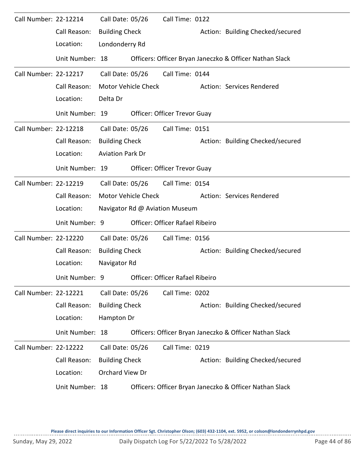| Call Number: 22-12214 |                 | Call Date: 05/26        |                            | Call Time: 0122                        |  |                                                         |
|-----------------------|-----------------|-------------------------|----------------------------|----------------------------------------|--|---------------------------------------------------------|
|                       | Call Reason:    | <b>Building Check</b>   |                            |                                        |  | Action: Building Checked/secured                        |
|                       | Location:       | Londonderry Rd          |                            |                                        |  |                                                         |
|                       | Unit Number: 18 |                         |                            |                                        |  | Officers: Officer Bryan Janeczko & Officer Nathan Slack |
| Call Number: 22-12217 |                 | Call Date: 05/26        |                            | Call Time: 0144                        |  |                                                         |
|                       | Call Reason:    |                         | Motor Vehicle Check        |                                        |  | Action: Services Rendered                               |
|                       | Location:       | Delta Dr                |                            |                                        |  |                                                         |
|                       | Unit Number: 19 |                         |                            | <b>Officer: Officer Trevor Guay</b>    |  |                                                         |
| Call Number: 22-12218 |                 | Call Date: 05/26        |                            | Call Time: 0151                        |  |                                                         |
|                       | Call Reason:    | <b>Building Check</b>   |                            |                                        |  | Action: Building Checked/secured                        |
|                       | Location:       | <b>Aviation Park Dr</b> |                            |                                        |  |                                                         |
|                       | Unit Number: 19 |                         |                            | <b>Officer: Officer Trevor Guay</b>    |  |                                                         |
| Call Number: 22-12219 |                 | Call Date: 05/26        |                            | Call Time: 0154                        |  |                                                         |
|                       | Call Reason:    |                         | <b>Motor Vehicle Check</b> |                                        |  | Action: Services Rendered                               |
|                       | Location:       |                         |                            | Navigator Rd @ Aviation Museum         |  |                                                         |
|                       | Unit Number: 9  |                         |                            | Officer: Officer Rafael Ribeiro        |  |                                                         |
| Call Number: 22-12220 |                 | Call Date: 05/26        |                            | Call Time: 0156                        |  |                                                         |
|                       | Call Reason:    | <b>Building Check</b>   |                            |                                        |  | Action: Building Checked/secured                        |
|                       | Location:       | Navigator Rd            |                            |                                        |  |                                                         |
|                       | Unit Number: 9  |                         |                            | <b>Officer: Officer Rafael Ribeiro</b> |  |                                                         |
| Call Number: 22-12221 |                 | Call Date: 05/26        |                            | Call Time: 0202                        |  |                                                         |
|                       | Call Reason:    | <b>Building Check</b>   |                            |                                        |  | Action: Building Checked/secured                        |
|                       | Location:       | Hampton Dr              |                            |                                        |  |                                                         |
|                       | Unit Number: 18 |                         |                            |                                        |  | Officers: Officer Bryan Janeczko & Officer Nathan Slack |
| Call Number: 22-12222 |                 | Call Date: 05/26        |                            | Call Time: 0219                        |  |                                                         |
|                       | Call Reason:    | <b>Building Check</b>   |                            |                                        |  | Action: Building Checked/secured                        |
|                       | Location:       | Orchard View Dr         |                            |                                        |  |                                                         |
|                       | Unit Number: 18 |                         |                            |                                        |  | Officers: Officer Bryan Janeczko & Officer Nathan Slack |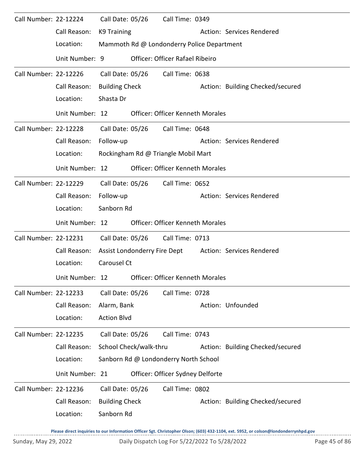| Call Number: 22-12224        |                 | Call Date: 05/26                      |                                     | Call Time: 0349                            |  |                                  |  |  |  |
|------------------------------|-----------------|---------------------------------------|-------------------------------------|--------------------------------------------|--|----------------------------------|--|--|--|
|                              | Call Reason:    | K9 Training                           |                                     |                                            |  | Action: Services Rendered        |  |  |  |
|                              | Location:       |                                       |                                     | Mammoth Rd @ Londonderry Police Department |  |                                  |  |  |  |
|                              | Unit Number: 9  |                                       |                                     | Officer: Officer Rafael Ribeiro            |  |                                  |  |  |  |
| <b>Call Number: 22-12226</b> |                 | Call Date: 05/26                      |                                     | Call Time: 0638                            |  |                                  |  |  |  |
|                              | Call Reason:    | <b>Building Check</b>                 |                                     |                                            |  | Action: Building Checked/secured |  |  |  |
|                              | Location:       | Shasta Dr                             |                                     |                                            |  |                                  |  |  |  |
|                              | Unit Number: 12 |                                       |                                     | <b>Officer: Officer Kenneth Morales</b>    |  |                                  |  |  |  |
| <b>Call Number: 22-12228</b> |                 | Call Date: 05/26                      |                                     | Call Time: 0648                            |  |                                  |  |  |  |
|                              | Call Reason:    | Follow-up                             |                                     |                                            |  | Action: Services Rendered        |  |  |  |
|                              | Location:       |                                       | Rockingham Rd @ Triangle Mobil Mart |                                            |  |                                  |  |  |  |
|                              | Unit Number: 12 |                                       |                                     | <b>Officer: Officer Kenneth Morales</b>    |  |                                  |  |  |  |
| Call Number: 22-12229        |                 | Call Date: 05/26                      |                                     | Call Time: 0652                            |  |                                  |  |  |  |
|                              | Call Reason:    | Follow-up                             |                                     |                                            |  | Action: Services Rendered        |  |  |  |
|                              | Location:       | Sanborn Rd                            |                                     |                                            |  |                                  |  |  |  |
|                              | Unit Number: 12 |                                       |                                     | Officer: Officer Kenneth Morales           |  |                                  |  |  |  |
| Call Number: 22-12231        |                 | Call Date: 05/26                      |                                     | Call Time: 0713                            |  |                                  |  |  |  |
|                              | Call Reason:    |                                       | Assist Londonderry Fire Dept        |                                            |  | Action: Services Rendered        |  |  |  |
|                              | Location:       | Carousel Ct                           |                                     |                                            |  |                                  |  |  |  |
|                              | Unit Number: 12 |                                       |                                     | <b>Officer: Officer Kenneth Morales</b>    |  |                                  |  |  |  |
| Call Number: 22-12233        |                 | Call Date: 05/26                      |                                     | Call Time: 0728                            |  |                                  |  |  |  |
|                              | Call Reason:    | Alarm, Bank                           |                                     |                                            |  | Action: Unfounded                |  |  |  |
|                              | Location:       | <b>Action Blvd</b>                    |                                     |                                            |  |                                  |  |  |  |
| Call Number: 22-12235        |                 | Call Date: 05/26                      |                                     | Call Time: 0743                            |  |                                  |  |  |  |
|                              | Call Reason:    |                                       | School Check/walk-thru              |                                            |  | Action: Building Checked/secured |  |  |  |
|                              |                 |                                       |                                     |                                            |  |                                  |  |  |  |
|                              | Location:       | Sanborn Rd @ Londonderry North School |                                     |                                            |  |                                  |  |  |  |
|                              | Unit Number: 21 |                                       |                                     | Officer: Officer Sydney Delforte           |  |                                  |  |  |  |
| Call Number: 22-12236        |                 | Call Date: 05/26                      |                                     | Call Time: 0802                            |  |                                  |  |  |  |
|                              | Call Reason:    | <b>Building Check</b>                 |                                     |                                            |  | Action: Building Checked/secured |  |  |  |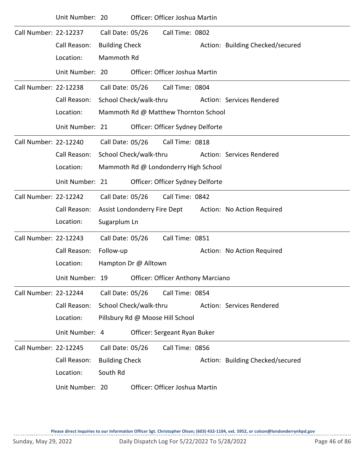|                              | Unit Number: 20 |                        |                              | Officer: Officer Joshua Martin           |                                  |
|------------------------------|-----------------|------------------------|------------------------------|------------------------------------------|----------------------------------|
| <b>Call Number: 22-12237</b> |                 | Call Date: 05/26       |                              | Call Time: 0802                          |                                  |
|                              | Call Reason:    | <b>Building Check</b>  |                              |                                          | Action: Building Checked/secured |
|                              | Location:       | Mammoth Rd             |                              |                                          |                                  |
|                              | Unit Number: 20 |                        |                              | Officer: Officer Joshua Martin           |                                  |
| Call Number: 22-12238        |                 | Call Date: 05/26       |                              | Call Time: 0804                          |                                  |
|                              | Call Reason:    |                        | School Check/walk-thru       |                                          | Action: Services Rendered        |
|                              | Location:       |                        |                              | Mammoth Rd @ Matthew Thornton School     |                                  |
|                              | Unit Number: 21 |                        |                              | Officer: Officer Sydney Delforte         |                                  |
| Call Number: 22-12240        |                 | Call Date: 05/26       |                              | Call Time: 0818                          |                                  |
|                              | Call Reason:    |                        | School Check/walk-thru       |                                          | Action: Services Rendered        |
|                              | Location:       |                        |                              | Mammoth Rd @ Londonderry High School     |                                  |
|                              | Unit Number: 21 |                        |                              | Officer: Officer Sydney Delforte         |                                  |
| Call Number: 22-12242        |                 | Call Date: 05/26       |                              | Call Time: 0842                          |                                  |
|                              | Call Reason:    |                        | Assist Londonderry Fire Dept |                                          | Action: No Action Required       |
|                              | Location:       | Sugarplum Ln           |                              |                                          |                                  |
| Call Number: 22-12243        |                 | Call Date: 05/26       |                              | Call Time: 0851                          |                                  |
|                              | Call Reason:    | Follow-up              |                              |                                          | Action: No Action Required       |
|                              | Location:       |                        | Hampton Dr @ Alltown         |                                          |                                  |
|                              | Unit Number: 19 |                        |                              | <b>Officer: Officer Anthony Marciano</b> |                                  |
| Call Number: 22-12244        |                 | Call Date: 05/26       |                              | Call Time: 0854                          |                                  |
|                              | Call Reason:    | School Check/walk-thru |                              |                                          | Action: Services Rendered        |
|                              | Location:       |                        |                              | Pillsbury Rd @ Moose Hill School         |                                  |
|                              | Unit Number: 4  |                        |                              | Officer: Sergeant Ryan Buker             |                                  |
| Call Number: 22-12245        |                 | Call Date: 05/26       |                              | Call Time: 0856                          |                                  |
|                              | Call Reason:    | <b>Building Check</b>  |                              |                                          | Action: Building Checked/secured |
|                              | Location:       | South Rd               |                              |                                          |                                  |
|                              | Unit Number: 20 |                        |                              | Officer: Officer Joshua Martin           |                                  |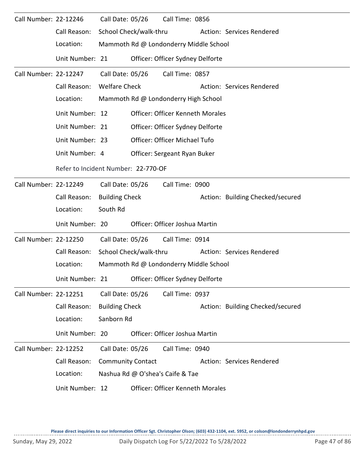| Call Number: 22-12246        |                                                  | Call Date: 05/26         | Call Time: 0856                         |                                  |
|------------------------------|--------------------------------------------------|--------------------------|-----------------------------------------|----------------------------------|
|                              | Call Reason:                                     | School Check/walk-thru   |                                         | Action: Services Rendered        |
|                              | Location:                                        |                          | Mammoth Rd @ Londonderry Middle School  |                                  |
|                              | Unit Number: 21                                  |                          | Officer: Officer Sydney Delforte        |                                  |
| Call Number: 22-12247        |                                                  | Call Date: 05/26         | Call Time: 0857                         |                                  |
|                              | Call Reason:                                     | <b>Welfare Check</b>     |                                         | Action: Services Rendered        |
|                              | Location:                                        |                          | Mammoth Rd @ Londonderry High School    |                                  |
|                              | Unit Number: 12                                  |                          | <b>Officer: Officer Kenneth Morales</b> |                                  |
|                              | Unit Number: 21                                  |                          | Officer: Officer Sydney Delforte        |                                  |
|                              | Unit Number: 23                                  |                          | Officer: Officer Michael Tufo           |                                  |
|                              | Unit Number: 4                                   |                          | Officer: Sergeant Ryan Buker            |                                  |
|                              | Refer to Incident Number: 22-770-OF              |                          |                                         |                                  |
| Call Number: 22-12249        |                                                  | Call Date: 05/26         | Call Time: 0900                         |                                  |
|                              | Call Reason:                                     | <b>Building Check</b>    |                                         | Action: Building Checked/secured |
|                              | Location:                                        | South Rd                 |                                         |                                  |
|                              | Unit Number: 20                                  |                          | Officer: Officer Joshua Martin          |                                  |
| <b>Call Number: 22-12250</b> |                                                  | Call Date: 05/26         | Call Time: 0914                         |                                  |
|                              | Call Reason:                                     | School Check/walk-thru   |                                         | Action: Services Rendered        |
|                              | Location:                                        |                          | Mammoth Rd @ Londonderry Middle School  |                                  |
|                              | Unit Number: 21 Officer: Officer Sydney Delforte |                          |                                         |                                  |
| Call Number: 22-12251        |                                                  | Call Date: 05/26         | Call Time: 0937                         |                                  |
|                              | Call Reason:                                     | <b>Building Check</b>    |                                         | Action: Building Checked/secured |
|                              | Location:                                        | Sanborn Rd               |                                         |                                  |
|                              | Unit Number: 20                                  |                          | Officer: Officer Joshua Martin          |                                  |
| Call Number: 22-12252        |                                                  | Call Date: 05/26         | Call Time: 0940                         |                                  |
|                              | Call Reason:                                     | <b>Community Contact</b> |                                         | Action: Services Rendered        |
|                              | Location:                                        |                          | Nashua Rd @ O'shea's Caife & Tae        |                                  |
|                              | Unit Number: 12                                  |                          | <b>Officer: Officer Kenneth Morales</b> |                                  |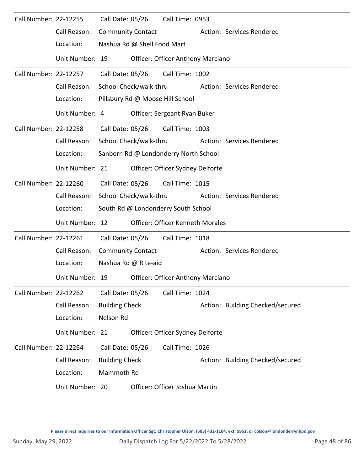| Call Number: 22-12255 |                 | Call Date: 05/26         |                             | Call Time: 0953                          |  |                                  |
|-----------------------|-----------------|--------------------------|-----------------------------|------------------------------------------|--|----------------------------------|
|                       | Call Reason:    | <b>Community Contact</b> |                             |                                          |  | Action: Services Rendered        |
|                       | Location:       |                          | Nashua Rd @ Shell Food Mart |                                          |  |                                  |
|                       | Unit Number: 19 |                          |                             | <b>Officer: Officer Anthony Marciano</b> |  |                                  |
| Call Number: 22-12257 |                 | Call Date: 05/26         |                             | Call Time: 1002                          |  |                                  |
|                       | Call Reason:    | School Check/walk-thru   |                             |                                          |  | Action: Services Rendered        |
|                       | Location:       |                          |                             | Pillsbury Rd @ Moose Hill School         |  |                                  |
|                       | Unit Number: 4  |                          |                             | Officer: Sergeant Ryan Buker             |  |                                  |
| Call Number: 22-12258 |                 | Call Date: 05/26         |                             | Call Time: 1003                          |  |                                  |
|                       | Call Reason:    |                          | School Check/walk-thru      |                                          |  | Action: Services Rendered        |
|                       | Location:       |                          |                             | Sanborn Rd @ Londonderry North School    |  |                                  |
|                       | Unit Number: 21 |                          |                             | Officer: Officer Sydney Delforte         |  |                                  |
| Call Number: 22-12260 |                 | Call Date: 05/26         |                             | Call Time: 1015                          |  |                                  |
|                       | Call Reason:    | School Check/walk-thru   |                             |                                          |  | Action: Services Rendered        |
|                       | Location:       |                          |                             | South Rd @ Londonderry South School      |  |                                  |
|                       | Unit Number: 12 |                          |                             | <b>Officer: Officer Kenneth Morales</b>  |  |                                  |
| Call Number: 22-12261 |                 | Call Date: 05/26         |                             | Call Time: 1018                          |  |                                  |
|                       | Call Reason:    | <b>Community Contact</b> |                             |                                          |  | Action: Services Rendered        |
|                       | Location:       |                          | Nashua Rd @ Rite-aid        |                                          |  |                                  |
|                       | Unit Number: 19 |                          |                             | <b>Officer: Officer Anthony Marciano</b> |  |                                  |
| Call Number: 22-12262 |                 | Call Date: 05/26         |                             | Call Time: 1024                          |  |                                  |
|                       | Call Reason:    | <b>Building Check</b>    |                             |                                          |  | Action: Building Checked/secured |
|                       | Location:       | Nelson Rd                |                             |                                          |  |                                  |
|                       | Unit Number: 21 |                          |                             | Officer: Officer Sydney Delforte         |  |                                  |
| Call Number: 22-12264 |                 | Call Date: 05/26         |                             | Call Time: 1026                          |  |                                  |
|                       | Call Reason:    | <b>Building Check</b>    |                             |                                          |  | Action: Building Checked/secured |
|                       | Location:       | Mammoth Rd               |                             |                                          |  |                                  |
|                       | Unit Number: 20 |                          |                             | Officer: Officer Joshua Martin           |  |                                  |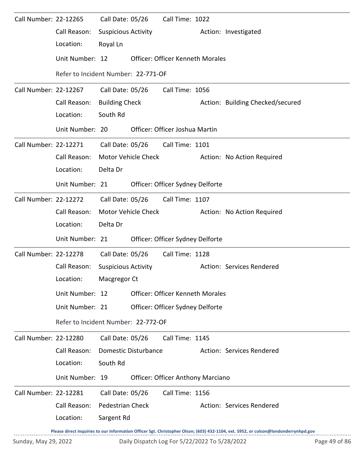| Call Number: 22-12265 |                                     | Call Date: 05/26           |                      | Call Time: 1022                          |                                                                                                                                     |
|-----------------------|-------------------------------------|----------------------------|----------------------|------------------------------------------|-------------------------------------------------------------------------------------------------------------------------------------|
|                       | Call Reason:                        | <b>Suspicious Activity</b> |                      |                                          | Action: Investigated                                                                                                                |
|                       | Location:                           | Royal Ln                   |                      |                                          |                                                                                                                                     |
|                       | Unit Number: 12                     |                            |                      | <b>Officer: Officer Kenneth Morales</b>  |                                                                                                                                     |
|                       | Refer to Incident Number: 22-771-OF |                            |                      |                                          |                                                                                                                                     |
| Call Number: 22-12267 |                                     | Call Date: 05/26           |                      | Call Time: 1056                          |                                                                                                                                     |
|                       | Call Reason:                        | <b>Building Check</b>      |                      |                                          | Action: Building Checked/secured                                                                                                    |
|                       | Location:                           | South Rd                   |                      |                                          |                                                                                                                                     |
|                       | Unit Number: 20                     |                            |                      | Officer: Officer Joshua Martin           |                                                                                                                                     |
| Call Number: 22-12271 |                                     |                            | Call Date: 05/26     | Call Time: 1101                          |                                                                                                                                     |
|                       | Call Reason:                        |                            | Motor Vehicle Check  |                                          | Action: No Action Required                                                                                                          |
|                       | Location:                           | Delta Dr                   |                      |                                          |                                                                                                                                     |
|                       | Unit Number: 21                     |                            |                      | Officer: Officer Sydney Delforte         |                                                                                                                                     |
| Call Number: 22-12272 |                                     |                            |                      | Call Date: 05/26 Call Time: 1107         |                                                                                                                                     |
|                       | Call Reason:                        |                            | Motor Vehicle Check  |                                          | Action: No Action Required                                                                                                          |
|                       | Location:                           | Delta Dr                   |                      |                                          |                                                                                                                                     |
|                       | Unit Number: 21                     |                            |                      | Officer: Officer Sydney Delforte         |                                                                                                                                     |
| Call Number: 22-12278 |                                     |                            | Call Date: 05/26     | Call Time: 1128                          |                                                                                                                                     |
|                       | Call Reason:                        | <b>Suspicious Activity</b> |                      |                                          | Action: Services Rendered                                                                                                           |
|                       | Location: Macgregor Ct              |                            |                      |                                          |                                                                                                                                     |
|                       | Unit Number: 12                     |                            |                      | <b>Officer: Officer Kenneth Morales</b>  |                                                                                                                                     |
|                       | Unit Number: 21                     |                            |                      | Officer: Officer Sydney Delforte         |                                                                                                                                     |
|                       | Refer to Incident Number: 22-772-OF |                            |                      |                                          |                                                                                                                                     |
| Call Number: 22-12280 |                                     | Call Date: 05/26           |                      | Call Time: 1145                          |                                                                                                                                     |
|                       | Call Reason:                        |                            | Domestic Disturbance |                                          | Action: Services Rendered                                                                                                           |
|                       | Location:                           | South Rd                   |                      |                                          |                                                                                                                                     |
|                       | Unit Number: 19                     |                            |                      | <b>Officer: Officer Anthony Marciano</b> |                                                                                                                                     |
| Call Number: 22-12281 |                                     | Call Date: 05/26           |                      | Call Time: 1156                          |                                                                                                                                     |
|                       | Call Reason:                        | <b>Pedestrian Check</b>    |                      |                                          | Action: Services Rendered                                                                                                           |
|                       | Location:                           | Sargent Rd                 |                      |                                          |                                                                                                                                     |
|                       |                                     |                            |                      |                                          | Please direct inquiries to our Information Officer Sgt. Christopher Olson; (603) 432-1104, ext. 5952, or colson@londonderrynhpd.gov |

Sunday, May 29, 2022 Daily Dispatch Log For 5/22/2022 To 5/28/2022 Page 49 of 86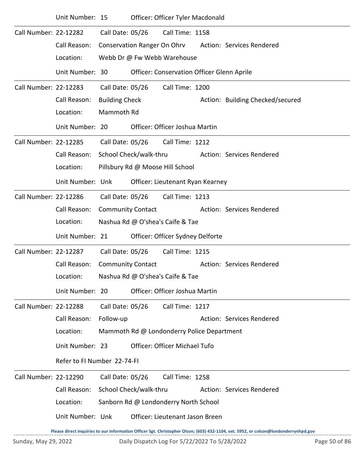|                       | Unit Number: 15             |                             |  | Officer: Officer Tyler Macdonald                  |  |                                                                                                                                     |  |  |  |  |
|-----------------------|-----------------------------|-----------------------------|--|---------------------------------------------------|--|-------------------------------------------------------------------------------------------------------------------------------------|--|--|--|--|
| Call Number: 22-12282 |                             | Call Date: 05/26            |  | Call Time: 1158                                   |  |                                                                                                                                     |  |  |  |  |
|                       | Call Reason:                | Conservation Ranger On Ohrv |  |                                                   |  | Action: Services Rendered                                                                                                           |  |  |  |  |
|                       | Location:                   |                             |  | Webb Dr @ Fw Webb Warehouse                       |  |                                                                                                                                     |  |  |  |  |
|                       | Unit Number: 30             |                             |  | <b>Officer: Conservation Officer Glenn Aprile</b> |  |                                                                                                                                     |  |  |  |  |
| Call Number: 22-12283 |                             | Call Date: 05/26            |  | Call Time: 1200                                   |  |                                                                                                                                     |  |  |  |  |
|                       | Call Reason:                | <b>Building Check</b>       |  |                                                   |  | Action: Building Checked/secured                                                                                                    |  |  |  |  |
|                       | Location:                   | Mammoth Rd                  |  |                                                   |  |                                                                                                                                     |  |  |  |  |
|                       | Unit Number: 20             |                             |  | Officer: Officer Joshua Martin                    |  |                                                                                                                                     |  |  |  |  |
| Call Number: 22-12285 |                             | Call Date: 05/26            |  | Call Time: 1212                                   |  |                                                                                                                                     |  |  |  |  |
|                       | Call Reason:                | School Check/walk-thru      |  |                                                   |  | Action: Services Rendered                                                                                                           |  |  |  |  |
|                       | Location:                   |                             |  | Pillsbury Rd @ Moose Hill School                  |  |                                                                                                                                     |  |  |  |  |
|                       | Unit Number: Unk            |                             |  | Officer: Lieutenant Ryan Kearney                  |  |                                                                                                                                     |  |  |  |  |
| Call Number: 22-12286 |                             | Call Date: 05/26            |  | Call Time: 1213                                   |  |                                                                                                                                     |  |  |  |  |
|                       | Call Reason:                | <b>Community Contact</b>    |  |                                                   |  | Action: Services Rendered                                                                                                           |  |  |  |  |
|                       | Location:                   |                             |  | Nashua Rd @ O'shea's Caife & Tae                  |  |                                                                                                                                     |  |  |  |  |
|                       | Unit Number: 21             |                             |  | Officer: Officer Sydney Delforte                  |  |                                                                                                                                     |  |  |  |  |
| Call Number: 22-12287 |                             | Call Date: 05/26            |  | Call Time: 1215                                   |  |                                                                                                                                     |  |  |  |  |
|                       | Call Reason:                | <b>Community Contact</b>    |  |                                                   |  | Action: Services Rendered                                                                                                           |  |  |  |  |
|                       | Location:                   |                             |  | Nashua Rd @ O'shea's Caife & Tae                  |  |                                                                                                                                     |  |  |  |  |
|                       | Unit Number: 20             |                             |  | Officer: Officer Joshua Martin                    |  |                                                                                                                                     |  |  |  |  |
| Call Number: 22-12288 |                             | Call Date: 05/26            |  | Call Time: 1217                                   |  |                                                                                                                                     |  |  |  |  |
|                       | Call Reason:                | Follow-up                   |  |                                                   |  | Action: Services Rendered                                                                                                           |  |  |  |  |
|                       | Location:                   |                             |  | Mammoth Rd @ Londonderry Police Department        |  |                                                                                                                                     |  |  |  |  |
|                       | Unit Number: 23             |                             |  | Officer: Officer Michael Tufo                     |  |                                                                                                                                     |  |  |  |  |
|                       | Refer to FI Number 22-74-FI |                             |  |                                                   |  |                                                                                                                                     |  |  |  |  |
| Call Number: 22-12290 |                             | Call Date: 05/26            |  | Call Time: 1258                                   |  |                                                                                                                                     |  |  |  |  |
|                       | Call Reason:                | School Check/walk-thru      |  |                                                   |  | Action: Services Rendered                                                                                                           |  |  |  |  |
|                       | Location:                   |                             |  | Sanborn Rd @ Londonderry North School             |  |                                                                                                                                     |  |  |  |  |
|                       | Unit Number: Unk            |                             |  | Officer: Lieutenant Jason Breen                   |  |                                                                                                                                     |  |  |  |  |
|                       |                             |                             |  |                                                   |  | Please direct inquiries to our Information Officer Sgt. Christopher Olson; (603) 432-1104, ext. 5952, or colson@londonderrynhpd.gov |  |  |  |  |

Sunday, May 29, 2022 Daily Dispatch Log For 5/22/2022 To 5/28/2022 Page 50 of 86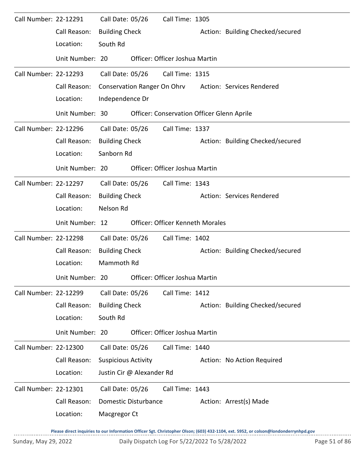| Call Number: 22-12291 |                 | Call Date: 05/26           |                           | Call Time: 1305                                   |                                  |
|-----------------------|-----------------|----------------------------|---------------------------|---------------------------------------------------|----------------------------------|
|                       | Call Reason:    | <b>Building Check</b>      |                           |                                                   | Action: Building Checked/secured |
|                       | Location:       | South Rd                   |                           |                                                   |                                  |
|                       | Unit Number: 20 |                            |                           | Officer: Officer Joshua Martin                    |                                  |
| Call Number: 22-12293 |                 | Call Date: 05/26           |                           | Call Time: 1315                                   |                                  |
|                       | Call Reason:    |                            |                           | <b>Conservation Ranger On Ohrv</b>                | Action: Services Rendered        |
|                       | Location:       | Independence Dr            |                           |                                                   |                                  |
|                       | Unit Number: 30 |                            |                           | <b>Officer: Conservation Officer Glenn Aprile</b> |                                  |
| Call Number: 22-12296 |                 | Call Date: 05/26           |                           | Call Time: 1337                                   |                                  |
|                       | Call Reason:    | <b>Building Check</b>      |                           |                                                   | Action: Building Checked/secured |
|                       | Location:       | Sanborn Rd                 |                           |                                                   |                                  |
|                       | Unit Number: 20 |                            |                           | Officer: Officer Joshua Martin                    |                                  |
| Call Number: 22-12297 |                 | Call Date: 05/26           |                           | Call Time: 1343                                   |                                  |
|                       | Call Reason:    | <b>Building Check</b>      |                           |                                                   | Action: Services Rendered        |
|                       | Location:       | Nelson Rd                  |                           |                                                   |                                  |
|                       | Unit Number: 12 |                            |                           | <b>Officer: Officer Kenneth Morales</b>           |                                  |
| Call Number: 22-12298 |                 | Call Date: 05/26           |                           | Call Time: 1402                                   |                                  |
|                       | Call Reason:    | <b>Building Check</b>      |                           |                                                   | Action: Building Checked/secured |
|                       | Location:       | Mammoth Rd                 |                           |                                                   |                                  |
|                       | Unit Number: 20 |                            |                           | Officer: Officer Joshua Martin                    |                                  |
| Call Number: 22-12299 |                 | Call Date: 05/26           |                           | Call Time: 1412                                   |                                  |
|                       | Call Reason:    | <b>Building Check</b>      |                           |                                                   | Action: Building Checked/secured |
|                       | Location:       | South Rd                   |                           |                                                   |                                  |
|                       | Unit Number: 20 |                            |                           | Officer: Officer Joshua Martin                    |                                  |
| Call Number: 22-12300 |                 | Call Date: 05/26           |                           | Call Time: 1440                                   |                                  |
|                       | Call Reason:    | <b>Suspicious Activity</b> |                           |                                                   | Action: No Action Required       |
|                       | Location:       |                            | Justin Cir @ Alexander Rd |                                                   |                                  |
| Call Number: 22-12301 |                 | Call Date: 05/26           |                           | Call Time: 1443                                   |                                  |
|                       | Call Reason:    |                            | Domestic Disturbance      |                                                   | Action: Arrest(s) Made           |
|                       | Location:       | Macgregor Ct               |                           |                                                   |                                  |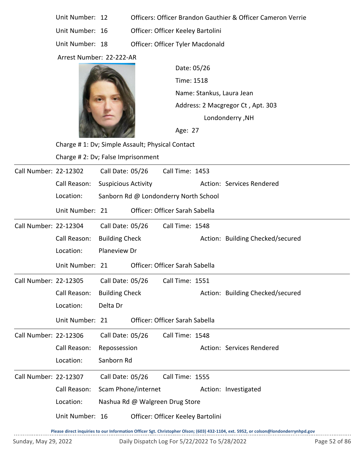- Unit Number: 12 Officers: Officer Brandon Gauthier & Officer Cameron Verrie
- Unit Number: 16 Officer: Officer Keeley Bartolini
- Unit Number: 18 Officer: Officer Tyler Macdonald

Arrest Number: 22-222-AR



Time: 1518 Name: Stankus, Laura Jean Date: 05/26 Londonderry ,NH Address: 2 Macgregor Ct , Apt. 303

Age: 27

Charge # 1: Dv; Simple Assault; Physical Contact

Charge # 2: Dv; False Imprisonment

| Call Number: 22-12302 |                 | Call Date: 05/26           |                     | Call Time: 1453                       |                                  |
|-----------------------|-----------------|----------------------------|---------------------|---------------------------------------|----------------------------------|
|                       | Call Reason:    | <b>Suspicious Activity</b> |                     |                                       | Action: Services Rendered        |
|                       | Location:       |                            |                     | Sanborn Rd @ Londonderry North School |                                  |
|                       | Unit Number: 21 |                            |                     | Officer: Officer Sarah Sabella        |                                  |
| Call Number: 22-12304 |                 | Call Date: 05/26           |                     | Call Time: 1548                       |                                  |
|                       | Call Reason:    | <b>Building Check</b>      |                     |                                       | Action: Building Checked/secured |
|                       | Location:       | Planeview Dr               |                     |                                       |                                  |
|                       | Unit Number: 21 |                            |                     | Officer: Officer Sarah Sabella        |                                  |
| Call Number: 22-12305 |                 | Call Date: 05/26           |                     | Call Time: 1551                       |                                  |
|                       | Call Reason:    | <b>Building Check</b>      |                     |                                       | Action: Building Checked/secured |
|                       | Location:       | Delta Dr                   |                     |                                       |                                  |
|                       | Unit Number: 21 |                            |                     | Officer: Officer Sarah Sabella        |                                  |
| Call Number: 22-12306 |                 | Call Date: 05/26           |                     | Call Time: 1548                       |                                  |
|                       | Call Reason:    | Repossession               |                     |                                       | Action: Services Rendered        |
|                       | Location:       | Sanborn Rd                 |                     |                                       |                                  |
| Call Number: 22-12307 |                 | Call Date: 05/26           |                     | Call Time: 1555                       |                                  |
|                       | Call Reason:    |                            | Scam Phone/internet |                                       | Action: Investigated             |
|                       | Location:       |                            |                     | Nashua Rd @ Walgreen Drug Store       |                                  |
|                       | Unit Number: 16 |                            |                     | Officer: Officer Keeley Bartolini     |                                  |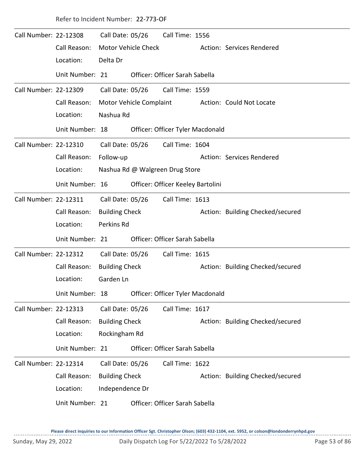| Call Number: 22-12308 |                 | Call Date: 05/26      |                                 | Call Time: 1556                   |  |                                  |  |  |  |  |
|-----------------------|-----------------|-----------------------|---------------------------------|-----------------------------------|--|----------------------------------|--|--|--|--|
|                       | Call Reason:    |                       | <b>Motor Vehicle Check</b>      |                                   |  | Action: Services Rendered        |  |  |  |  |
|                       | Location:       | Delta Dr              |                                 |                                   |  |                                  |  |  |  |  |
|                       | Unit Number: 21 |                       |                                 | Officer: Officer Sarah Sabella    |  |                                  |  |  |  |  |
| Call Number: 22-12309 |                 | Call Date: 05/26      |                                 | Call Time: 1559                   |  |                                  |  |  |  |  |
|                       | Call Reason:    |                       | Motor Vehicle Complaint         |                                   |  | Action: Could Not Locate         |  |  |  |  |
|                       | Location:       | Nashua Rd             |                                 |                                   |  |                                  |  |  |  |  |
|                       | Unit Number: 18 |                       |                                 | Officer: Officer Tyler Macdonald  |  |                                  |  |  |  |  |
| Call Number: 22-12310 |                 | Call Date: 05/26      |                                 | Call Time: 1604                   |  |                                  |  |  |  |  |
|                       | Call Reason:    | Follow-up             |                                 |                                   |  | Action: Services Rendered        |  |  |  |  |
|                       | Location:       |                       | Nashua Rd @ Walgreen Drug Store |                                   |  |                                  |  |  |  |  |
|                       | Unit Number: 16 |                       |                                 | Officer: Officer Keeley Bartolini |  |                                  |  |  |  |  |
| Call Number: 22-12311 |                 | Call Date: 05/26      |                                 | Call Time: 1613                   |  |                                  |  |  |  |  |
|                       | Call Reason:    | <b>Building Check</b> |                                 |                                   |  | Action: Building Checked/secured |  |  |  |  |
|                       | Location:       | Perkins Rd            |                                 |                                   |  |                                  |  |  |  |  |
|                       | Unit Number: 21 |                       |                                 | Officer: Officer Sarah Sabella    |  |                                  |  |  |  |  |
| Call Number: 22-12312 |                 | Call Date: 05/26      |                                 | Call Time: 1615                   |  |                                  |  |  |  |  |
|                       | Call Reason:    | <b>Building Check</b> |                                 |                                   |  | Action: Building Checked/secured |  |  |  |  |
|                       | Location:       | Garden Ln             |                                 |                                   |  |                                  |  |  |  |  |
|                       | Unit Number: 18 |                       |                                 | Officer: Officer Tyler Macdonald  |  |                                  |  |  |  |  |
| Call Number: 22-12313 |                 | Call Date: 05/26      |                                 | Call Time: 1617                   |  |                                  |  |  |  |  |
|                       | Call Reason:    | <b>Building Check</b> |                                 |                                   |  | Action: Building Checked/secured |  |  |  |  |
|                       | Location:       | Rockingham Rd         |                                 |                                   |  |                                  |  |  |  |  |
|                       | Unit Number: 21 |                       |                                 | Officer: Officer Sarah Sabella    |  |                                  |  |  |  |  |
| Call Number: 22-12314 |                 | Call Date: 05/26      |                                 | Call Time: 1622                   |  |                                  |  |  |  |  |
|                       | Call Reason:    | <b>Building Check</b> |                                 |                                   |  | Action: Building Checked/secured |  |  |  |  |
|                       | Location:       | Independence Dr       |                                 |                                   |  |                                  |  |  |  |  |
|                       | Unit Number: 21 |                       |                                 | Officer: Officer Sarah Sabella    |  |                                  |  |  |  |  |

Refer to Incident Number: 22-773-OF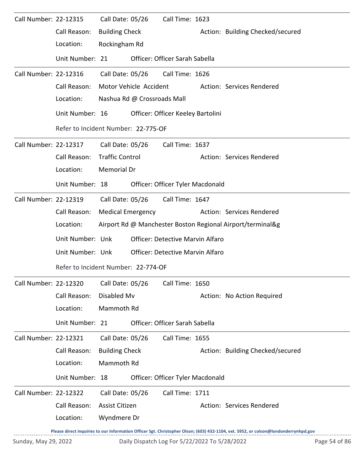| Call Number: 22-12315        |                                     | Call Date: 05/26         |                             | Call Time: 1623                         |  |                                                                                                                                     |  |  |  |
|------------------------------|-------------------------------------|--------------------------|-----------------------------|-----------------------------------------|--|-------------------------------------------------------------------------------------------------------------------------------------|--|--|--|
|                              | Call Reason:                        | <b>Building Check</b>    |                             |                                         |  | Action: Building Checked/secured                                                                                                    |  |  |  |
|                              | Location:                           | Rockingham Rd            |                             |                                         |  |                                                                                                                                     |  |  |  |
|                              | Unit Number: 21                     |                          |                             | Officer: Officer Sarah Sabella          |  |                                                                                                                                     |  |  |  |
| Call Number: 22-12316        |                                     | Call Date: 05/26         |                             | Call Time: 1626                         |  |                                                                                                                                     |  |  |  |
|                              | Call Reason:                        |                          | Motor Vehicle Accident      |                                         |  | Action: Services Rendered                                                                                                           |  |  |  |
|                              | Location:                           |                          | Nashua Rd @ Crossroads Mall |                                         |  |                                                                                                                                     |  |  |  |
|                              | Unit Number: 16                     |                          |                             | Officer: Officer Keeley Bartolini       |  |                                                                                                                                     |  |  |  |
|                              | Refer to Incident Number: 22-775-OF |                          |                             |                                         |  |                                                                                                                                     |  |  |  |
| Call Number: 22-12317        |                                     | Call Date: 05/26         |                             | Call Time: 1637                         |  |                                                                                                                                     |  |  |  |
|                              | Call Reason:                        | <b>Traffic Control</b>   |                             |                                         |  | Action: Services Rendered                                                                                                           |  |  |  |
|                              | Location:                           | <b>Memorial Dr</b>       |                             |                                         |  |                                                                                                                                     |  |  |  |
|                              | Unit Number: 18                     |                          |                             | Officer: Officer Tyler Macdonald        |  |                                                                                                                                     |  |  |  |
| Call Number: 22-12319        |                                     | Call Date: 05/26         |                             | Call Time: 1647                         |  |                                                                                                                                     |  |  |  |
|                              | Call Reason:                        | <b>Medical Emergency</b> |                             |                                         |  | Action: Services Rendered                                                                                                           |  |  |  |
|                              | Location:                           |                          |                             |                                         |  | Airport Rd @ Manchester Boston Regional Airport/terminal&g                                                                          |  |  |  |
|                              | Unit Number: Unk                    |                          |                             | <b>Officer: Detective Marvin Alfaro</b> |  |                                                                                                                                     |  |  |  |
|                              | Unit Number: Unk                    |                          |                             | <b>Officer: Detective Marvin Alfaro</b> |  |                                                                                                                                     |  |  |  |
|                              | Refer to Incident Number: 22-774-OF |                          |                             |                                         |  |                                                                                                                                     |  |  |  |
| Call Number: 22-12320        |                                     | Call Date: 05/26         |                             | Call Time: 1650                         |  |                                                                                                                                     |  |  |  |
|                              | Call Reason:                        | Disabled Mv              |                             |                                         |  | Action: No Action Required                                                                                                          |  |  |  |
|                              | Location:                           | Mammoth Rd               |                             |                                         |  |                                                                                                                                     |  |  |  |
|                              | Unit Number: 21                     |                          |                             | Officer: Officer Sarah Sabella          |  |                                                                                                                                     |  |  |  |
| Call Number: 22-12321        |                                     | Call Date: 05/26         |                             | Call Time: 1655                         |  |                                                                                                                                     |  |  |  |
|                              | Call Reason:                        | <b>Building Check</b>    |                             |                                         |  | Action: Building Checked/secured                                                                                                    |  |  |  |
|                              | Location:                           | Mammoth Rd               |                             |                                         |  |                                                                                                                                     |  |  |  |
|                              | Unit Number: 18                     |                          |                             | Officer: Officer Tyler Macdonald        |  |                                                                                                                                     |  |  |  |
| <b>Call Number: 22-12322</b> |                                     | Call Date: 05/26         |                             | Call Time: 1711                         |  |                                                                                                                                     |  |  |  |
|                              | Call Reason:                        | Assist Citizen           |                             |                                         |  | Action: Services Rendered                                                                                                           |  |  |  |
|                              | Location:                           | Wyndmere Dr              |                             |                                         |  |                                                                                                                                     |  |  |  |
|                              |                                     |                          |                             |                                         |  | Please direct inquiries to our Information Officer Sgt. Christopher Olson; (603) 432-1104, ext. 5952, or colson@londonderrynhpd.gov |  |  |  |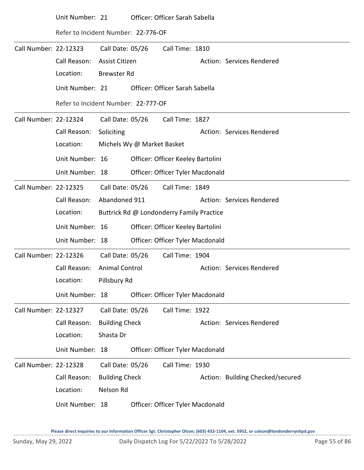|                       | Unit Number: 21                     |                            | Officer: Officer Sarah Sabella            |  |                                  |  |  |  |  |
|-----------------------|-------------------------------------|----------------------------|-------------------------------------------|--|----------------------------------|--|--|--|--|
|                       | Refer to Incident Number: 22-776-OF |                            |                                           |  |                                  |  |  |  |  |
| Call Number: 22-12323 |                                     | Call Date: 05/26           | Call Time: 1810                           |  |                                  |  |  |  |  |
|                       | Call Reason:                        | <b>Assist Citizen</b>      |                                           |  | Action: Services Rendered        |  |  |  |  |
|                       | Location:                           | <b>Brewster Rd</b>         |                                           |  |                                  |  |  |  |  |
|                       | Unit Number: 21                     |                            | Officer: Officer Sarah Sabella            |  |                                  |  |  |  |  |
|                       | Refer to Incident Number: 22-777-OF |                            |                                           |  |                                  |  |  |  |  |
| Call Number: 22-12324 |                                     | Call Date: 05/26           | Call Time: 1827                           |  |                                  |  |  |  |  |
|                       | Call Reason:                        | Soliciting                 |                                           |  | Action: Services Rendered        |  |  |  |  |
|                       | Location:                           | Michels Wy @ Market Basket |                                           |  |                                  |  |  |  |  |
|                       | Unit Number: 16                     |                            | Officer: Officer Keeley Bartolini         |  |                                  |  |  |  |  |
|                       | Unit Number: 18                     |                            | Officer: Officer Tyler Macdonald          |  |                                  |  |  |  |  |
| Call Number: 22-12325 |                                     | Call Date: 05/26           | Call Time: 1849                           |  |                                  |  |  |  |  |
|                       | Call Reason:                        | Abandoned 911              |                                           |  | Action: Services Rendered        |  |  |  |  |
|                       | Location:                           |                            | Buttrick Rd @ Londonderry Family Practice |  |                                  |  |  |  |  |
|                       | Unit Number: 16                     |                            | Officer: Officer Keeley Bartolini         |  |                                  |  |  |  |  |
|                       | Unit Number: 18                     |                            | Officer: Officer Tyler Macdonald          |  |                                  |  |  |  |  |
| Call Number: 22-12326 |                                     | Call Date: 05/26           | Call Time: 1904                           |  |                                  |  |  |  |  |
|                       | Call Reason:                        | <b>Animal Control</b>      |                                           |  | Action: Services Rendered        |  |  |  |  |
|                       | Location:                           | Pillsbury Rd               |                                           |  |                                  |  |  |  |  |
|                       | Unit Number: 18                     |                            | Officer: Officer Tyler Macdonald          |  |                                  |  |  |  |  |
| Call Number: 22-12327 |                                     | Call Date: 05/26           | Call Time: 1922                           |  |                                  |  |  |  |  |
|                       | Call Reason:                        | <b>Building Check</b>      |                                           |  | Action: Services Rendered        |  |  |  |  |
|                       | Location:                           | Shasta Dr                  |                                           |  |                                  |  |  |  |  |
|                       | Unit Number: 18                     |                            | Officer: Officer Tyler Macdonald          |  |                                  |  |  |  |  |
| Call Number: 22-12328 |                                     | Call Date: 05/26           | Call Time: 1930                           |  |                                  |  |  |  |  |
|                       | Call Reason:                        | <b>Building Check</b>      |                                           |  | Action: Building Checked/secured |  |  |  |  |
|                       | Location:                           | Nelson Rd                  |                                           |  |                                  |  |  |  |  |
|                       | Unit Number: 18                     |                            | Officer: Officer Tyler Macdonald          |  |                                  |  |  |  |  |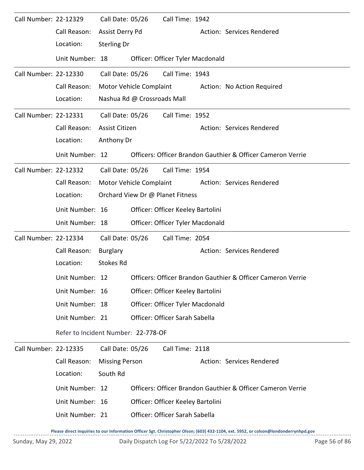| Call Number: 22-12329 |                                     | Call Date: 05/26      |                                  | Call Time: 1942                   |  |                                                             |  |  |  |  |  |
|-----------------------|-------------------------------------|-----------------------|----------------------------------|-----------------------------------|--|-------------------------------------------------------------|--|--|--|--|--|
|                       | Call Reason:                        | Assist Derry Pd       |                                  |                                   |  | Action: Services Rendered                                   |  |  |  |  |  |
|                       | Location:                           | Sterling Dr           |                                  |                                   |  |                                                             |  |  |  |  |  |
|                       | Unit Number: 18                     |                       |                                  | Officer: Officer Tyler Macdonald  |  |                                                             |  |  |  |  |  |
| Call Number: 22-12330 |                                     | Call Date: 05/26      |                                  | Call Time: 1943                   |  |                                                             |  |  |  |  |  |
|                       | Call Reason:                        |                       | Motor Vehicle Complaint          |                                   |  | Action: No Action Required                                  |  |  |  |  |  |
|                       | Location:                           |                       | Nashua Rd @ Crossroads Mall      |                                   |  |                                                             |  |  |  |  |  |
| Call Number: 22-12331 |                                     |                       | Call Date: 05/26                 | Call Time: 1952                   |  |                                                             |  |  |  |  |  |
|                       | Call Reason:                        | Assist Citizen        |                                  |                                   |  | Action: Services Rendered                                   |  |  |  |  |  |
|                       | Location:                           | Anthony Dr            |                                  |                                   |  |                                                             |  |  |  |  |  |
|                       | Unit Number: 12                     |                       |                                  |                                   |  | Officers: Officer Brandon Gauthier & Officer Cameron Verrie |  |  |  |  |  |
| Call Number: 22-12332 |                                     | Call Date: 05/26      |                                  | Call Time: 1954                   |  |                                                             |  |  |  |  |  |
|                       | Call Reason:                        |                       | Motor Vehicle Complaint          |                                   |  | Action: Services Rendered                                   |  |  |  |  |  |
|                       | Location:                           |                       | Orchard View Dr @ Planet Fitness |                                   |  |                                                             |  |  |  |  |  |
|                       | Unit Number: 16                     |                       |                                  | Officer: Officer Keeley Bartolini |  |                                                             |  |  |  |  |  |
|                       | Unit Number: 18                     |                       |                                  | Officer: Officer Tyler Macdonald  |  |                                                             |  |  |  |  |  |
| Call Number: 22-12334 |                                     | Call Date: 05/26      |                                  | Call Time: 2054                   |  |                                                             |  |  |  |  |  |
|                       | Call Reason:                        | <b>Burglary</b>       |                                  |                                   |  | Action: Services Rendered                                   |  |  |  |  |  |
|                       | Location:                           | <b>Stokes Rd</b>      |                                  |                                   |  |                                                             |  |  |  |  |  |
|                       | Unit Number: 12                     |                       |                                  |                                   |  | Officers: Officer Brandon Gauthier & Officer Cameron Verrie |  |  |  |  |  |
|                       | Unit Number: 16                     |                       |                                  | Officer: Officer Keeley Bartolini |  |                                                             |  |  |  |  |  |
|                       | Unit Number: 18                     |                       |                                  | Officer: Officer Tyler Macdonald  |  |                                                             |  |  |  |  |  |
|                       | Unit Number: 21                     |                       |                                  | Officer: Officer Sarah Sabella    |  |                                                             |  |  |  |  |  |
|                       | Refer to Incident Number: 22-778-OF |                       |                                  |                                   |  |                                                             |  |  |  |  |  |
| Call Number: 22-12335 |                                     | Call Date: 05/26      |                                  | Call Time: 2118                   |  |                                                             |  |  |  |  |  |
|                       | Call Reason:                        | <b>Missing Person</b> |                                  |                                   |  | Action: Services Rendered                                   |  |  |  |  |  |
|                       | Location:                           | South Rd              |                                  |                                   |  |                                                             |  |  |  |  |  |
|                       | Unit Number: 12                     |                       |                                  |                                   |  | Officers: Officer Brandon Gauthier & Officer Cameron Verrie |  |  |  |  |  |
|                       | Unit Number: 16                     |                       |                                  | Officer: Officer Keeley Bartolini |  |                                                             |  |  |  |  |  |
|                       | Unit Number: 21                     |                       |                                  | Officer: Officer Sarah Sabella    |  |                                                             |  |  |  |  |  |
|                       |                                     |                       |                                  |                                   |  |                                                             |  |  |  |  |  |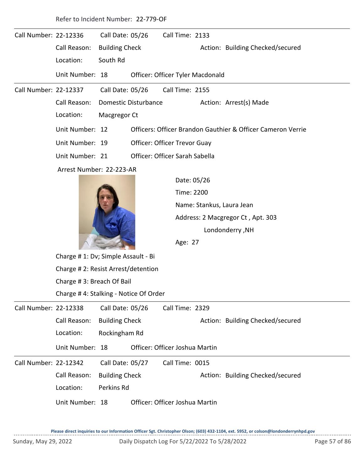Refer to Incident Number: 22-779-OF

| Call Number: 22-12336 |                                       | Call Date: 05/26      |                                                             | Call Time: 2133 |             |  |                                   |  |  |  |  |
|-----------------------|---------------------------------------|-----------------------|-------------------------------------------------------------|-----------------|-------------|--|-----------------------------------|--|--|--|--|
|                       | Call Reason:                          | <b>Building Check</b> |                                                             |                 |             |  | Action: Building Checked/secured  |  |  |  |  |
|                       | Location:                             | South Rd              |                                                             |                 |             |  |                                   |  |  |  |  |
|                       | Unit Number: 18                       |                       | Officer: Officer Tyler Macdonald                            |                 |             |  |                                   |  |  |  |  |
| Call Number: 22-12337 |                                       | Call Date: 05/26      |                                                             | Call Time: 2155 |             |  |                                   |  |  |  |  |
|                       | Call Reason:                          |                       | Domestic Disturbance                                        |                 |             |  | Action: Arrest(s) Made            |  |  |  |  |
|                       | Location:                             |                       | Macgregor Ct                                                |                 |             |  |                                   |  |  |  |  |
|                       | Unit Number: 12                       |                       | Officers: Officer Brandon Gauthier & Officer Cameron Verrie |                 |             |  |                                   |  |  |  |  |
|                       | Unit Number: 19                       |                       | Officer: Officer Trevor Guay                                |                 |             |  |                                   |  |  |  |  |
|                       | Unit Number: 21                       |                       | Officer: Officer Sarah Sabella                              |                 |             |  |                                   |  |  |  |  |
|                       | Arrest Number: 22-223-AR              |                       |                                                             |                 |             |  |                                   |  |  |  |  |
|                       |                                       |                       |                                                             |                 | Date: 05/26 |  |                                   |  |  |  |  |
|                       |                                       |                       |                                                             |                 | Time: 2200  |  |                                   |  |  |  |  |
|                       |                                       |                       |                                                             |                 |             |  | Name: Stankus, Laura Jean         |  |  |  |  |
|                       |                                       |                       |                                                             |                 |             |  | Address: 2 Macgregor Ct, Apt. 303 |  |  |  |  |
|                       |                                       |                       |                                                             |                 |             |  | Londonderry, NH                   |  |  |  |  |
|                       |                                       |                       |                                                             | Age: 27         |             |  |                                   |  |  |  |  |
|                       | Charge # 1: Dv; Simple Assault - Bi   |                       |                                                             |                 |             |  |                                   |  |  |  |  |
|                       | Charge # 2: Resist Arrest/detention   |                       |                                                             |                 |             |  |                                   |  |  |  |  |
|                       | Charge #3: Breach Of Bail             |                       |                                                             |                 |             |  |                                   |  |  |  |  |
|                       | Charge #4: Stalking - Notice Of Order |                       |                                                             |                 |             |  |                                   |  |  |  |  |
| Call Number: 22-12338 |                                       | Call Date: 05/26      |                                                             | Call Time: 2329 |             |  |                                   |  |  |  |  |
|                       | Call Reason:                          | <b>Building Check</b> |                                                             |                 |             |  | Action: Building Checked/secured  |  |  |  |  |
|                       | Location:                             | Rockingham Rd         |                                                             |                 |             |  |                                   |  |  |  |  |
|                       | Unit Number: 18                       |                       | Officer: Officer Joshua Martin                              |                 |             |  |                                   |  |  |  |  |
| Call Number: 22-12342 |                                       | Call Date: 05/27      |                                                             | Call Time: 0015 |             |  |                                   |  |  |  |  |
|                       | Call Reason:                          | <b>Building Check</b> |                                                             |                 |             |  | Action: Building Checked/secured  |  |  |  |  |
|                       | Location:                             | Perkins Rd            |                                                             |                 |             |  |                                   |  |  |  |  |
|                       | Unit Number: 18                       |                       | Officer: Officer Joshua Martin                              |                 |             |  |                                   |  |  |  |  |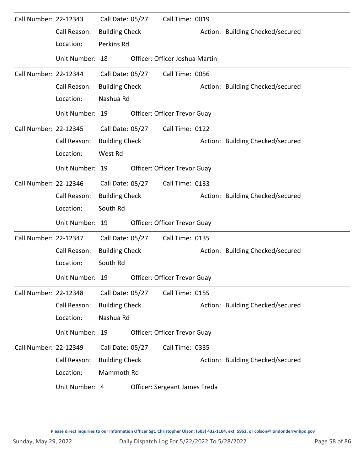| Call Number: 22-12343 |                 | Call Date: 05/27      | Call Time: 0019                     |                                  |
|-----------------------|-----------------|-----------------------|-------------------------------------|----------------------------------|
|                       | Call Reason:    | <b>Building Check</b> |                                     | Action: Building Checked/secured |
|                       | Location:       | Perkins Rd            |                                     |                                  |
|                       | Unit Number: 18 |                       | Officer: Officer Joshua Martin      |                                  |
| Call Number: 22-12344 |                 | Call Date: 05/27      | Call Time: 0056                     |                                  |
|                       | Call Reason:    | <b>Building Check</b> |                                     | Action: Building Checked/secured |
|                       | Location:       | Nashua Rd             |                                     |                                  |
|                       | Unit Number: 19 |                       | <b>Officer: Officer Trevor Guay</b> |                                  |
| Call Number: 22-12345 |                 | Call Date: 05/27      | Call Time: 0122                     |                                  |
|                       | Call Reason:    | <b>Building Check</b> |                                     | Action: Building Checked/secured |
|                       | Location:       | West Rd               |                                     |                                  |
|                       | Unit Number: 19 |                       | <b>Officer: Officer Trevor Guay</b> |                                  |
| Call Number: 22-12346 |                 | Call Date: 05/27      | Call Time: 0133                     |                                  |
|                       | Call Reason:    | <b>Building Check</b> |                                     | Action: Building Checked/secured |
|                       | Location:       | South Rd              |                                     |                                  |
|                       | Unit Number: 19 |                       | Officer: Officer Trevor Guay        |                                  |
| Call Number: 22-12347 |                 | Call Date: 05/27      | Call Time: 0135                     |                                  |
|                       | Call Reason:    | <b>Building Check</b> |                                     | Action: Building Checked/secured |
|                       | Location:       | South Rd              |                                     |                                  |
|                       | Unit Number: 19 |                       | Officer: Officer Trevor Guay        |                                  |
| Call Number: 22-12348 |                 | Call Date: 05/27      | Call Time: 0155                     |                                  |
|                       | Call Reason:    | <b>Building Check</b> |                                     | Action: Building Checked/secured |
|                       | Location:       | Nashua Rd             |                                     |                                  |
|                       | Unit Number: 19 |                       | Officer: Officer Trevor Guay        |                                  |
| Call Number: 22-12349 |                 | Call Date: 05/27      | Call Time: 0335                     |                                  |
|                       | Call Reason:    | <b>Building Check</b> |                                     | Action: Building Checked/secured |
|                       | Location:       | Mammoth Rd            |                                     |                                  |
|                       | Unit Number: 4  |                       | Officer: Sergeant James Freda       |                                  |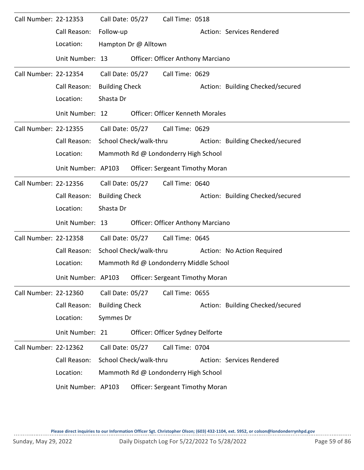| Call Number: 22-12353 |                    |                       | Call Date: 05/27       | Call Time: 0518                          |                                  |
|-----------------------|--------------------|-----------------------|------------------------|------------------------------------------|----------------------------------|
|                       | Call Reason:       | Follow-up             |                        |                                          | Action: Services Rendered        |
|                       | Location:          |                       | Hampton Dr @ Alltown   |                                          |                                  |
|                       | Unit Number: 13    |                       |                        | <b>Officer: Officer Anthony Marciano</b> |                                  |
| Call Number: 22-12354 |                    | Call Date: 05/27      |                        | Call Time: 0629                          |                                  |
|                       | Call Reason:       | <b>Building Check</b> |                        |                                          | Action: Building Checked/secured |
|                       | Location:          | Shasta Dr             |                        |                                          |                                  |
|                       | Unit Number: 12    |                       |                        | <b>Officer: Officer Kenneth Morales</b>  |                                  |
| Call Number: 22-12355 |                    | Call Date: 05/27      |                        | Call Time: 0629                          |                                  |
|                       | Call Reason:       |                       | School Check/walk-thru |                                          | Action: Building Checked/secured |
|                       | Location:          |                       |                        | Mammoth Rd @ Londonderry High School     |                                  |
|                       | Unit Number: AP103 |                       |                        | <b>Officer: Sergeant Timothy Moran</b>   |                                  |
| Call Number: 22-12356 |                    | Call Date: 05/27      |                        | Call Time: 0640                          |                                  |
|                       | Call Reason:       | <b>Building Check</b> |                        |                                          | Action: Building Checked/secured |
|                       | Location:          | Shasta Dr             |                        |                                          |                                  |
|                       | Unit Number: 13    |                       |                        | <b>Officer: Officer Anthony Marciano</b> |                                  |
| Call Number: 22-12358 |                    | Call Date: 05/27      |                        | Call Time: 0645                          |                                  |
|                       | Call Reason:       |                       | School Check/walk-thru |                                          | Action: No Action Required       |
|                       | Location:          |                       |                        | Mammoth Rd @ Londonderry Middle School   |                                  |
|                       | Unit Number: AP103 |                       |                        | <b>Officer: Sergeant Timothy Moran</b>   |                                  |
| Call Number: 22-12360 |                    | Call Date: 05/27      |                        | Call Time: 0655                          |                                  |
|                       | Call Reason:       | <b>Building Check</b> |                        |                                          | Action: Building Checked/secured |
|                       | Location:          | Symmes Dr             |                        |                                          |                                  |
|                       | Unit Number: 21    |                       |                        | Officer: Officer Sydney Delforte         |                                  |
| Call Number: 22-12362 |                    | Call Date: 05/27      |                        | Call Time: 0704                          |                                  |
|                       | Call Reason:       |                       | School Check/walk-thru |                                          | Action: Services Rendered        |
|                       | Location:          |                       |                        | Mammoth Rd @ Londonderry High School     |                                  |
|                       | Unit Number: AP103 |                       |                        | <b>Officer: Sergeant Timothy Moran</b>   |                                  |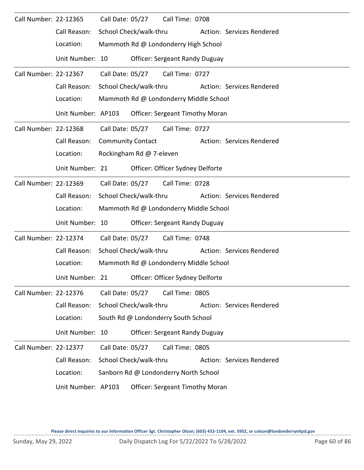| Call Number: 22-12365 |                    | Call Date: 05/27         |                          | Call Time: 0708                        |                           |
|-----------------------|--------------------|--------------------------|--------------------------|----------------------------------------|---------------------------|
|                       | Call Reason:       | School Check/walk-thru   |                          |                                        | Action: Services Rendered |
|                       | Location:          |                          |                          | Mammoth Rd @ Londonderry High School   |                           |
|                       | Unit Number: 10    |                          |                          | <b>Officer: Sergeant Randy Duguay</b>  |                           |
| Call Number: 22-12367 |                    | Call Date: 05/27         |                          | Call Time: 0727                        |                           |
|                       | Call Reason:       | School Check/walk-thru   |                          |                                        | Action: Services Rendered |
|                       | Location:          |                          |                          | Mammoth Rd @ Londonderry Middle School |                           |
|                       | Unit Number: AP103 |                          |                          | <b>Officer: Sergeant Timothy Moran</b> |                           |
| Call Number: 22-12368 |                    |                          | Call Date: 05/27         | Call Time: 0727                        |                           |
|                       | Call Reason:       | <b>Community Contact</b> |                          |                                        | Action: Services Rendered |
|                       | Location:          |                          | Rockingham Rd @ 7-eleven |                                        |                           |
|                       | Unit Number: 21    |                          |                          | Officer: Officer Sydney Delforte       |                           |
| Call Number: 22-12369 |                    | Call Date: 05/27         |                          | Call Time: 0728                        |                           |
|                       | Call Reason:       | School Check/walk-thru   |                          |                                        | Action: Services Rendered |
|                       | Location:          |                          |                          | Mammoth Rd @ Londonderry Middle School |                           |
|                       | Unit Number: 10    |                          |                          | <b>Officer: Sergeant Randy Duguay</b>  |                           |
| Call Number: 22-12374 |                    | Call Date: 05/27         |                          | Call Time: 0748                        |                           |
|                       | Call Reason:       | School Check/walk-thru   |                          |                                        | Action: Services Rendered |
|                       | Location:          |                          |                          | Mammoth Rd @ Londonderry Middle School |                           |
|                       | Unit Number: 21    |                          |                          | Officer: Officer Sydney Delforte       |                           |
| Call Number: 22-12376 |                    | Call Date: 05/27         |                          | Call Time: 0805                        |                           |
|                       | Call Reason:       | School Check/walk-thru   |                          |                                        | Action: Services Rendered |
|                       | Location:          |                          |                          | South Rd @ Londonderry South School    |                           |
|                       | Unit Number: 10    |                          |                          | Officer: Sergeant Randy Duguay         |                           |
| Call Number: 22-12377 |                    | Call Date: 05/27         |                          | Call Time: 0805                        |                           |
|                       | Call Reason:       | School Check/walk-thru   |                          |                                        | Action: Services Rendered |
|                       | Location:          |                          |                          | Sanborn Rd @ Londonderry North School  |                           |
|                       | Unit Number: AP103 |                          |                          | <b>Officer: Sergeant Timothy Moran</b> |                           |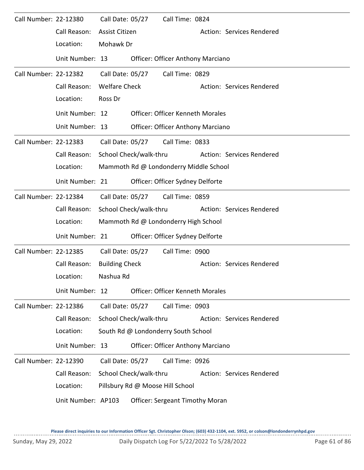| Call Number: 22-12380 |                    | Call Date: 05/27      |                                      | Call Time: 0824                          |  |                           |  |  |  |  |
|-----------------------|--------------------|-----------------------|--------------------------------------|------------------------------------------|--|---------------------------|--|--|--|--|
|                       | Call Reason:       | Assist Citizen        |                                      |                                          |  | Action: Services Rendered |  |  |  |  |
|                       | Location:          | Mohawk Dr             |                                      |                                          |  |                           |  |  |  |  |
|                       | Unit Number: 13    |                       |                                      | <b>Officer: Officer Anthony Marciano</b> |  |                           |  |  |  |  |
| Call Number: 22-12382 |                    | Call Date: 05/27      |                                      | Call Time: 0829                          |  |                           |  |  |  |  |
|                       | Call Reason:       | <b>Welfare Check</b>  |                                      |                                          |  | Action: Services Rendered |  |  |  |  |
|                       | Location:          | Ross Dr               |                                      |                                          |  |                           |  |  |  |  |
|                       | Unit Number: 12    |                       |                                      | <b>Officer: Officer Kenneth Morales</b>  |  |                           |  |  |  |  |
|                       | Unit Number: 13    |                       |                                      | <b>Officer: Officer Anthony Marciano</b> |  |                           |  |  |  |  |
| Call Number: 22-12383 |                    | Call Date: 05/27      |                                      | Call Time: 0833                          |  |                           |  |  |  |  |
|                       | Call Reason:       |                       | School Check/walk-thru               |                                          |  | Action: Services Rendered |  |  |  |  |
|                       | Location:          |                       |                                      | Mammoth Rd @ Londonderry Middle School   |  |                           |  |  |  |  |
|                       | Unit Number: 21    |                       |                                      | Officer: Officer Sydney Delforte         |  |                           |  |  |  |  |
| Call Number: 22-12384 |                    | Call Date: 05/27      |                                      | Call Time: 0859                          |  |                           |  |  |  |  |
|                       | Call Reason:       |                       | School Check/walk-thru               |                                          |  | Action: Services Rendered |  |  |  |  |
|                       | Location:          |                       | Mammoth Rd @ Londonderry High School |                                          |  |                           |  |  |  |  |
|                       | Unit Number: 21    |                       |                                      | Officer: Officer Sydney Delforte         |  |                           |  |  |  |  |
| Call Number: 22-12385 |                    | Call Date: 05/27      |                                      | Call Time: 0900                          |  |                           |  |  |  |  |
|                       | Call Reason:       | <b>Building Check</b> |                                      |                                          |  | Action: Services Rendered |  |  |  |  |
|                       | Location:          | Nashua Rd             |                                      |                                          |  |                           |  |  |  |  |
|                       | Unit Number: 12    |                       |                                      | <b>Officer: Officer Kenneth Morales</b>  |  |                           |  |  |  |  |
| Call Number: 22-12386 |                    | Call Date: 05/27      |                                      | Call Time: 0903                          |  |                           |  |  |  |  |
|                       | Call Reason:       |                       | School Check/walk-thru               |                                          |  | Action: Services Rendered |  |  |  |  |
|                       | Location:          |                       |                                      | South Rd @ Londonderry South School      |  |                           |  |  |  |  |
|                       | Unit Number: 13    |                       |                                      | <b>Officer: Officer Anthony Marciano</b> |  |                           |  |  |  |  |
| Call Number: 22-12390 |                    | Call Date: 05/27      |                                      | Call Time: 0926                          |  |                           |  |  |  |  |
|                       | Call Reason:       |                       | School Check/walk-thru               |                                          |  | Action: Services Rendered |  |  |  |  |
|                       | Location:          |                       |                                      | Pillsbury Rd @ Moose Hill School         |  |                           |  |  |  |  |
|                       | Unit Number: AP103 |                       |                                      | <b>Officer: Sergeant Timothy Moran</b>   |  |                           |  |  |  |  |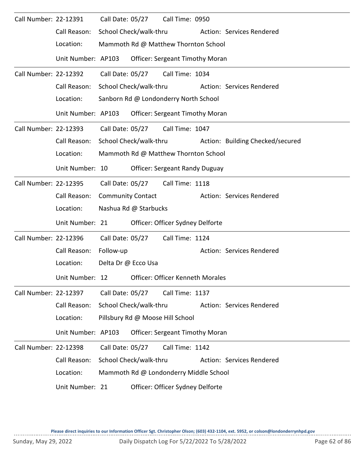| Call Number: 22-12391 |                    |                          | Call Date: 05/27      | Call Time: 0950                        |                                  |
|-----------------------|--------------------|--------------------------|-----------------------|----------------------------------------|----------------------------------|
|                       | Call Reason:       | School Check/walk-thru   |                       |                                        | Action: Services Rendered        |
|                       | Location:          |                          |                       | Mammoth Rd @ Matthew Thornton School   |                                  |
|                       | Unit Number: AP103 |                          |                       | <b>Officer: Sergeant Timothy Moran</b> |                                  |
| Call Number: 22-12392 |                    | Call Date: 05/27         |                       | Call Time: 1034                        |                                  |
|                       | Call Reason:       | School Check/walk-thru   |                       |                                        | Action: Services Rendered        |
|                       | Location:          |                          |                       | Sanborn Rd @ Londonderry North School  |                                  |
|                       | Unit Number: AP103 |                          |                       | <b>Officer: Sergeant Timothy Moran</b> |                                  |
| Call Number: 22-12393 |                    |                          |                       | Call Date: 05/27 Call Time: 1047       |                                  |
|                       | Call Reason:       | School Check/walk-thru   |                       |                                        | Action: Building Checked/secured |
|                       | Location:          |                          |                       | Mammoth Rd @ Matthew Thornton School   |                                  |
|                       | Unit Number: 10    |                          |                       | <b>Officer: Sergeant Randy Duguay</b>  |                                  |
| Call Number: 22-12395 |                    | Call Date: 05/27         |                       | Call Time: 1118                        |                                  |
|                       | Call Reason:       | <b>Community Contact</b> |                       |                                        | Action: Services Rendered        |
|                       | Location:          |                          | Nashua Rd @ Starbucks |                                        |                                  |
|                       | Unit Number: 21    |                          |                       | Officer: Officer Sydney Delforte       |                                  |
| Call Number: 22-12396 |                    | Call Date: 05/27         |                       | Call Time: 1124                        |                                  |
|                       | Call Reason:       | Follow-up                |                       |                                        | Action: Services Rendered        |
|                       | Location:          | Delta Dr @ Ecco Usa      |                       |                                        |                                  |
|                       | Unit Number: 12    |                          |                       | Officer: Officer Kenneth Morales       |                                  |
| Call Number: 22-12397 |                    | Call Date: 05/27         |                       | Call Time: 1137                        |                                  |
|                       | Call Reason:       | School Check/walk-thru   |                       |                                        | Action: Services Rendered        |
|                       | Location:          |                          |                       | Pillsbury Rd @ Moose Hill School       |                                  |
|                       | Unit Number: AP103 |                          |                       | <b>Officer: Sergeant Timothy Moran</b> |                                  |
| Call Number: 22-12398 |                    | Call Date: 05/27         |                       | Call Time: 1142                        |                                  |
|                       | Call Reason:       | School Check/walk-thru   |                       |                                        | Action: Services Rendered        |
|                       | Location:          |                          |                       | Mammoth Rd @ Londonderry Middle School |                                  |
|                       | Unit Number: 21    |                          |                       | Officer: Officer Sydney Delforte       |                                  |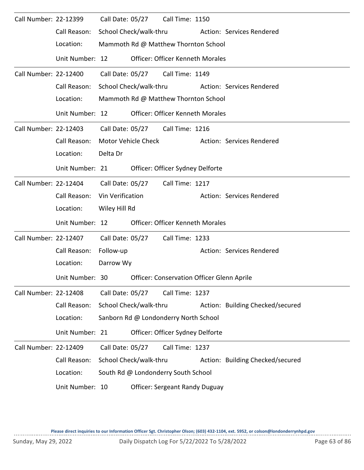| Call Number: 22-12399 |                 |                  |                        | Call Date: 05/27 Call Time: 1150                  |                                  |
|-----------------------|-----------------|------------------|------------------------|---------------------------------------------------|----------------------------------|
|                       | Call Reason:    |                  | School Check/walk-thru |                                                   | Action: Services Rendered        |
|                       | Location:       |                  |                        | Mammoth Rd @ Matthew Thornton School              |                                  |
|                       | Unit Number: 12 |                  |                        | <b>Officer: Officer Kenneth Morales</b>           |                                  |
| Call Number: 22-12400 |                 |                  |                        | Call Date: 05/27 Call Time: 1149                  |                                  |
|                       | Call Reason:    |                  | School Check/walk-thru |                                                   | Action: Services Rendered        |
|                       | Location:       |                  |                        | Mammoth Rd @ Matthew Thornton School              |                                  |
|                       | Unit Number: 12 |                  |                        | <b>Officer: Officer Kenneth Morales</b>           |                                  |
| Call Number: 22-12403 |                 |                  |                        | Call Date: 05/27 Call Time: 1216                  |                                  |
|                       | Call Reason:    |                  | Motor Vehicle Check    |                                                   | Action: Services Rendered        |
|                       | Location:       | Delta Dr         |                        |                                                   |                                  |
|                       | Unit Number: 21 |                  |                        | Officer: Officer Sydney Delforte                  |                                  |
| Call Number: 22-12404 |                 |                  | Call Date: 05/27       | Call Time: 1217                                   |                                  |
|                       | Call Reason:    | Vin Verification |                        |                                                   | Action: Services Rendered        |
|                       | Location:       | Wiley Hill Rd    |                        |                                                   |                                  |
|                       | Unit Number: 12 |                  |                        | Officer: Officer Kenneth Morales                  |                                  |
| Call Number: 22-12407 |                 | Call Date: 05/27 |                        | Call Time: 1233                                   |                                  |
|                       | Call Reason:    | Follow-up        |                        |                                                   | Action: Services Rendered        |
|                       | Location:       | Darrow Wy        |                        |                                                   |                                  |
|                       | Unit Number: 30 |                  |                        | <b>Officer: Conservation Officer Glenn Aprile</b> |                                  |
| Call Number: 22-12408 |                 | Call Date: 05/27 |                        | Call Time: 1237                                   |                                  |
|                       | Call Reason:    |                  | School Check/walk-thru |                                                   | Action: Building Checked/secured |
|                       | Location:       |                  |                        | Sanborn Rd @ Londonderry North School             |                                  |
|                       | Unit Number: 21 |                  |                        | Officer: Officer Sydney Delforte                  |                                  |
| Call Number: 22-12409 |                 | Call Date: 05/27 |                        | Call Time: 1237                                   |                                  |
|                       | Call Reason:    |                  | School Check/walk-thru |                                                   | Action: Building Checked/secured |
|                       | Location:       |                  |                        | South Rd @ Londonderry South School               |                                  |
|                       | Unit Number: 10 |                  |                        | <b>Officer: Sergeant Randy Duguay</b>             |                                  |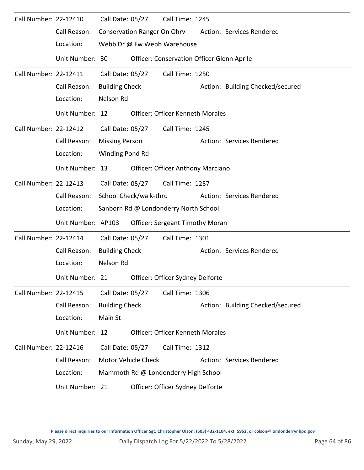| Call Number: 22-12410 |                    | Call Date: 05/27      |                                    | Call Time: 1245                            |                                  |
|-----------------------|--------------------|-----------------------|------------------------------------|--------------------------------------------|----------------------------------|
|                       | Call Reason:       |                       | <b>Conservation Ranger On Ohrv</b> |                                            | Action: Services Rendered        |
|                       | Location:          |                       |                                    | Webb Dr @ Fw Webb Warehouse                |                                  |
|                       | Unit Number: 30    |                       |                                    | Officer: Conservation Officer Glenn Aprile |                                  |
| Call Number: 22-12411 |                    | Call Date: 05/27      |                                    | Call Time: 1250                            |                                  |
|                       | Call Reason:       | <b>Building Check</b> |                                    |                                            | Action: Building Checked/secured |
|                       | Location:          | Nelson Rd             |                                    |                                            |                                  |
|                       | Unit Number: 12    |                       |                                    | <b>Officer: Officer Kenneth Morales</b>    |                                  |
| Call Number: 22-12412 |                    | Call Date: 05/27      |                                    | Call Time: 1245                            |                                  |
|                       | Call Reason:       | <b>Missing Person</b> |                                    |                                            | Action: Services Rendered        |
|                       | Location:          | Winding Pond Rd       |                                    |                                            |                                  |
|                       | Unit Number: 13    |                       |                                    | <b>Officer: Officer Anthony Marciano</b>   |                                  |
| Call Number: 22-12413 |                    | Call Date: 05/27      |                                    | Call Time: 1257                            |                                  |
|                       | Call Reason:       |                       | School Check/walk-thru             |                                            | Action: Services Rendered        |
|                       | Location:          |                       |                                    | Sanborn Rd @ Londonderry North School      |                                  |
|                       | Unit Number: AP103 |                       |                                    | <b>Officer: Sergeant Timothy Moran</b>     |                                  |
| Call Number: 22-12414 |                    | Call Date: 05/27      |                                    | Call Time: 1301                            |                                  |
|                       | Call Reason:       | <b>Building Check</b> |                                    |                                            | Action: Services Rendered        |
|                       | Location:          | Nelson Rd             |                                    |                                            |                                  |
|                       | Unit Number: 21    |                       |                                    | Officer: Officer Sydney Delforte           |                                  |
| Call Number: 22-12415 |                    | Call Date: 05/27      |                                    | Call Time: 1306                            |                                  |
|                       | Call Reason:       | <b>Building Check</b> |                                    |                                            | Action: Building Checked/secured |
|                       | Location:          | Main St               |                                    |                                            |                                  |
|                       | Unit Number: 12    |                       |                                    | <b>Officer: Officer Kenneth Morales</b>    |                                  |
| Call Number: 22-12416 |                    | Call Date: 05/27      |                                    | Call Time: 1312                            |                                  |
|                       | Call Reason:       |                       | Motor Vehicle Check                |                                            | Action: Services Rendered        |
|                       | Location:          |                       |                                    | Mammoth Rd @ Londonderry High School       |                                  |
|                       | Unit Number: 21    |                       |                                    | Officer: Officer Sydney Delforte           |                                  |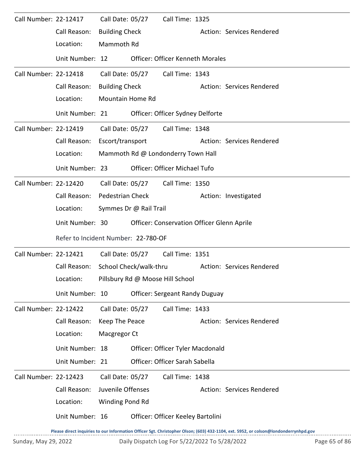| Call Number: 22-12417        |                                     | Call Date: 05/27        |                        | Call Time: 1325                                   |                                                                                                                                     |
|------------------------------|-------------------------------------|-------------------------|------------------------|---------------------------------------------------|-------------------------------------------------------------------------------------------------------------------------------------|
|                              | Call Reason:                        | <b>Building Check</b>   |                        |                                                   | Action: Services Rendered                                                                                                           |
|                              | Location:                           | Mammoth Rd              |                        |                                                   |                                                                                                                                     |
|                              | Unit Number: 12                     |                         |                        | <b>Officer: Officer Kenneth Morales</b>           |                                                                                                                                     |
| Call Number: 22-12418        |                                     | Call Date: 05/27        |                        | Call Time: 1343                                   |                                                                                                                                     |
|                              | Call Reason:                        | <b>Building Check</b>   |                        |                                                   | Action: Services Rendered                                                                                                           |
|                              | Location:                           | <b>Mountain Home Rd</b> |                        |                                                   |                                                                                                                                     |
|                              | Unit Number: 21                     |                         |                        | Officer: Officer Sydney Delforte                  |                                                                                                                                     |
| Call Number: 22-12419        |                                     | Call Date: 05/27        |                        | Call Time: 1348                                   |                                                                                                                                     |
|                              | Call Reason:                        | Escort/transport        |                        |                                                   | Action: Services Rendered                                                                                                           |
|                              | Location:                           |                         |                        | Mammoth Rd @ Londonderry Town Hall                |                                                                                                                                     |
|                              | Unit Number: 23                     |                         |                        | Officer: Officer Michael Tufo                     |                                                                                                                                     |
| Call Number: 22-12420        |                                     |                         | Call Date: 05/27       | Call Time: 1350                                   |                                                                                                                                     |
|                              | Call Reason:                        | <b>Pedestrian Check</b> |                        |                                                   | Action: Investigated                                                                                                                |
|                              | Location:                           |                         | Symmes Dr @ Rail Trail |                                                   |                                                                                                                                     |
|                              | Unit Number: 30                     |                         |                        | <b>Officer: Conservation Officer Glenn Aprile</b> |                                                                                                                                     |
|                              | Refer to Incident Number: 22-780-OF |                         |                        |                                                   |                                                                                                                                     |
| Call Number: 22-12421        |                                     | Call Date: 05/27        |                        | Call Time: 1351                                   |                                                                                                                                     |
|                              | Call Reason:                        | School Check/walk-thru  |                        |                                                   | Action: Services Rendered                                                                                                           |
|                              | Location:                           |                         |                        | Pillsbury Rd @ Moose Hill School                  |                                                                                                                                     |
|                              | Unit Number: 10                     |                         |                        | <b>Officer: Sergeant Randy Duguay</b>             |                                                                                                                                     |
| <b>Call Number: 22-12422</b> |                                     | Call Date: 05/27        |                        | Call Time: 1433                                   |                                                                                                                                     |
|                              | Call Reason:                        | Keep The Peace          |                        |                                                   | Action: Services Rendered                                                                                                           |
|                              | Location:                           | Macgregor Ct            |                        |                                                   |                                                                                                                                     |
|                              | Unit Number: 18                     |                         |                        | Officer: Officer Tyler Macdonald                  |                                                                                                                                     |
|                              | Unit Number: 21                     |                         |                        | Officer: Officer Sarah Sabella                    |                                                                                                                                     |
| Call Number: 22-12423        |                                     | Call Date: 05/27        |                        | Call Time: 1438                                   |                                                                                                                                     |
|                              | Call Reason:                        | Juvenile Offenses       |                        |                                                   | Action: Services Rendered                                                                                                           |
|                              | Location:                           | Winding Pond Rd         |                        |                                                   |                                                                                                                                     |
|                              | Unit Number: 16                     |                         |                        | Officer: Officer Keeley Bartolini                 |                                                                                                                                     |
|                              |                                     |                         |                        |                                                   | Please direct inquiries to our Information Officer Sat, Christopher Olson: (603) 432-1104, ext, 5952, or colson@londonderrynhad gov |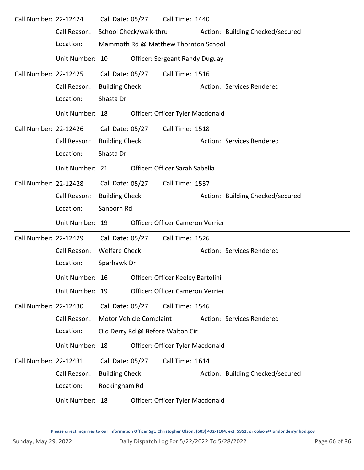| Call Number: 22-12424 |                 |                       | Call Date: 05/27        | Call Time: 1440                       |                                  |
|-----------------------|-----------------|-----------------------|-------------------------|---------------------------------------|----------------------------------|
|                       | Call Reason:    |                       | School Check/walk-thru  |                                       | Action: Building Checked/secured |
|                       | Location:       |                       |                         | Mammoth Rd @ Matthew Thornton School  |                                  |
|                       | Unit Number: 10 |                       |                         | <b>Officer: Sergeant Randy Duguay</b> |                                  |
| Call Number: 22-12425 |                 | Call Date: 05/27      |                         | Call Time: 1516                       |                                  |
|                       | Call Reason:    | <b>Building Check</b> |                         |                                       | Action: Services Rendered        |
|                       | Location:       | Shasta Dr             |                         |                                       |                                  |
|                       | Unit Number: 18 |                       |                         | Officer: Officer Tyler Macdonald      |                                  |
| Call Number: 22-12426 |                 |                       |                         | Call Date: 05/27 Call Time: 1518      |                                  |
|                       | Call Reason:    | <b>Building Check</b> |                         |                                       | Action: Services Rendered        |
|                       | Location:       | Shasta Dr             |                         |                                       |                                  |
|                       | Unit Number: 21 |                       |                         | Officer: Officer Sarah Sabella        |                                  |
| Call Number: 22-12428 |                 |                       | Call Date: 05/27        | Call Time: 1537                       |                                  |
|                       | Call Reason:    | <b>Building Check</b> |                         |                                       | Action: Building Checked/secured |
|                       | Location:       | Sanborn Rd            |                         |                                       |                                  |
|                       | Unit Number: 19 |                       |                         | Officer: Officer Cameron Verrier      |                                  |
| Call Number: 22-12429 |                 | Call Date: 05/27      |                         | Call Time: 1526                       |                                  |
|                       | Call Reason:    | <b>Welfare Check</b>  |                         |                                       | Action: Services Rendered        |
|                       | Location:       | Sparhawk Dr           |                         |                                       |                                  |
|                       | Unit Number: 16 |                       |                         | Officer: Officer Keeley Bartolini     |                                  |
|                       | Unit Number: 19 |                       |                         | Officer: Officer Cameron Verrier      |                                  |
| Call Number: 22-12430 |                 | Call Date: 05/27      |                         | Call Time: 1546                       |                                  |
|                       | Call Reason:    |                       | Motor Vehicle Complaint |                                       | Action: Services Rendered        |
|                       | Location:       |                       |                         | Old Derry Rd @ Before Walton Cir      |                                  |
|                       | Unit Number: 18 |                       |                         | Officer: Officer Tyler Macdonald      |                                  |
| Call Number: 22-12431 |                 | Call Date: 05/27      |                         | Call Time: 1614                       |                                  |
|                       | Call Reason:    | <b>Building Check</b> |                         |                                       | Action: Building Checked/secured |
|                       | Location:       | Rockingham Rd         |                         |                                       |                                  |
|                       | Unit Number: 18 |                       |                         | Officer: Officer Tyler Macdonald      |                                  |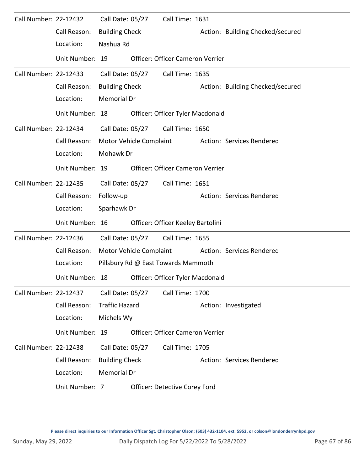| Call Number: 22-12432 |                 |                         | Call Date: 05/27 | Call Time: 1631                         |                                  |
|-----------------------|-----------------|-------------------------|------------------|-----------------------------------------|----------------------------------|
|                       | Call Reason:    | <b>Building Check</b>   |                  |                                         | Action: Building Checked/secured |
|                       | Location:       | Nashua Rd               |                  |                                         |                                  |
|                       | Unit Number: 19 |                         |                  | <b>Officer: Officer Cameron Verrier</b> |                                  |
| Call Number: 22-12433 |                 |                         | Call Date: 05/27 | Call Time: 1635                         |                                  |
|                       | Call Reason:    | <b>Building Check</b>   |                  |                                         | Action: Building Checked/secured |
|                       | Location:       | <b>Memorial Dr</b>      |                  |                                         |                                  |
|                       | Unit Number: 18 |                         |                  | Officer: Officer Tyler Macdonald        |                                  |
| Call Number: 22-12434 |                 |                         |                  | Call Date: 05/27 Call Time: 1650        |                                  |
|                       | Call Reason:    | Motor Vehicle Complaint |                  |                                         | Action: Services Rendered        |
|                       | Location:       | Mohawk Dr               |                  |                                         |                                  |
|                       | Unit Number: 19 |                         |                  | <b>Officer: Officer Cameron Verrier</b> |                                  |
| Call Number: 22-12435 |                 | Call Date: 05/27        |                  | Call Time: 1651                         |                                  |
|                       | Call Reason:    | Follow-up               |                  |                                         | Action: Services Rendered        |
|                       | Location:       | Sparhawk Dr             |                  |                                         |                                  |
|                       | Unit Number: 16 |                         |                  | Officer: Officer Keeley Bartolini       |                                  |
| Call Number: 22-12436 |                 | Call Date: 05/27        |                  | Call Time: 1655                         |                                  |
|                       | Call Reason:    | Motor Vehicle Complaint |                  |                                         | Action: Services Rendered        |
|                       | Location:       |                         |                  | Pillsbury Rd @ East Towards Mammoth     |                                  |
|                       | Unit Number: 18 |                         |                  | Officer: Officer Tyler Macdonald        |                                  |
| Call Number: 22-12437 |                 | Call Date: 05/27        |                  | Call Time: 1700                         |                                  |
|                       | Call Reason:    | <b>Traffic Hazard</b>   |                  |                                         | Action: Investigated             |
|                       | Location:       | Michels Wy              |                  |                                         |                                  |
|                       | Unit Number: 19 |                         |                  | <b>Officer: Officer Cameron Verrier</b> |                                  |
| Call Number: 22-12438 |                 | Call Date: 05/27        |                  | Call Time: 1705                         |                                  |
|                       | Call Reason:    | <b>Building Check</b>   |                  |                                         | Action: Services Rendered        |
|                       | Location:       | <b>Memorial Dr</b>      |                  |                                         |                                  |
|                       | Unit Number: 7  |                         |                  | Officer: Detective Corey Ford           |                                  |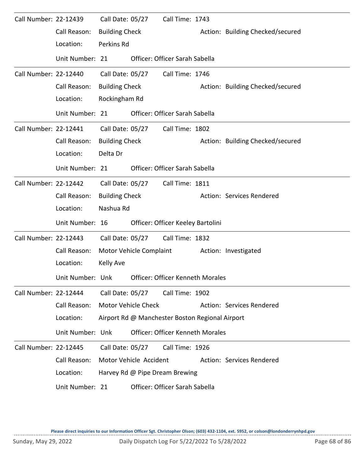| Call Number: 22-12439 |                  | Call Date: 05/27           |               | Call Time: 1743                                 |  |                                  |  |  |  |  |
|-----------------------|------------------|----------------------------|---------------|-------------------------------------------------|--|----------------------------------|--|--|--|--|
|                       | Call Reason:     | <b>Building Check</b>      |               |                                                 |  | Action: Building Checked/secured |  |  |  |  |
|                       | Location:        | Perkins Rd                 |               |                                                 |  |                                  |  |  |  |  |
|                       | Unit Number: 21  |                            |               | Officer: Officer Sarah Sabella                  |  |                                  |  |  |  |  |
| Call Number: 22-12440 |                  | Call Date: 05/27           |               | Call Time: 1746                                 |  |                                  |  |  |  |  |
|                       | Call Reason:     | <b>Building Check</b>      |               |                                                 |  | Action: Building Checked/secured |  |  |  |  |
|                       | Location:        |                            | Rockingham Rd |                                                 |  |                                  |  |  |  |  |
|                       | Unit Number: 21  |                            |               | Officer: Officer Sarah Sabella                  |  |                                  |  |  |  |  |
| Call Number: 22-12441 |                  | Call Date: 05/27           |               | Call Time: 1802                                 |  |                                  |  |  |  |  |
|                       | Call Reason:     | <b>Building Check</b>      |               |                                                 |  | Action: Building Checked/secured |  |  |  |  |
|                       | Location:        | Delta Dr                   |               |                                                 |  |                                  |  |  |  |  |
|                       | Unit Number: 21  |                            |               | Officer: Officer Sarah Sabella                  |  |                                  |  |  |  |  |
| Call Number: 22-12442 |                  | Call Date: 05/27           |               | Call Time: 1811                                 |  |                                  |  |  |  |  |
|                       | Call Reason:     | <b>Building Check</b>      |               |                                                 |  | Action: Services Rendered        |  |  |  |  |
|                       | Location:        | Nashua Rd                  |               |                                                 |  |                                  |  |  |  |  |
|                       | Unit Number: 16  |                            |               | Officer: Officer Keeley Bartolini               |  |                                  |  |  |  |  |
| Call Number: 22-12443 |                  | Call Date: 05/27           |               | Call Time: 1832                                 |  |                                  |  |  |  |  |
|                       | Call Reason:     | Motor Vehicle Complaint    |               |                                                 |  | Action: Investigated             |  |  |  |  |
|                       | Location:        | Kelly Ave                  |               |                                                 |  |                                  |  |  |  |  |
|                       | Unit Number: Unk |                            |               | <b>Officer: Officer Kenneth Morales</b>         |  |                                  |  |  |  |  |
| Call Number: 22-12444 |                  | Call Date: 05/27           |               | Call Time: 1902                                 |  |                                  |  |  |  |  |
|                       | Call Reason:     | <b>Motor Vehicle Check</b> |               |                                                 |  | Action: Services Rendered        |  |  |  |  |
|                       | Location:        |                            |               | Airport Rd @ Manchester Boston Regional Airport |  |                                  |  |  |  |  |
|                       | Unit Number: Unk |                            |               | Officer: Officer Kenneth Morales                |  |                                  |  |  |  |  |
| Call Number: 22-12445 |                  | Call Date: 05/27           |               | Call Time: 1926                                 |  |                                  |  |  |  |  |
|                       | Call Reason:     | Motor Vehicle Accident     |               |                                                 |  | Action: Services Rendered        |  |  |  |  |
|                       | Location:        |                            |               | Harvey Rd @ Pipe Dream Brewing                  |  |                                  |  |  |  |  |
|                       | Unit Number: 21  |                            |               | Officer: Officer Sarah Sabella                  |  |                                  |  |  |  |  |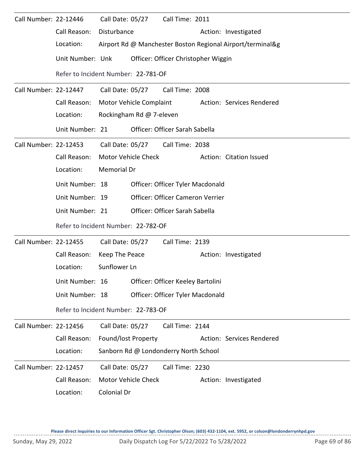| Call Number: 22-12446 |                                                         | Call Date: 05/27           |  | Call Time: 2011                       |  |                                                            |  |  |  |  |  |
|-----------------------|---------------------------------------------------------|----------------------------|--|---------------------------------------|--|------------------------------------------------------------|--|--|--|--|--|
|                       | Call Reason:                                            | Disturbance                |  |                                       |  | Action: Investigated                                       |  |  |  |  |  |
|                       | Location:                                               |                            |  |                                       |  | Airport Rd @ Manchester Boston Regional Airport/terminal&g |  |  |  |  |  |
|                       | Unit Number: Unk<br>Officer: Officer Christopher Wiggin |                            |  |                                       |  |                                                            |  |  |  |  |  |
|                       | Refer to Incident Number: 22-781-OF                     |                            |  |                                       |  |                                                            |  |  |  |  |  |
| Call Number: 22-12447 |                                                         | Call Date: 05/27           |  | Call Time: 2008                       |  |                                                            |  |  |  |  |  |
|                       | Call Reason:                                            | Motor Vehicle Complaint    |  |                                       |  | Action: Services Rendered                                  |  |  |  |  |  |
|                       | Location:                                               | Rockingham Rd @ 7-eleven   |  |                                       |  |                                                            |  |  |  |  |  |
|                       | Unit Number: 21                                         |                            |  | Officer: Officer Sarah Sabella        |  |                                                            |  |  |  |  |  |
| Call Number: 22-12453 |                                                         | Call Date: 05/27           |  | Call Time: 2038                       |  |                                                            |  |  |  |  |  |
|                       | Call Reason:                                            | <b>Motor Vehicle Check</b> |  |                                       |  | Action: Citation Issued                                    |  |  |  |  |  |
|                       | Location:                                               | <b>Memorial Dr</b>         |  |                                       |  |                                                            |  |  |  |  |  |
|                       | Unit Number: 18                                         |                            |  | Officer: Officer Tyler Macdonald      |  |                                                            |  |  |  |  |  |
|                       | Unit Number: 19                                         |                            |  | Officer: Officer Cameron Verrier      |  |                                                            |  |  |  |  |  |
|                       | Unit Number: 21                                         |                            |  | Officer: Officer Sarah Sabella        |  |                                                            |  |  |  |  |  |
|                       | Refer to Incident Number: 22-782-OF                     |                            |  |                                       |  |                                                            |  |  |  |  |  |
| Call Number: 22-12455 |                                                         | Call Date: 05/27           |  | Call Time: 2139                       |  |                                                            |  |  |  |  |  |
|                       | Call Reason:                                            | Keep The Peace             |  |                                       |  | Action: Investigated                                       |  |  |  |  |  |
|                       | Location:                                               | Sunflower Ln               |  |                                       |  |                                                            |  |  |  |  |  |
|                       | Unit Number: 16                                         |                            |  | Officer: Officer Keeley Bartolini     |  |                                                            |  |  |  |  |  |
|                       | Unit Number: 18                                         |                            |  | Officer: Officer Tyler Macdonald      |  |                                                            |  |  |  |  |  |
|                       | Refer to Incident Number: 22-783-OF                     |                            |  |                                       |  |                                                            |  |  |  |  |  |
| Call Number: 22-12456 |                                                         | Call Date: 05/27           |  | Call Time: 2144                       |  |                                                            |  |  |  |  |  |
|                       | Call Reason:                                            | Found/lost Property        |  |                                       |  | Action: Services Rendered                                  |  |  |  |  |  |
|                       | Location:                                               |                            |  | Sanborn Rd @ Londonderry North School |  |                                                            |  |  |  |  |  |
| Call Number: 22-12457 |                                                         | Call Date: 05/27           |  | Call Time: 2230                       |  |                                                            |  |  |  |  |  |
|                       | Call Reason:                                            | Motor Vehicle Check        |  |                                       |  | Action: Investigated                                       |  |  |  |  |  |
|                       | Location:                                               | Colonial Dr                |  |                                       |  |                                                            |  |  |  |  |  |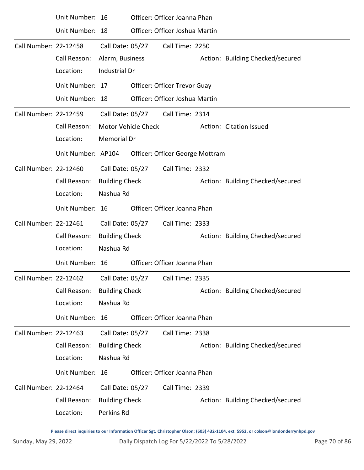|                       | Unit Number: 16                        |                       |                     | Officer: Officer Joanna Phan        |  |                                  |  |  |  |  |
|-----------------------|----------------------------------------|-----------------------|---------------------|-------------------------------------|--|----------------------------------|--|--|--|--|
|                       | Unit Number: 18                        |                       |                     | Officer: Officer Joshua Martin      |  |                                  |  |  |  |  |
| Call Number: 22-12458 |                                        | Call Date: 05/27      |                     | Call Time: 2250                     |  |                                  |  |  |  |  |
|                       | Call Reason:                           | Alarm, Business       |                     |                                     |  | Action: Building Checked/secured |  |  |  |  |
|                       | Location:                              | Industrial Dr         |                     |                                     |  |                                  |  |  |  |  |
|                       | Unit Number: 17                        |                       |                     | <b>Officer: Officer Trevor Guay</b> |  |                                  |  |  |  |  |
|                       | Unit Number: 18                        |                       |                     | Officer: Officer Joshua Martin      |  |                                  |  |  |  |  |
| Call Number: 22-12459 |                                        | Call Date: 05/27      |                     | Call Time: 2314                     |  |                                  |  |  |  |  |
|                       | Call Reason:                           |                       | Motor Vehicle Check |                                     |  | Action: Citation Issued          |  |  |  |  |
|                       | Location:                              | <b>Memorial Dr</b>    |                     |                                     |  |                                  |  |  |  |  |
|                       | Unit Number: AP104                     |                       |                     | Officer: Officer George Mottram     |  |                                  |  |  |  |  |
| Call Number: 22-12460 |                                        | Call Date: 05/27      |                     | Call Time: 2332                     |  |                                  |  |  |  |  |
|                       | Call Reason:                           | <b>Building Check</b> |                     |                                     |  | Action: Building Checked/secured |  |  |  |  |
|                       | Location:                              | Nashua Rd             |                     |                                     |  |                                  |  |  |  |  |
|                       | Unit Number: 16                        |                       |                     | Officer: Officer Joanna Phan        |  |                                  |  |  |  |  |
| Call Number: 22-12461 |                                        | Call Date: 05/27      |                     | Call Time: 2333                     |  |                                  |  |  |  |  |
|                       | Call Reason:                           | <b>Building Check</b> |                     |                                     |  | Action: Building Checked/secured |  |  |  |  |
|                       | Location:                              | Nashua Rd             |                     |                                     |  |                                  |  |  |  |  |
|                       | Unit Number: 16                        |                       |                     | Officer: Officer Joanna Phan        |  |                                  |  |  |  |  |
|                       | Call Number: 22-12462 Call Date: 05/27 |                       |                     | Call Time: 2335                     |  |                                  |  |  |  |  |
|                       | Call Reason:                           | <b>Building Check</b> |                     |                                     |  | Action: Building Checked/secured |  |  |  |  |
|                       | Location:                              | Nashua Rd             |                     |                                     |  |                                  |  |  |  |  |
|                       | Unit Number: 16                        |                       |                     | Officer: Officer Joanna Phan        |  |                                  |  |  |  |  |
| Call Number: 22-12463 |                                        | Call Date: 05/27      |                     | Call Time: 2338                     |  |                                  |  |  |  |  |
|                       | Call Reason:                           | <b>Building Check</b> |                     |                                     |  | Action: Building Checked/secured |  |  |  |  |
|                       | Location:                              | Nashua Rd             |                     |                                     |  |                                  |  |  |  |  |
|                       | Unit Number: 16                        |                       |                     | Officer: Officer Joanna Phan        |  |                                  |  |  |  |  |
| Call Number: 22-12464 |                                        | Call Date: 05/27      |                     | Call Time: 2339                     |  |                                  |  |  |  |  |
|                       | Call Reason:                           | <b>Building Check</b> |                     |                                     |  | Action: Building Checked/secured |  |  |  |  |
|                       | Location:                              | Perkins Rd            |                     |                                     |  |                                  |  |  |  |  |
|                       |                                        |                       |                     |                                     |  |                                  |  |  |  |  |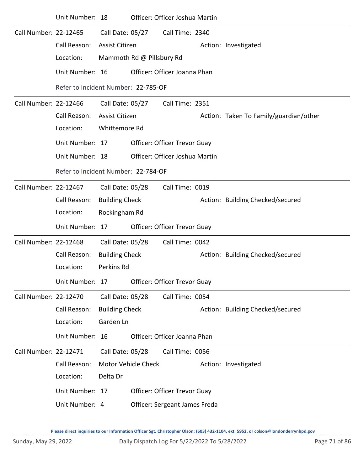|                       | Unit Number: 18                     |                       |                           | Officer: Officer Joshua Martin      |  |                                        |  |  |  |  |
|-----------------------|-------------------------------------|-----------------------|---------------------------|-------------------------------------|--|----------------------------------------|--|--|--|--|
| Call Number: 22-12465 |                                     | Call Date: 05/27      |                           | Call Time: 2340                     |  |                                        |  |  |  |  |
|                       | Call Reason:                        | <b>Assist Citizen</b> |                           |                                     |  | Action: Investigated                   |  |  |  |  |
|                       | Location:                           |                       | Mammoth Rd @ Pillsbury Rd |                                     |  |                                        |  |  |  |  |
|                       | Unit Number: 16                     |                       |                           | Officer: Officer Joanna Phan        |  |                                        |  |  |  |  |
|                       | Refer to Incident Number: 22-785-OF |                       |                           |                                     |  |                                        |  |  |  |  |
| Call Number: 22-12466 |                                     | Call Date: 05/27      |                           | Call Time: 2351                     |  |                                        |  |  |  |  |
|                       | Call Reason:                        | Assist Citizen        |                           |                                     |  | Action: Taken To Family/guardian/other |  |  |  |  |
|                       | Location:                           | Whittemore Rd         |                           |                                     |  |                                        |  |  |  |  |
|                       | Unit Number: 17                     |                       |                           | <b>Officer: Officer Trevor Guay</b> |  |                                        |  |  |  |  |
|                       | Unit Number: 18                     |                       |                           | Officer: Officer Joshua Martin      |  |                                        |  |  |  |  |
|                       | Refer to Incident Number: 22-784-OF |                       |                           |                                     |  |                                        |  |  |  |  |
| Call Number: 22-12467 |                                     | Call Date: 05/28      |                           | Call Time: 0019                     |  |                                        |  |  |  |  |
|                       | Call Reason:                        | <b>Building Check</b> |                           |                                     |  | Action: Building Checked/secured       |  |  |  |  |
|                       | Location:                           | Rockingham Rd         |                           |                                     |  |                                        |  |  |  |  |
|                       | Unit Number: 17                     |                       |                           | Officer: Officer Trevor Guay        |  |                                        |  |  |  |  |
| Call Number: 22-12468 |                                     | Call Date: 05/28      |                           | Call Time: 0042                     |  |                                        |  |  |  |  |
|                       | Call Reason:                        | <b>Building Check</b> |                           |                                     |  | Action: Building Checked/secured       |  |  |  |  |
|                       | Location:                           | Perkins Rd            |                           |                                     |  |                                        |  |  |  |  |
|                       | Unit Number: 17                     |                       |                           | <b>Officer: Officer Trevor Guay</b> |  |                                        |  |  |  |  |
| Call Number: 22-12470 |                                     | Call Date: 05/28      |                           | Call Time: 0054                     |  |                                        |  |  |  |  |
|                       | Call Reason:                        | <b>Building Check</b> |                           |                                     |  | Action: Building Checked/secured       |  |  |  |  |
|                       | Location:                           | Garden Ln             |                           |                                     |  |                                        |  |  |  |  |
|                       | Unit Number: 16                     |                       |                           | Officer: Officer Joanna Phan        |  |                                        |  |  |  |  |
| Call Number: 22-12471 |                                     | Call Date: 05/28      |                           | Call Time: 0056                     |  |                                        |  |  |  |  |
|                       | Call Reason:                        |                       | Motor Vehicle Check       |                                     |  | Action: Investigated                   |  |  |  |  |
|                       | Location:                           | Delta Dr              |                           |                                     |  |                                        |  |  |  |  |
|                       | Unit Number: 17                     |                       |                           | Officer: Officer Trevor Guay        |  |                                        |  |  |  |  |
|                       | Unit Number: 4                      |                       |                           | Officer: Sergeant James Freda       |  |                                        |  |  |  |  |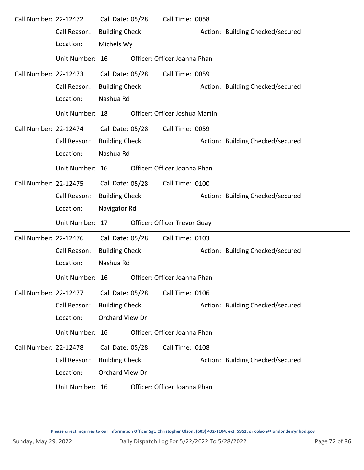| Call Number: 22-12472        |                 | Call Date: 05/28      | Call Time: 0058                |                                  |
|------------------------------|-----------------|-----------------------|--------------------------------|----------------------------------|
|                              | Call Reason:    | <b>Building Check</b> |                                | Action: Building Checked/secured |
|                              | Location:       | Michels Wy            |                                |                                  |
|                              | Unit Number: 16 |                       | Officer: Officer Joanna Phan   |                                  |
| Call Number: 22-12473        |                 | Call Date: 05/28      | Call Time: 0059                |                                  |
|                              | Call Reason:    | <b>Building Check</b> |                                | Action: Building Checked/secured |
|                              | Location:       | Nashua Rd             |                                |                                  |
|                              | Unit Number: 18 |                       | Officer: Officer Joshua Martin |                                  |
| Call Number: 22-12474        |                 | Call Date: 05/28      | Call Time: 0059                |                                  |
|                              | Call Reason:    | <b>Building Check</b> |                                | Action: Building Checked/secured |
|                              | Location:       | Nashua Rd             |                                |                                  |
|                              | Unit Number: 16 |                       | Officer: Officer Joanna Phan   |                                  |
| Call Number: 22-12475        |                 | Call Date: 05/28      | Call Time: 0100                |                                  |
|                              | Call Reason:    | <b>Building Check</b> |                                | Action: Building Checked/secured |
|                              | Location:       | Navigator Rd          |                                |                                  |
|                              | Unit Number: 17 |                       | Officer: Officer Trevor Guay   |                                  |
| Call Number: 22-12476        |                 | Call Date: 05/28      | Call Time: 0103                |                                  |
|                              | Call Reason:    | <b>Building Check</b> |                                | Action: Building Checked/secured |
|                              | Location:       | Nashua Rd             |                                |                                  |
|                              | Unit Number: 16 |                       | Officer: Officer Joanna Phan   |                                  |
| <b>Call Number: 22-12477</b> |                 | Call Date: 05/28      | Call Time: 0106                |                                  |
|                              | Call Reason:    | <b>Building Check</b> |                                | Action: Building Checked/secured |
|                              | Location:       | Orchard View Dr       |                                |                                  |
|                              | Unit Number: 16 |                       | Officer: Officer Joanna Phan   |                                  |
| Call Number: 22-12478        |                 | Call Date: 05/28      | Call Time: 0108                |                                  |
|                              | Call Reason:    | <b>Building Check</b> |                                | Action: Building Checked/secured |
|                              | Location:       | Orchard View Dr       |                                |                                  |
|                              | Unit Number: 16 |                       | Officer: Officer Joanna Phan   |                                  |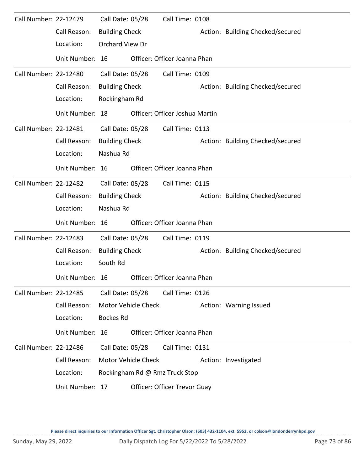| Call Number: 22-12479 |                 | Call Date: 05/28      |                     | Call Time: 0108                |                                  |
|-----------------------|-----------------|-----------------------|---------------------|--------------------------------|----------------------------------|
|                       | Call Reason:    | <b>Building Check</b> |                     |                                | Action: Building Checked/secured |
|                       | Location:       | Orchard View Dr       |                     |                                |                                  |
|                       | Unit Number: 16 |                       |                     | Officer: Officer Joanna Phan   |                                  |
| Call Number: 22-12480 |                 | Call Date: 05/28      |                     | Call Time: 0109                |                                  |
|                       | Call Reason:    | <b>Building Check</b> |                     |                                | Action: Building Checked/secured |
|                       | Location:       | Rockingham Rd         |                     |                                |                                  |
|                       | Unit Number: 18 |                       |                     | Officer: Officer Joshua Martin |                                  |
| Call Number: 22-12481 |                 | Call Date: 05/28      |                     | Call Time: 0113                |                                  |
|                       | Call Reason:    | <b>Building Check</b> |                     |                                | Action: Building Checked/secured |
|                       | Location:       | Nashua Rd             |                     |                                |                                  |
|                       | Unit Number: 16 |                       |                     | Officer: Officer Joanna Phan   |                                  |
| Call Number: 22-12482 |                 | Call Date: 05/28      |                     | Call Time: 0115                |                                  |
|                       | Call Reason:    | <b>Building Check</b> |                     |                                | Action: Building Checked/secured |
|                       | Location:       | Nashua Rd             |                     |                                |                                  |
|                       | Unit Number: 16 |                       |                     | Officer: Officer Joanna Phan   |                                  |
| Call Number: 22-12483 |                 | Call Date: 05/28      |                     | Call Time: 0119                |                                  |
|                       | Call Reason:    | <b>Building Check</b> |                     |                                | Action: Building Checked/secured |
|                       | Location:       | South Rd              |                     |                                |                                  |
|                       | Unit Number: 16 |                       |                     | Officer: Officer Joanna Phan   |                                  |
| Call Number: 22-12485 |                 | Call Date: 05/28      |                     | Call Time: 0126                |                                  |
|                       | Call Reason:    |                       | Motor Vehicle Check |                                | Action: Warning Issued           |
|                       | Location:       | <b>Bockes Rd</b>      |                     |                                |                                  |
|                       | Unit Number: 16 |                       |                     | Officer: Officer Joanna Phan   |                                  |
| Call Number: 22-12486 |                 | Call Date: 05/28      |                     | Call Time: 0131                |                                  |
|                       | Call Reason:    |                       | Motor Vehicle Check |                                | Action: Investigated             |
|                       | Location:       |                       |                     | Rockingham Rd @ Rmz Truck Stop |                                  |
|                       | Unit Number: 17 |                       |                     | Officer: Officer Trevor Guay   |                                  |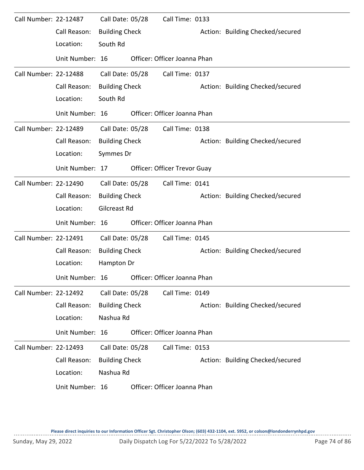| Call Number: 22-12487 |                 | Call Date: 05/28      |                  | Call Time: 0133                     |                                  |
|-----------------------|-----------------|-----------------------|------------------|-------------------------------------|----------------------------------|
|                       | Call Reason:    | <b>Building Check</b> |                  |                                     | Action: Building Checked/secured |
|                       | Location:       | South Rd              |                  |                                     |                                  |
|                       | Unit Number: 16 |                       |                  | Officer: Officer Joanna Phan        |                                  |
| Call Number: 22-12488 |                 | Call Date: 05/28      |                  | Call Time: 0137                     |                                  |
|                       | Call Reason:    | <b>Building Check</b> |                  |                                     | Action: Building Checked/secured |
|                       | Location:       | South Rd              |                  |                                     |                                  |
|                       | Unit Number: 16 |                       |                  | Officer: Officer Joanna Phan        |                                  |
| Call Number: 22-12489 |                 |                       | Call Date: 05/28 | Call Time: 0138                     |                                  |
|                       | Call Reason:    | <b>Building Check</b> |                  |                                     | Action: Building Checked/secured |
|                       | Location:       | Symmes Dr             |                  |                                     |                                  |
|                       | Unit Number: 17 |                       |                  | <b>Officer: Officer Trevor Guay</b> |                                  |
| Call Number: 22-12490 |                 | Call Date: 05/28      |                  | Call Time: 0141                     |                                  |
|                       | Call Reason:    | <b>Building Check</b> |                  |                                     | Action: Building Checked/secured |
|                       | Location:       | <b>Gilcreast Rd</b>   |                  |                                     |                                  |
|                       | Unit Number: 16 |                       |                  | Officer: Officer Joanna Phan        |                                  |
| Call Number: 22-12491 |                 | Call Date: 05/28      |                  | Call Time: 0145                     |                                  |
|                       | Call Reason:    | <b>Building Check</b> |                  |                                     | Action: Building Checked/secured |
|                       | Location:       | Hampton Dr            |                  |                                     |                                  |
|                       | Unit Number: 16 |                       |                  | Officer: Officer Joanna Phan        |                                  |
| Call Number: 22-12492 |                 | Call Date: 05/28      |                  | Call Time: 0149                     |                                  |
|                       | Call Reason:    | <b>Building Check</b> |                  |                                     | Action: Building Checked/secured |
|                       | Location:       | Nashua Rd             |                  |                                     |                                  |
|                       | Unit Number: 16 |                       |                  | Officer: Officer Joanna Phan        |                                  |
| Call Number: 22-12493 |                 | Call Date: 05/28      |                  | Call Time: 0153                     |                                  |
|                       | Call Reason:    | <b>Building Check</b> |                  |                                     | Action: Building Checked/secured |
|                       | Location:       | Nashua Rd             |                  |                                     |                                  |
|                       | Unit Number: 16 |                       |                  | Officer: Officer Joanna Phan        |                                  |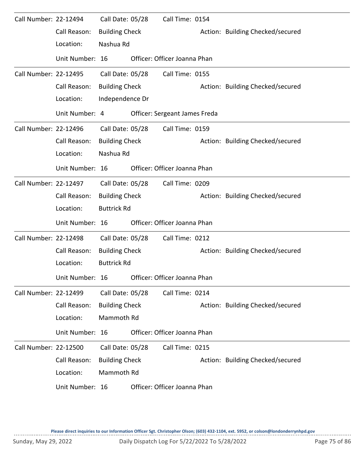| Call Number: 22-12494 |                 | Call Date: 05/28      | Call Time: 0154               |                                  |
|-----------------------|-----------------|-----------------------|-------------------------------|----------------------------------|
|                       | Call Reason:    | <b>Building Check</b> |                               | Action: Building Checked/secured |
|                       | Location:       | Nashua Rd             |                               |                                  |
|                       | Unit Number: 16 |                       | Officer: Officer Joanna Phan  |                                  |
| Call Number: 22-12495 |                 | Call Date: 05/28      | Call Time: 0155               |                                  |
|                       | Call Reason:    | <b>Building Check</b> |                               | Action: Building Checked/secured |
|                       | Location:       | Independence Dr       |                               |                                  |
|                       | Unit Number: 4  |                       | Officer: Sergeant James Freda |                                  |
| Call Number: 22-12496 |                 | Call Date: 05/28      | Call Time: 0159               |                                  |
|                       | Call Reason:    | <b>Building Check</b> |                               | Action: Building Checked/secured |
|                       | Location:       | Nashua Rd             |                               |                                  |
|                       | Unit Number: 16 |                       | Officer: Officer Joanna Phan  |                                  |
| Call Number: 22-12497 |                 | Call Date: 05/28      | Call Time: 0209               |                                  |
|                       | Call Reason:    | <b>Building Check</b> |                               | Action: Building Checked/secured |
|                       | Location:       | <b>Buttrick Rd</b>    |                               |                                  |
|                       | Unit Number: 16 |                       | Officer: Officer Joanna Phan  |                                  |
| Call Number: 22-12498 |                 | Call Date: 05/28      | Call Time: 0212               |                                  |
|                       | Call Reason:    | <b>Building Check</b> |                               | Action: Building Checked/secured |
|                       | Location:       | <b>Buttrick Rd</b>    |                               |                                  |
|                       | Unit Number: 16 |                       | Officer: Officer Joanna Phan  |                                  |
| Call Number: 22-12499 |                 | Call Date: 05/28      | Call Time: 0214               |                                  |
|                       | Call Reason:    | <b>Building Check</b> |                               | Action: Building Checked/secured |
|                       | Location:       | Mammoth Rd            |                               |                                  |
|                       | Unit Number: 16 |                       | Officer: Officer Joanna Phan  |                                  |
| Call Number: 22-12500 |                 | Call Date: 05/28      | Call Time: 0215               |                                  |
|                       | Call Reason:    | <b>Building Check</b> |                               | Action: Building Checked/secured |
|                       | Location:       | Mammoth Rd            |                               |                                  |
|                       | Unit Number: 16 |                       | Officer: Officer Joanna Phan  |                                  |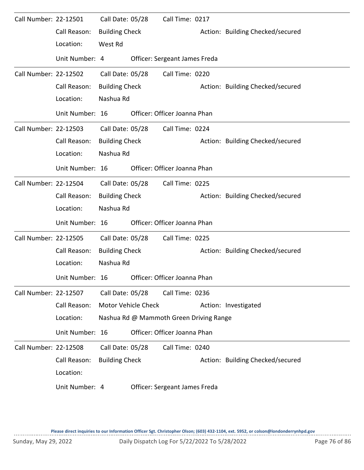| Call Number: 22-12501 |                 | Call Date: 05/28      |                     | Call Time: 0217                         |                                  |
|-----------------------|-----------------|-----------------------|---------------------|-----------------------------------------|----------------------------------|
|                       | Call Reason:    | <b>Building Check</b> |                     |                                         | Action: Building Checked/secured |
|                       | Location:       | West Rd               |                     |                                         |                                  |
|                       | Unit Number: 4  |                       |                     | Officer: Sergeant James Freda           |                                  |
| Call Number: 22-12502 |                 | Call Date: 05/28      |                     | Call Time: 0220                         |                                  |
|                       | Call Reason:    | <b>Building Check</b> |                     |                                         | Action: Building Checked/secured |
|                       | Location:       | Nashua Rd             |                     |                                         |                                  |
|                       | Unit Number: 16 |                       |                     | Officer: Officer Joanna Phan            |                                  |
| Call Number: 22-12503 |                 |                       | Call Date: 05/28    | Call Time: 0224                         |                                  |
|                       | Call Reason:    | <b>Building Check</b> |                     |                                         | Action: Building Checked/secured |
|                       | Location:       | Nashua Rd             |                     |                                         |                                  |
|                       | Unit Number: 16 |                       |                     | Officer: Officer Joanna Phan            |                                  |
| Call Number: 22-12504 |                 | Call Date: 05/28      |                     | Call Time: 0225                         |                                  |
|                       | Call Reason:    | <b>Building Check</b> |                     |                                         | Action: Building Checked/secured |
|                       | Location:       | Nashua Rd             |                     |                                         |                                  |
|                       | Unit Number: 16 |                       |                     | Officer: Officer Joanna Phan            |                                  |
| Call Number: 22-12505 |                 | Call Date: 05/28      |                     | Call Time: 0225                         |                                  |
|                       | Call Reason:    | <b>Building Check</b> |                     |                                         | Action: Building Checked/secured |
|                       | Location:       | Nashua Rd             |                     |                                         |                                  |
|                       | Unit Number: 16 |                       |                     | Officer: Officer Joanna Phan            |                                  |
| Call Number: 22-12507 |                 | Call Date: 05/28      |                     | Call Time: 0236                         |                                  |
|                       | Call Reason:    |                       | Motor Vehicle Check |                                         | Action: Investigated             |
|                       | Location:       |                       |                     | Nashua Rd @ Mammoth Green Driving Range |                                  |
|                       | Unit Number: 16 |                       |                     | Officer: Officer Joanna Phan            |                                  |
| Call Number: 22-12508 |                 | Call Date: 05/28      |                     | Call Time: 0240                         |                                  |
|                       | Call Reason:    | <b>Building Check</b> |                     |                                         | Action: Building Checked/secured |
|                       | Location:       |                       |                     |                                         |                                  |
|                       | Unit Number: 4  |                       |                     | Officer: Sergeant James Freda           |                                  |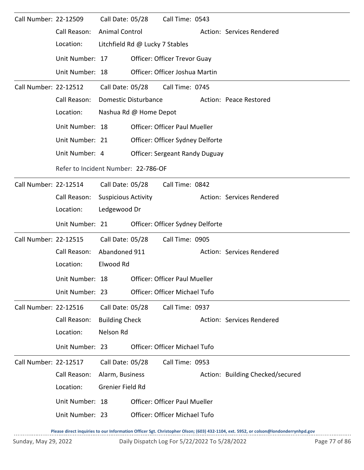| Call Number: 22-12509        |                                               | Call Date: 05/28                               |                                      | Call Time: 0543                       |  |                                  |  |  |  |  |
|------------------------------|-----------------------------------------------|------------------------------------------------|--------------------------------------|---------------------------------------|--|----------------------------------|--|--|--|--|
|                              | Call Reason:                                  | <b>Animal Control</b>                          |                                      |                                       |  | Action: Services Rendered        |  |  |  |  |
|                              | Location:                                     |                                                | Litchfield Rd @ Lucky 7 Stables      |                                       |  |                                  |  |  |  |  |
|                              | Unit Number: 17                               |                                                |                                      | <b>Officer: Officer Trevor Guay</b>   |  |                                  |  |  |  |  |
|                              | Unit Number: 18                               |                                                |                                      | Officer: Officer Joshua Martin        |  |                                  |  |  |  |  |
| <b>Call Number: 22-12512</b> |                                               |                                                | Call Date: 05/28                     | Call Time: 0745                       |  |                                  |  |  |  |  |
|                              | Call Reason:                                  | Domestic Disturbance<br>Action: Peace Restored |                                      |                                       |  |                                  |  |  |  |  |
|                              | Location:                                     |                                                | Nashua Rd @ Home Depot               |                                       |  |                                  |  |  |  |  |
|                              | Unit Number: 18                               |                                                | <b>Officer: Officer Paul Mueller</b> |                                       |  |                                  |  |  |  |  |
|                              | Unit Number: 21                               |                                                |                                      | Officer: Officer Sydney Delforte      |  |                                  |  |  |  |  |
|                              | Unit Number: 4                                |                                                |                                      | <b>Officer: Sergeant Randy Duguay</b> |  |                                  |  |  |  |  |
|                              |                                               |                                                | Refer to Incident Number: 22-786-OF  |                                       |  |                                  |  |  |  |  |
| Call Number: 22-12514        |                                               | Call Date: 05/28                               |                                      | Call Time: 0842                       |  |                                  |  |  |  |  |
|                              | Call Reason:                                  | <b>Suspicious Activity</b>                     |                                      |                                       |  | Action: Services Rendered        |  |  |  |  |
|                              | Location:                                     | Ledgewood Dr                                   |                                      |                                       |  |                                  |  |  |  |  |
|                              | Unit Number: 21                               |                                                |                                      | Officer: Officer Sydney Delforte      |  |                                  |  |  |  |  |
| Call Number: 22-12515        |                                               |                                                | Call Date: 05/28                     | Call Time: 0905                       |  |                                  |  |  |  |  |
|                              | Call Reason:                                  | Abandoned 911                                  |                                      |                                       |  | Action: Services Rendered        |  |  |  |  |
|                              | Location:                                     | Elwood Rd                                      |                                      |                                       |  |                                  |  |  |  |  |
|                              | Unit Number: 18 Officer: Officer Paul Mueller |                                                |                                      |                                       |  |                                  |  |  |  |  |
|                              | Unit Number: 23                               |                                                |                                      | Officer: Officer Michael Tufo         |  |                                  |  |  |  |  |
| Call Number: 22-12516        |                                               | Call Date: 05/28                               |                                      | Call Time: 0937                       |  |                                  |  |  |  |  |
|                              | Call Reason:                                  | <b>Building Check</b>                          |                                      |                                       |  | Action: Services Rendered        |  |  |  |  |
|                              | Location:                                     | Nelson Rd                                      |                                      |                                       |  |                                  |  |  |  |  |
|                              | Unit Number: 23                               |                                                |                                      | <b>Officer: Officer Michael Tufo</b>  |  |                                  |  |  |  |  |
| Call Number: 22-12517        |                                               | Call Date: 05/28                               |                                      | Call Time: 0953                       |  |                                  |  |  |  |  |
|                              | Call Reason:                                  | Alarm, Business                                |                                      |                                       |  | Action: Building Checked/secured |  |  |  |  |
|                              | Location:                                     | Grenier Field Rd                               |                                      |                                       |  |                                  |  |  |  |  |
|                              | Unit Number: 18                               |                                                |                                      | <b>Officer: Officer Paul Mueller</b>  |  |                                  |  |  |  |  |
|                              |                                               |                                                |                                      |                                       |  |                                  |  |  |  |  |
|                              | Unit Number: 23                               |                                                |                                      | Officer: Officer Michael Tufo         |  |                                  |  |  |  |  |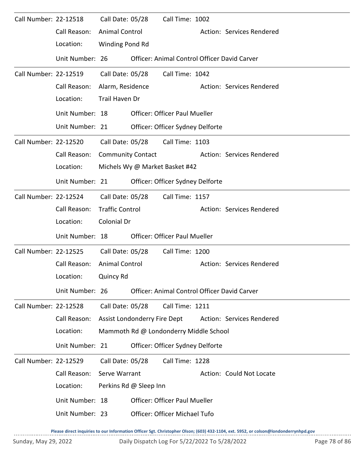| Call Number: 22-12518 |                 | Call Date: 05/28             | Call Time: 1002                        |                                              |
|-----------------------|-----------------|------------------------------|----------------------------------------|----------------------------------------------|
|                       | Call Reason:    | <b>Animal Control</b>        |                                        | Action: Services Rendered                    |
|                       | Location:       | Winding Pond Rd              |                                        |                                              |
|                       | Unit Number: 26 |                              |                                        | Officer: Animal Control Officer David Carver |
| Call Number: 22-12519 |                 | Call Date: 05/28             | Call Time: 1042                        |                                              |
|                       | Call Reason:    | Alarm, Residence             |                                        | Action: Services Rendered                    |
|                       | Location:       | Trail Haven Dr               |                                        |                                              |
|                       | Unit Number: 18 |                              | <b>Officer: Officer Paul Mueller</b>   |                                              |
|                       | Unit Number: 21 |                              | Officer: Officer Sydney Delforte       |                                              |
| Call Number: 22-12520 |                 | Call Date: 05/28             | Call Time: 1103                        |                                              |
|                       | Call Reason:    | <b>Community Contact</b>     |                                        | Action: Services Rendered                    |
|                       | Location:       |                              | Michels Wy @ Market Basket #42         |                                              |
|                       | Unit Number: 21 |                              | Officer: Officer Sydney Delforte       |                                              |
| Call Number: 22-12524 |                 | Call Date: 05/28             | Call Time: 1157                        |                                              |
|                       | Call Reason:    | <b>Traffic Control</b>       |                                        | Action: Services Rendered                    |
|                       | Location:       | Colonial Dr                  |                                        |                                              |
|                       | Unit Number: 18 |                              | <b>Officer: Officer Paul Mueller</b>   |                                              |
| Call Number: 22-12525 |                 | Call Date: 05/28             | Call Time: 1200                        |                                              |
|                       | Call Reason:    | <b>Animal Control</b>        |                                        | Action: Services Rendered                    |
|                       | Location:       | Quincy Rd                    |                                        |                                              |
|                       | Unit Number: 26 |                              |                                        | Officer: Animal Control Officer David Carver |
| Call Number: 22-12528 |                 | Call Date: 05/28             | Call Time: 1211                        |                                              |
|                       | Call Reason:    | Assist Londonderry Fire Dept |                                        | Action: Services Rendered                    |
|                       | Location:       |                              | Mammoth Rd @ Londonderry Middle School |                                              |
|                       | Unit Number: 21 |                              | Officer: Officer Sydney Delforte       |                                              |
| Call Number: 22-12529 |                 | Call Date: 05/28             | Call Time: 1228                        |                                              |
|                       | Call Reason:    | Serve Warrant                |                                        | Action: Could Not Locate                     |
|                       | Location:       | Perkins Rd @ Sleep Inn       |                                        |                                              |
|                       | Unit Number: 18 |                              | <b>Officer: Officer Paul Mueller</b>   |                                              |
|                       | Unit Number: 23 |                              | Officer: Officer Michael Tufo          |                                              |
|                       |                 |                              |                                        |                                              |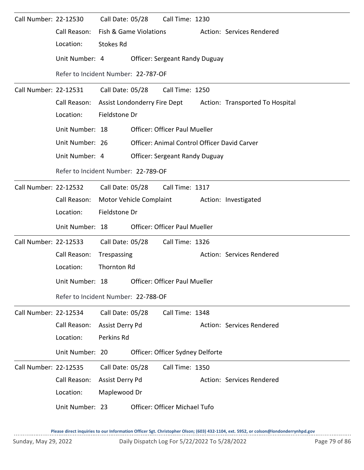| Call Number: 22-12530 |                                     | Call Date: 05/28                    |                  | Call Time: 1230                       |  |                                                              |  |  |  |  |
|-----------------------|-------------------------------------|-------------------------------------|------------------|---------------------------------------|--|--------------------------------------------------------------|--|--|--|--|
|                       | Call Reason:                        | Fish & Game Violations              |                  |                                       |  | Action: Services Rendered                                    |  |  |  |  |
|                       | Location:                           | <b>Stokes Rd</b>                    |                  |                                       |  |                                                              |  |  |  |  |
|                       | Unit Number: 4                      |                                     |                  | <b>Officer: Sergeant Randy Duguay</b> |  |                                                              |  |  |  |  |
|                       | Refer to Incident Number: 22-787-OF |                                     |                  |                                       |  |                                                              |  |  |  |  |
| Call Number: 22-12531 |                                     |                                     | Call Date: 05/28 | Call Time: 1250                       |  |                                                              |  |  |  |  |
|                       | Call Reason:                        |                                     |                  |                                       |  | Assist Londonderry Fire Dept Action: Transported To Hospital |  |  |  |  |
|                       | Location:                           | Fieldstone Dr                       |                  |                                       |  |                                                              |  |  |  |  |
|                       | Unit Number: 18                     |                                     |                  | <b>Officer: Officer Paul Mueller</b>  |  |                                                              |  |  |  |  |
|                       | Unit Number: 26                     |                                     |                  |                                       |  | Officer: Animal Control Officer David Carver                 |  |  |  |  |
|                       | Unit Number: 4                      |                                     |                  | <b>Officer: Sergeant Randy Duguay</b> |  |                                                              |  |  |  |  |
|                       |                                     | Refer to Incident Number: 22-789-OF |                  |                                       |  |                                                              |  |  |  |  |
| Call Number: 22-12532 |                                     | Call Date: 05/28                    |                  | Call Time: 1317                       |  |                                                              |  |  |  |  |
|                       | Call Reason:                        | Motor Vehicle Complaint             |                  |                                       |  | Action: Investigated                                         |  |  |  |  |
|                       | Location:                           | Fieldstone Dr                       |                  |                                       |  |                                                              |  |  |  |  |
|                       | Unit Number: 18                     |                                     |                  |                                       |  |                                                              |  |  |  |  |
| Call Number: 22-12533 |                                     |                                     | Call Date: 05/28 | Call Time: 1326                       |  |                                                              |  |  |  |  |
|                       | Call Reason:                        | Trespassing                         |                  |                                       |  | Action: Services Rendered                                    |  |  |  |  |
|                       | Location:                           | <b>Thornton Rd</b>                  |                  |                                       |  |                                                              |  |  |  |  |
|                       | Unit Number: 18                     |                                     |                  | <b>Officer: Officer Paul Mueller</b>  |  |                                                              |  |  |  |  |
|                       | Refer to Incident Number: 22-788-OF |                                     |                  |                                       |  |                                                              |  |  |  |  |
| Call Number: 22-12534 |                                     | Call Date: 05/28                    |                  | Call Time: 1348                       |  |                                                              |  |  |  |  |
|                       | Call Reason:                        | Assist Derry Pd                     |                  |                                       |  | Action: Services Rendered                                    |  |  |  |  |
|                       | Location:                           | Perkins Rd                          |                  |                                       |  |                                                              |  |  |  |  |
|                       | Unit Number: 20                     |                                     |                  | Officer: Officer Sydney Delforte      |  |                                                              |  |  |  |  |
| Call Number: 22-12535 |                                     | Call Date: 05/28                    |                  | Call Time: 1350                       |  |                                                              |  |  |  |  |
|                       | Call Reason:                        | Assist Derry Pd                     |                  |                                       |  | Action: Services Rendered                                    |  |  |  |  |
|                       | Location:                           | Maplewood Dr                        |                  |                                       |  |                                                              |  |  |  |  |
|                       | Unit Number: 23                     |                                     |                  | Officer: Officer Michael Tufo         |  |                                                              |  |  |  |  |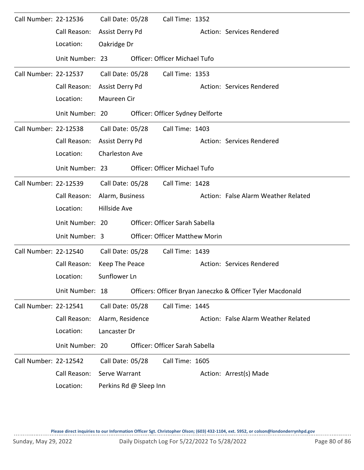| Call Number: 22-12536        |                 | Call Date: 05/28 |                        | Call Time: 1352                       |                                                            |
|------------------------------|-----------------|------------------|------------------------|---------------------------------------|------------------------------------------------------------|
|                              | Call Reason:    | Assist Derry Pd  |                        |                                       | Action: Services Rendered                                  |
|                              | Location:       | Oakridge Dr      |                        |                                       |                                                            |
|                              | Unit Number: 23 |                  |                        | <b>Officer: Officer Michael Tufo</b>  |                                                            |
| Call Number: 22-12537        |                 | Call Date: 05/28 |                        | Call Time: 1353                       |                                                            |
|                              | Call Reason:    | Assist Derry Pd  |                        |                                       | Action: Services Rendered                                  |
|                              | Location:       | Maureen Cir      |                        |                                       |                                                            |
|                              | Unit Number: 20 |                  |                        | Officer: Officer Sydney Delforte      |                                                            |
| Call Number: 22-12538        |                 | Call Date: 05/28 |                        | Call Time: 1403                       |                                                            |
|                              | Call Reason:    | Assist Derry Pd  |                        |                                       | Action: Services Rendered                                  |
|                              | Location:       | Charleston Ave   |                        |                                       |                                                            |
|                              | Unit Number: 23 |                  |                        | <b>Officer: Officer Michael Tufo</b>  |                                                            |
| Call Number: 22-12539        |                 | Call Date: 05/28 |                        | Call Time: 1428                       |                                                            |
|                              | Call Reason:    | Alarm, Business  |                        |                                       | Action: False Alarm Weather Related                        |
|                              | Location:       | Hillside Ave     |                        |                                       |                                                            |
|                              | Unit Number: 20 |                  |                        | Officer: Officer Sarah Sabella        |                                                            |
|                              | Unit Number: 3  |                  |                        | <b>Officer: Officer Matthew Morin</b> |                                                            |
| Call Number: 22-12540        |                 | Call Date: 05/28 |                        | Call Time: 1439                       |                                                            |
|                              | Call Reason:    | Keep The Peace   |                        |                                       | Action: Services Rendered                                  |
|                              | Location:       | Sunflower Ln     |                        |                                       |                                                            |
|                              | Unit Number: 18 |                  |                        |                                       | Officers: Officer Bryan Janeczko & Officer Tyler Macdonald |
| Call Number: 22-12541        |                 | Call Date: 05/28 |                        | Call Time: 1445                       |                                                            |
|                              | Call Reason:    | Alarm, Residence |                        |                                       | Action: False Alarm Weather Related                        |
|                              | Location:       | Lancaster Dr     |                        |                                       |                                                            |
|                              | Unit Number: 20 |                  |                        | Officer: Officer Sarah Sabella        |                                                            |
| <b>Call Number: 22-12542</b> |                 | Call Date: 05/28 |                        | Call Time: 1605                       |                                                            |
|                              | Call Reason:    | Serve Warrant    |                        |                                       | Action: Arrest(s) Made                                     |
|                              | Location:       |                  | Perkins Rd @ Sleep Inn |                                       |                                                            |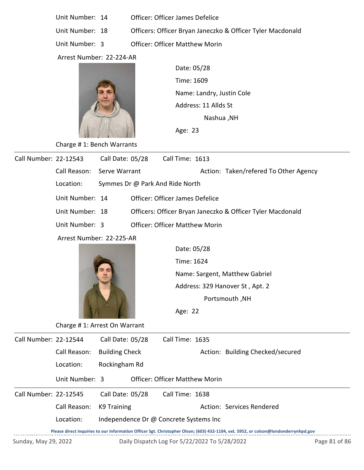- Unit Number: 14 Officer: Officer James Defelice
- Unit Number: 18 Officers: Officer Bryan Janeczko & Officer Tyler Macdonald

Unit Number: 3 Officer: Officer Matthew Morin

Arrest Number: 22-224-AR



Time: 1609 Name: Landry, Justin Cole Age: 23 Date: 05/28 Nashua ,NH Address: 11 Allds St

Charge # 1: Bench Warrants

| Call Number: 22-12543 |                          | Call Date: 05/28 |                                                            | Call Time: 1613                       |  |                                       |  |  |  |  |
|-----------------------|--------------------------|------------------|------------------------------------------------------------|---------------------------------------|--|---------------------------------------|--|--|--|--|
|                       | Call Reason:             | Serve Warrant    |                                                            |                                       |  | Action: Taken/refered To Other Agency |  |  |  |  |
|                       | Location:                |                  | Symmes Dr @ Park And Ride North                            |                                       |  |                                       |  |  |  |  |
|                       | Unit Number: 14          |                  | <b>Officer: Officer James Defelice</b>                     |                                       |  |                                       |  |  |  |  |
|                       | Unit Number: 18          |                  | Officers: Officer Bryan Janeczko & Officer Tyler Macdonald |                                       |  |                                       |  |  |  |  |
|                       | Unit Number: 3           |                  |                                                            | <b>Officer: Officer Matthew Morin</b> |  |                                       |  |  |  |  |
|                       | Arrest Number: 22-225-AR |                  |                                                            |                                       |  |                                       |  |  |  |  |
|                       |                          |                  |                                                            | Date: 05/28                           |  |                                       |  |  |  |  |
|                       |                          |                  |                                                            | Timo: 1621                            |  |                                       |  |  |  |  |



Time: 1624 Name: Sargent, Matthew Gabriel Portsmouth ,NH Address: 329 Hanover St , Apt. 2

Age: 22

Charge # 1: Arrest On Warrant

| Call Number: 22-12544 |                | Call Date: 05/28                       |  | Call Time: 1635                               |  |                                                                                                                                     |  |  |
|-----------------------|----------------|----------------------------------------|--|-----------------------------------------------|--|-------------------------------------------------------------------------------------------------------------------------------------|--|--|
|                       | Call Reason:   | <b>Building Check</b>                  |  |                                               |  | Action: Building Checked/secured                                                                                                    |  |  |
|                       | Location:      | Rockingham Rd                          |  |                                               |  |                                                                                                                                     |  |  |
|                       | Unit Number: 3 |                                        |  | Officer: Officer Matthew Morin                |  |                                                                                                                                     |  |  |
| Call Number: 22-12545 |                | Call Date: 05/28                       |  | Call Time: 1638                               |  |                                                                                                                                     |  |  |
|                       | Call Reason:   | K9 Training                            |  |                                               |  | Action: Services Rendered                                                                                                           |  |  |
|                       | Location:      | Independence Dr @ Concrete Systems Inc |  |                                               |  |                                                                                                                                     |  |  |
|                       |                |                                        |  |                                               |  | Please direct inquiries to our Information Officer Sgt. Christopher Olson; (603) 432-1104, ext. 5952, or colson@londonderrynhpd.gov |  |  |
| Sunday, May 29, 2022  |                |                                        |  | Daily Dispatch Log For 5/22/2022 To 5/28/2022 |  | Page 81 of 86                                                                                                                       |  |  |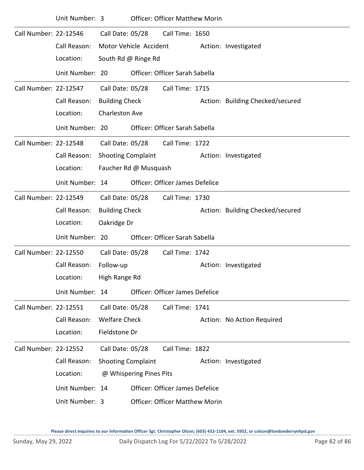|                              | Unit Number: 3  |                           |                         | <b>Officer: Officer Matthew Morin</b>  |                                  |
|------------------------------|-----------------|---------------------------|-------------------------|----------------------------------------|----------------------------------|
| Call Number: 22-12546        |                 | Call Date: 05/28          |                         | Call Time: 1650                        |                                  |
|                              | Call Reason:    |                           | Motor Vehicle Accident  |                                        | Action: Investigated             |
|                              | Location:       |                           | South Rd @ Ringe Rd     |                                        |                                  |
|                              | Unit Number: 20 |                           |                         | Officer: Officer Sarah Sabella         |                                  |
| Call Number: 22-12547        |                 | Call Date: 05/28          |                         | Call Time: 1715                        |                                  |
|                              | Call Reason:    | <b>Building Check</b>     |                         |                                        | Action: Building Checked/secured |
|                              | Location:       | <b>Charleston Ave</b>     |                         |                                        |                                  |
|                              | Unit Number: 20 |                           |                         | Officer: Officer Sarah Sabella         |                                  |
| Call Number: 22-12548        |                 |                           | Call Date: 05/28        | Call Time: 1722                        |                                  |
|                              | Call Reason:    | <b>Shooting Complaint</b> |                         |                                        | Action: Investigated             |
|                              | Location:       |                           | Faucher Rd @ Musquash   |                                        |                                  |
|                              | Unit Number: 14 |                           |                         | <b>Officer: Officer James Defelice</b> |                                  |
| Call Number: 22-12549        |                 | Call Date: 05/28          |                         | Call Time: 1730                        |                                  |
|                              | Call Reason:    | <b>Building Check</b>     |                         |                                        | Action: Building Checked/secured |
|                              | Location:       | Oakridge Dr               |                         |                                        |                                  |
|                              | Unit Number: 20 |                           |                         | Officer: Officer Sarah Sabella         |                                  |
| Call Number: 22-12550        |                 | Call Date: 05/28          |                         | Call Time: 1742                        |                                  |
|                              | Call Reason:    | Follow-up                 |                         |                                        | Action: Investigated             |
|                              | Location:       | High Range Rd             |                         |                                        |                                  |
|                              | Unit Number: 14 |                           |                         | Officer: Officer James Defelice        |                                  |
| Call Number: 22-12551        |                 | Call Date: 05/28          |                         | Call Time: 1741                        |                                  |
|                              | Call Reason:    | <b>Welfare Check</b>      |                         |                                        | Action: No Action Required       |
|                              | Location:       | Fieldstone Dr             |                         |                                        |                                  |
| <b>Call Number: 22-12552</b> |                 | Call Date: 05/28          |                         | Call Time: 1822                        |                                  |
|                              | Call Reason:    | <b>Shooting Complaint</b> |                         |                                        | Action: Investigated             |
|                              | Location:       |                           | @ Whispering Pines Pits |                                        |                                  |
|                              | Unit Number: 14 |                           |                         | <b>Officer: Officer James Defelice</b> |                                  |
|                              | Unit Number: 3  |                           |                         | <b>Officer: Officer Matthew Morin</b>  |                                  |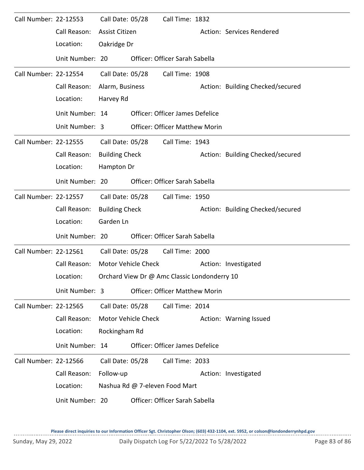| Call Number: 22-12553 |                 | Call Date: 05/28           |                     | Call Time: 1832                              |                                  |
|-----------------------|-----------------|----------------------------|---------------------|----------------------------------------------|----------------------------------|
|                       | Call Reason:    | Assist Citizen             |                     |                                              | Action: Services Rendered        |
|                       | Location:       | Oakridge Dr                |                     |                                              |                                  |
|                       | Unit Number: 20 |                            |                     | Officer: Officer Sarah Sabella               |                                  |
| Call Number: 22-12554 |                 | Call Date: 05/28           |                     | Call Time: 1908                              |                                  |
|                       | Call Reason:    | Alarm, Business            |                     |                                              | Action: Building Checked/secured |
|                       | Location:       | Harvey Rd                  |                     |                                              |                                  |
|                       | Unit Number: 14 |                            |                     | <b>Officer: Officer James Defelice</b>       |                                  |
|                       | Unit Number: 3  |                            |                     | <b>Officer: Officer Matthew Morin</b>        |                                  |
| Call Number: 22-12555 |                 | Call Date: 05/28           |                     | Call Time: 1943                              |                                  |
|                       | Call Reason:    | <b>Building Check</b>      |                     |                                              | Action: Building Checked/secured |
|                       | Location:       | Hampton Dr                 |                     |                                              |                                  |
|                       | Unit Number: 20 |                            |                     | Officer: Officer Sarah Sabella               |                                  |
| Call Number: 22-12557 |                 | Call Date: 05/28           |                     | Call Time: 1950                              |                                  |
|                       | Call Reason:    | <b>Building Check</b>      |                     |                                              | Action: Building Checked/secured |
|                       | Location:       | Garden Ln                  |                     |                                              |                                  |
|                       | Unit Number: 20 |                            |                     | Officer: Officer Sarah Sabella               |                                  |
| Call Number: 22-12561 |                 | Call Date: 05/28           |                     | Call Time: 2000                              |                                  |
|                       | Call Reason:    |                            | Motor Vehicle Check |                                              | Action: Investigated             |
|                       | Location:       |                            |                     | Orchard View Dr @ Amc Classic Londonderry 10 |                                  |
|                       | Unit Number: 3  |                            |                     | <b>Officer: Officer Matthew Morin</b>        |                                  |
| Call Number: 22-12565 |                 | Call Date: 05/28           |                     | Call Time: 2014                              |                                  |
|                       | Call Reason:    | <b>Motor Vehicle Check</b> |                     |                                              | Action: Warning Issued           |
|                       | Location:       | Rockingham Rd              |                     |                                              |                                  |
|                       | Unit Number: 14 |                            |                     | <b>Officer: Officer James Defelice</b>       |                                  |
| Call Number: 22-12566 |                 | Call Date: 05/28           |                     | Call Time: 2033                              |                                  |
|                       | Call Reason:    | Follow-up                  |                     |                                              | Action: Investigated             |
|                       | Location:       |                            |                     | Nashua Rd @ 7-eleven Food Mart               |                                  |
|                       | Unit Number: 20 |                            |                     | Officer: Officer Sarah Sabella               |                                  |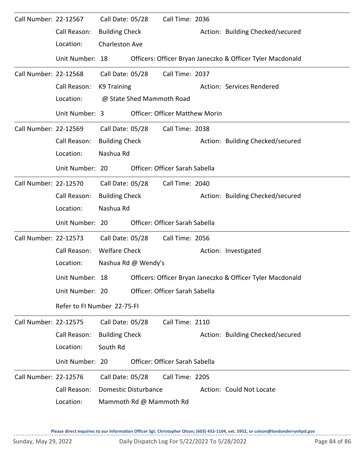| Call Number: 22-12567 | Call Reason:<br>Location: | Call Date: 05/28<br><b>Building Check</b><br><b>Charleston Ave</b> |                           | Call Time: 2036                       |  | Action: Building Checked/secured                           |  |  |  |
|-----------------------|---------------------------|--------------------------------------------------------------------|---------------------------|---------------------------------------|--|------------------------------------------------------------|--|--|--|
|                       | Unit Number: 18           |                                                                    |                           |                                       |  | Officers: Officer Bryan Janeczko & Officer Tyler Macdonald |  |  |  |
| Call Number: 22-12568 |                           | Call Date: 05/28                                                   |                           | Call Time: 2037                       |  |                                                            |  |  |  |
|                       | Call Reason:              | K9 Training                                                        |                           |                                       |  | Action: Services Rendered                                  |  |  |  |
|                       | Location:                 |                                                                    | @ State Shed Mammoth Road |                                       |  |                                                            |  |  |  |
|                       | Unit Number: 3            |                                                                    |                           | <b>Officer: Officer Matthew Morin</b> |  |                                                            |  |  |  |
| Call Number: 22-12569 |                           | Call Date: 05/28                                                   |                           | Call Time: 2038                       |  |                                                            |  |  |  |
|                       | Call Reason:              | <b>Building Check</b>                                              |                           |                                       |  | Action: Building Checked/secured                           |  |  |  |
|                       | Location:                 | Nashua Rd                                                          |                           |                                       |  |                                                            |  |  |  |
|                       | Unit Number: 20           |                                                                    |                           | Officer: Officer Sarah Sabella        |  |                                                            |  |  |  |
| Call Number: 22-12570 |                           | Call Date: 05/28                                                   |                           | Call Time: 2040                       |  |                                                            |  |  |  |
|                       | Call Reason:              | <b>Building Check</b>                                              |                           |                                       |  | Action: Building Checked/secured                           |  |  |  |
|                       | Location:                 | Nashua Rd                                                          |                           |                                       |  |                                                            |  |  |  |
|                       | Unit Number: 20           |                                                                    |                           | Officer: Officer Sarah Sabella        |  |                                                            |  |  |  |
| Call Number: 22-12573 |                           | Call Date: 05/28                                                   |                           | Call Time: 2056                       |  |                                                            |  |  |  |
|                       | Call Reason:              | <b>Welfare Check</b>                                               |                           |                                       |  | Action: Investigated                                       |  |  |  |
|                       | Location:                 | Nashua Rd @ Wendy's                                                |                           |                                       |  |                                                            |  |  |  |
|                       | Unit Number: 18           |                                                                    |                           |                                       |  | Officers: Officer Bryan Janeczko & Officer Tyler Macdonald |  |  |  |
|                       | Unit Number: 20           |                                                                    |                           | Officer: Officer Sarah Sabella        |  |                                                            |  |  |  |
|                       |                           | Refer to FI Number 22-75-FI                                        |                           |                                       |  |                                                            |  |  |  |
| Call Number: 22-12575 |                           |                                                                    | Call Date: 05/28          | Call Time: 2110                       |  |                                                            |  |  |  |
|                       | Call Reason:              | <b>Building Check</b>                                              |                           |                                       |  | Action: Building Checked/secured                           |  |  |  |
|                       | Location:                 | South Rd                                                           |                           |                                       |  |                                                            |  |  |  |
|                       | Unit Number: 20           |                                                                    |                           | Officer: Officer Sarah Sabella        |  |                                                            |  |  |  |
| Call Number: 22-12576 |                           | Call Date: 05/28                                                   |                           | Call Time: 2205                       |  |                                                            |  |  |  |
|                       | Call Reason:              |                                                                    | Domestic Disturbance      |                                       |  | Action: Could Not Locate                                   |  |  |  |
|                       | Location:                 |                                                                    | Mammoth Rd @ Mammoth Rd   |                                       |  |                                                            |  |  |  |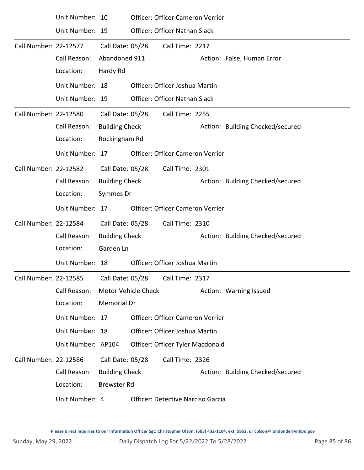|                       | Unit Number: 10    |                       | Officer: Officer Cameron Verrier |                                          |  |                                  |  |
|-----------------------|--------------------|-----------------------|----------------------------------|------------------------------------------|--|----------------------------------|--|
|                       | Unit Number: 19    |                       |                                  | Officer: Officer Nathan Slack            |  |                                  |  |
| Call Number: 22-12577 |                    | Call Date: 05/28      |                                  | Call Time: 2217                          |  |                                  |  |
|                       | Call Reason:       | Abandoned 911         |                                  |                                          |  | Action: False, Human Error       |  |
|                       | Location:          | Hardy Rd              |                                  |                                          |  |                                  |  |
|                       | Unit Number: 18    |                       |                                  | Officer: Officer Joshua Martin           |  |                                  |  |
|                       | Unit Number: 19    |                       |                                  | <b>Officer: Officer Nathan Slack</b>     |  |                                  |  |
| Call Number: 22-12580 |                    | Call Date: 05/28      |                                  | Call Time: 2255                          |  |                                  |  |
|                       | Call Reason:       | <b>Building Check</b> |                                  |                                          |  | Action: Building Checked/secured |  |
|                       | Location:          | Rockingham Rd         |                                  |                                          |  |                                  |  |
|                       | Unit Number: 17    |                       |                                  | Officer: Officer Cameron Verrier         |  |                                  |  |
| Call Number: 22-12582 |                    | Call Date: 05/28      |                                  | Call Time: 2301                          |  |                                  |  |
|                       | Call Reason:       | <b>Building Check</b> |                                  |                                          |  | Action: Building Checked/secured |  |
|                       | Location:          | Symmes Dr             |                                  |                                          |  |                                  |  |
|                       | Unit Number: 17    |                       |                                  | Officer: Officer Cameron Verrier         |  |                                  |  |
| Call Number: 22-12584 |                    | Call Date: 05/28      |                                  | Call Time: 2310                          |  |                                  |  |
|                       | Call Reason:       | <b>Building Check</b> |                                  |                                          |  | Action: Building Checked/secured |  |
|                       | Location:          | Garden Ln             |                                  |                                          |  |                                  |  |
|                       | Unit Number: 18    |                       |                                  | Officer: Officer Joshua Martin           |  |                                  |  |
| Call Number: 22-12585 |                    | Call Date: 05/28      |                                  | Call Time: 2317                          |  |                                  |  |
|                       | Call Reason:       | Motor Vehicle Check   |                                  |                                          |  | Action: Warning Issued           |  |
|                       | Location:          | Memorial Dr           |                                  |                                          |  |                                  |  |
|                       | Unit Number: 17    |                       |                                  | Officer: Officer Cameron Verrier         |  |                                  |  |
|                       | Unit Number: 18    |                       |                                  | Officer: Officer Joshua Martin           |  |                                  |  |
|                       | Unit Number: AP104 |                       |                                  | Officer: Officer Tyler Macdonald         |  |                                  |  |
| Call Number: 22-12586 |                    | Call Date: 05/28      |                                  | Call Time: 2326                          |  |                                  |  |
|                       | Call Reason:       | <b>Building Check</b> |                                  |                                          |  | Action: Building Checked/secured |  |
|                       | Location:          | <b>Brewster Rd</b>    |                                  |                                          |  |                                  |  |
|                       | Unit Number: 4     |                       |                                  | <b>Officer: Detective Narciso Garcia</b> |  |                                  |  |